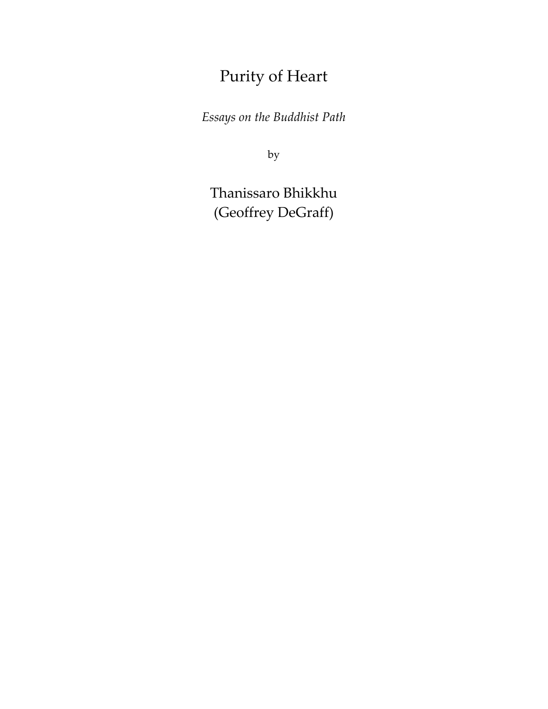# Purity of Heart

*Essays on the Buddhist Path*

by

Thanissaro Bhikkhu (Geoffrey DeGraff)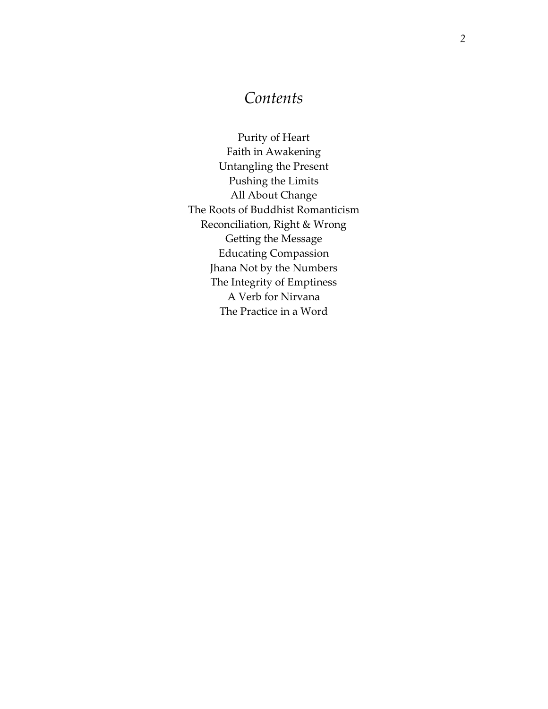# *Contents*

Purity of Heart Faith in Awakening Untangling the Present Pushing the Limits All About Change The Roots of Buddhist Romanticism Reconciliation, Right & Wrong Getting the Message Educating Compassion Jhana Not by the Numbers The Integrity of Emptiness A Verb for Nirvana The Practice in a Word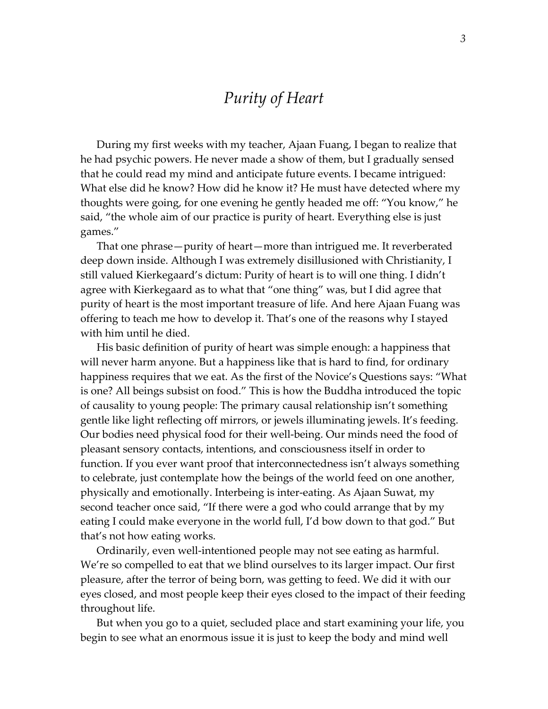# *Purity of Heart*

During my first weeks with my teacher, Ajaan Fuang, I began to realize that he had psychic powers. He never made a show of them, but I gradually sensed that he could read my mind and anticipate future events. I became intrigued: What else did he know? How did he know it? He must have detected where my thoughts were going, for one evening he gently headed me off: "You know," he said, "the whole aim of our practice is purity of heart. Everything else is just games."

That one phrase—purity of heart—more than intrigued me. It reverberated deep down inside. Although I was extremely disillusioned with Christianity, I still valued Kierkegaard's dictum: Purity of heart is to will one thing. I didn't agree with Kierkegaard as to what that "one thing" was, but I did agree that purity of heart is the most important treasure of life. And here Ajaan Fuang was offering to teach me how to develop it. That's one of the reasons why I stayed with him until he died.

His basic definition of purity of heart was simple enough: a happiness that will never harm anyone. But a happiness like that is hard to find, for ordinary happiness requires that we eat. As the first of the Novice's Questions says: "What is one? All beings subsist on food." This is how the Buddha introduced the topic of causality to young people: The primary causal relationship isn't something gentle like light reflecting off mirrors, or jewels illuminating jewels. It's feeding. Our bodies need physical food for their well‐being. Our minds need the food of pleasant sensory contacts, intentions, and consciousness itself in order to function. If you ever want proof that interconnectedness isn't always something to celebrate, just contemplate how the beings of the world feed on one another, physically and emotionally. Interbeing is inter‐eating. As Ajaan Suwat, my second teacher once said, "If there were a god who could arrange that by my eating I could make everyone in the world full, I'd bow down to that god." But that's not how eating works.

Ordinarily, even well‐intentioned people may not see eating as harmful. We're so compelled to eat that we blind ourselves to its larger impact. Our first pleasure, after the terror of being born, was getting to feed. We did it with our eyes closed, and most people keep their eyes closed to the impact of their feeding throughout life.

But when you go to a quiet, secluded place and start examining your life, you begin to see what an enormous issue it is just to keep the body and mind well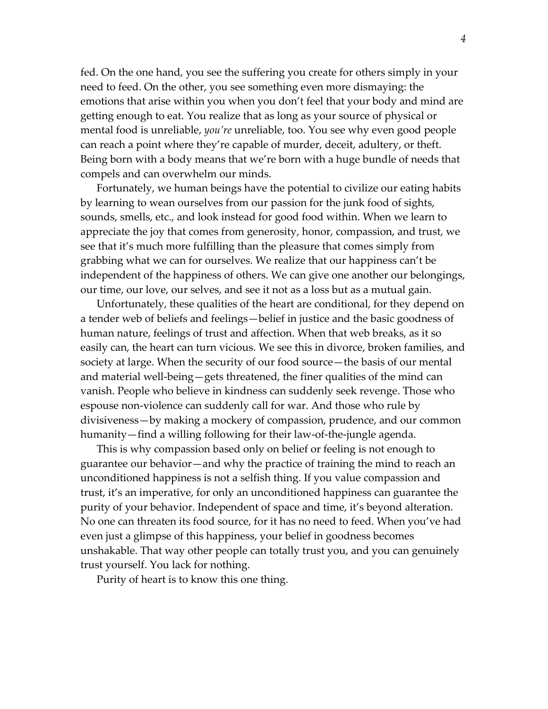fed. On the one hand, you see the suffering you create for others simply in your need to feed. On the other, you see something even more dismaying: the emotions that arise within you when you don't feel that your body and mind are getting enough to eat. You realize that as long as your source of physical or mental food is unreliable, *you're* unreliable, too. You see why even good people can reach a point where they're capable of murder, deceit, adultery, or theft. Being born with a body means that we're born with a huge bundle of needs that compels and can overwhelm our minds.

Fortunately, we human beings have the potential to civilize our eating habits by learning to wean ourselves from our passion for the junk food of sights, sounds, smells, etc., and look instead for good food within. When we learn to appreciate the joy that comes from generosity, honor, compassion, and trust, we see that it's much more fulfilling than the pleasure that comes simply from grabbing what we can for ourselves. We realize that our happiness can't be independent of the happiness of others. We can give one another our belongings, our time, our love, our selves, and see it not as a loss but as a mutual gain.

Unfortunately, these qualities of the heart are conditional, for they depend on a tender web of beliefs and feelings—belief in justice and the basic goodness of human nature, feelings of trust and affection. When that web breaks, as it so easily can, the heart can turn vicious. We see this in divorce, broken families, and society at large. When the security of our food source—the basis of our mental and material well‐being—gets threatened, the finer qualities of the mind can vanish. People who believe in kindness can suddenly seek revenge. Those who espouse non‐violence can suddenly call for war. And those who rule by divisiveness—by making a mockery of compassion, prudence, and our common humanity—find a willing following for their law‐of‐the‐jungle agenda.

This is why compassion based only on belief or feeling is not enough to guarantee our behavior—and why the practice of training the mind to reach an unconditioned happiness is not a selfish thing. If you value compassion and trust, it's an imperative, for only an unconditioned happiness can guarantee the purity of your behavior. Independent of space and time, it's beyond alteration. No one can threaten its food source, for it has no need to feed. When you've had even just a glimpse of this happiness, your belief in goodness becomes unshakable. That way other people can totally trust you, and you can genuinely trust yourself. You lack for nothing.

Purity of heart is to know this one thing.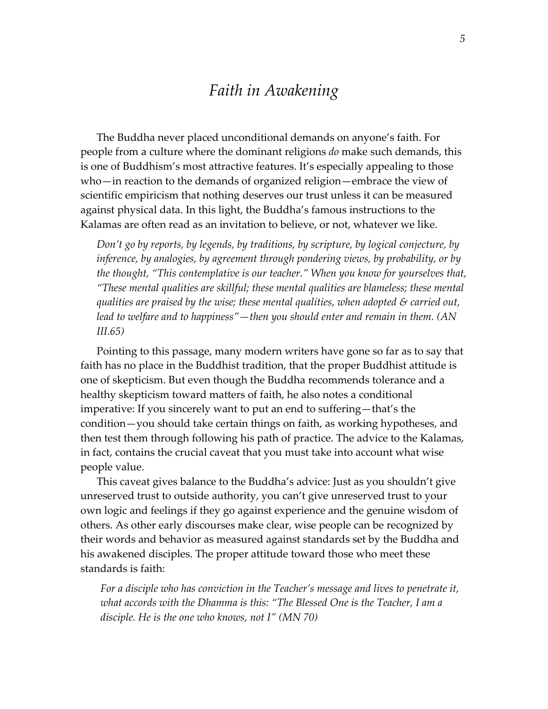### *Faith in Awakening*

The Buddha never placed unconditional demands on anyone's faith. For people from a culture where the dominant religions *do* make such demands, this is one of Buddhism's most attractive features. It's especially appealing to those who—in reaction to the demands of organized religion—embrace the view of scientific empiricism that nothing deserves our trust unless it can be measured against physical data. In this light, the Buddha's famous instructions to the Kalamas are often read as an invitation to believe, or not, whatever we like.

*Don't go by reports, by legends, by traditions, by scripture, by logical conjecture, by inference, by analogies, by agreement through pondering views, by probability, or by the thought, "This contemplative is our teacher." When you know for yourselves that, "These mental qualities are skillful; these mental qualities are blameless; these mental qualities are praised by the wise; these mental qualities, when adopted & carried out, lead to welfare and to happiness"—then you should enter and remain in them. (AN III.65)*

Pointing to this passage, many modern writers have gone so far as to say that faith has no place in the Buddhist tradition, that the proper Buddhist attitude is one of skepticism. But even though the Buddha recommends tolerance and a healthy skepticism toward matters of faith, he also notes a conditional imperative: If you sincerely want to put an end to suffering—that's the condition—you should take certain things on faith, as working hypotheses, and then test them through following his path of practice. The advice to the Kalamas, in fact, contains the crucial caveat that you must take into account what wise people value.

This caveat gives balance to the Buddha's advice: Just as you shouldn't give unreserved trust to outside authority, you can't give unreserved trust to your own logic and feelings if they go against experience and the genuine wisdom of others. As other early discourses make clear, wise people can be recognized by their words and behavior as measured against standards set by the Buddha and his awakened disciples. The proper attitude toward those who meet these standards is faith:

*For a disciple who has conviction in the Teacher's message and lives to penetrate it, what accords with the Dhamma is this: "The Blessed One is the Teacher, I am a disciple. He is the one who knows, not I" (MN 70)*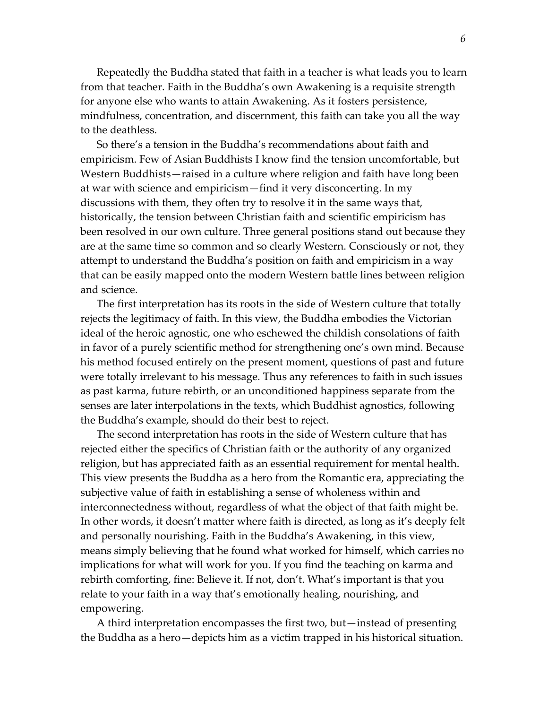Repeatedly the Buddha stated that faith in a teacher is what leads you to learn from that teacher. Faith in the Buddha's own Awakening is a requisite strength for anyone else who wants to attain Awakening. As it fosters persistence, mindfulness, concentration, and discernment, this faith can take you all the way to the deathless.

So there's a tension in the Buddha's recommendations about faith and empiricism. Few of Asian Buddhists I know find the tension uncomfortable, but Western Buddhists—raised in a culture where religion and faith have long been at war with science and empiricism—find it very disconcerting. In my discussions with them, they often try to resolve it in the same ways that, historically, the tension between Christian faith and scientific empiricism has been resolved in our own culture. Three general positions stand out because they are at the same time so common and so clearly Western. Consciously or not, they attempt to understand the Buddha's position on faith and empiricism in a way that can be easily mapped onto the modern Western battle lines between religion and science.

The first interpretation has its roots in the side of Western culture that totally rejects the legitimacy of faith. In this view, the Buddha embodies the Victorian ideal of the heroic agnostic, one who eschewed the childish consolations of faith in favor of a purely scientific method for strengthening one's own mind. Because his method focused entirely on the present moment, questions of past and future were totally irrelevant to his message. Thus any references to faith in such issues as past karma, future rebirth, or an unconditioned happiness separate from the senses are later interpolations in the texts, which Buddhist agnostics, following the Buddha's example, should do their best to reject.

The second interpretation has roots in the side of Western culture that has rejected either the specifics of Christian faith or the authority of any organized religion, but has appreciated faith as an essential requirement for mental health. This view presents the Buddha as a hero from the Romantic era, appreciating the subjective value of faith in establishing a sense of wholeness within and interconnectedness without, regardless of what the object of that faith might be. In other words, it doesn't matter where faith is directed, as long as it's deeply felt and personally nourishing. Faith in the Buddha's Awakening, in this view, means simply believing that he found what worked for himself, which carries no implications for what will work for you. If you find the teaching on karma and rebirth comforting, fine: Believe it. If not, don't. What's important is that you relate to your faith in a way that's emotionally healing, nourishing, and empowering.

A third interpretation encompasses the first two, but—instead of presenting the Buddha as a hero—depicts him as a victim trapped in his historical situation.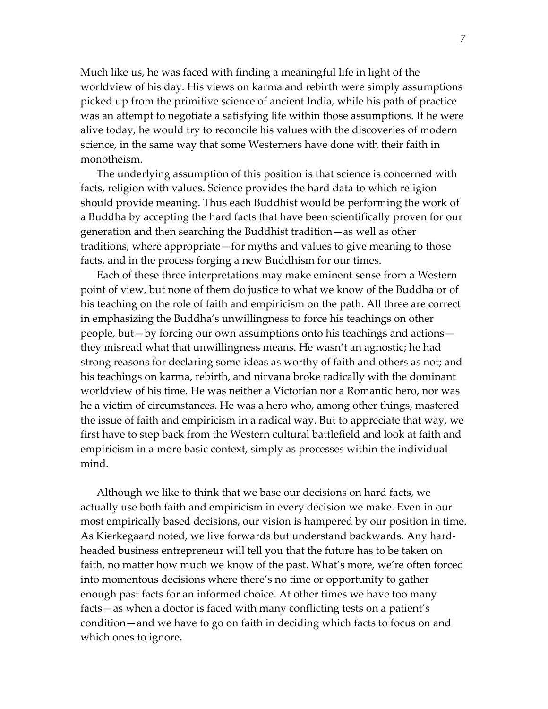Much like us, he was faced with finding a meaningful life in light of the worldview of his day. His views on karma and rebirth were simply assumptions picked up from the primitive science of ancient India, while his path of practice was an attempt to negotiate a satisfying life within those assumptions. If he were alive today, he would try to reconcile his values with the discoveries of modern science, in the same way that some Westerners have done with their faith in monotheism.

The underlying assumption of this position is that science is concerned with facts, religion with values. Science provides the hard data to which religion should provide meaning. Thus each Buddhist would be performing the work of a Buddha by accepting the hard facts that have been scientifically proven for our generation and then searching the Buddhist tradition—as well as other traditions, where appropriate—for myths and values to give meaning to those facts, and in the process forging a new Buddhism for our times.

Each of these three interpretations may make eminent sense from a Western point of view, but none of them do justice to what we know of the Buddha or of his teaching on the role of faith and empiricism on the path. All three are correct in emphasizing the Buddha's unwillingness to force his teachings on other people, but—by forcing our own assumptions onto his teachings and actions they misread what that unwillingness means. He wasn't an agnostic; he had strong reasons for declaring some ideas as worthy of faith and others as not; and his teachings on karma, rebirth, and nirvana broke radically with the dominant worldview of his time. He was neither a Victorian nor a Romantic hero, nor was he a victim of circumstances. He was a hero who, among other things, mastered the issue of faith and empiricism in a radical way. But to appreciate that way, we first have to step back from the Western cultural battlefield and look at faith and empiricism in a more basic context, simply as processes within the individual mind.

Although we like to think that we base our decisions on hard facts, we actually use both faith and empiricism in every decision we make. Even in our most empirically based decisions, our vision is hampered by our position in time. As Kierkegaard noted, we live forwards but understand backwards. Any hard‐ headed business entrepreneur will tell you that the future has to be taken on faith, no matter how much we know of the past. What's more, we're often forced into momentous decisions where there's no time or opportunity to gather enough past facts for an informed choice. At other times we have too many facts—as when a doctor is faced with many conflicting tests on a patient's condition—and we have to go on faith in deciding which facts to focus on and which ones to ignore**.**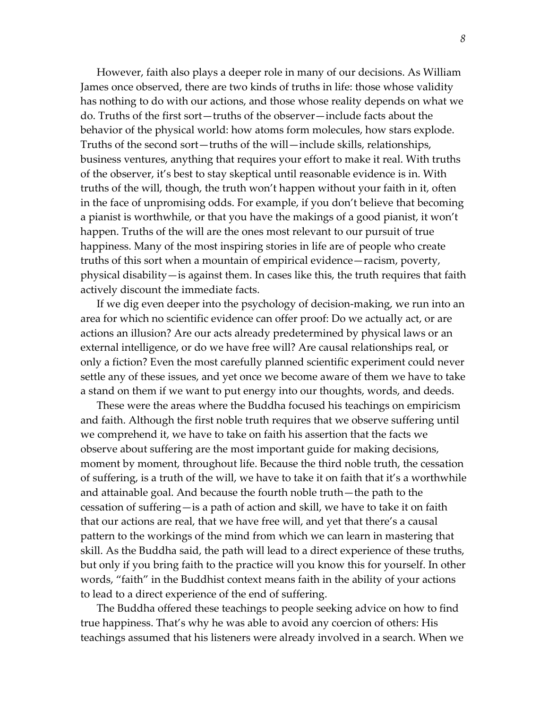However, faith also plays a deeper role in many of our decisions. As William James once observed, there are two kinds of truths in life: those whose validity has nothing to do with our actions, and those whose reality depends on what we do. Truths of the first sort—truths of the observer—include facts about the behavior of the physical world: how atoms form molecules, how stars explode. Truths of the second sort—truths of the will—include skills, relationships, business ventures, anything that requires your effort to make it real. With truths of the observer, it's best to stay skeptical until reasonable evidence is in. With truths of the will, though, the truth won't happen without your faith in it, often in the face of unpromising odds. For example, if you don't believe that becoming a pianist is worthwhile, or that you have the makings of a good pianist, it won't happen. Truths of the will are the ones most relevant to our pursuit of true happiness. Many of the most inspiring stories in life are of people who create truths of this sort when a mountain of empirical evidence—racism, poverty, physical disability—is against them. In cases like this, the truth requires that faith actively discount the immediate facts.

If we dig even deeper into the psychology of decision‐making, we run into an area for which no scientific evidence can offer proof: Do we actually act, or are actions an illusion? Are our acts already predetermined by physical laws or an external intelligence, or do we have free will? Are causal relationships real, or only a fiction? Even the most carefully planned scientific experiment could never settle any of these issues, and yet once we become aware of them we have to take a stand on them if we want to put energy into our thoughts, words, and deeds.

These were the areas where the Buddha focused his teachings on empiricism and faith. Although the first noble truth requires that we observe suffering until we comprehend it, we have to take on faith his assertion that the facts we observe about suffering are the most important guide for making decisions, moment by moment, throughout life. Because the third noble truth, the cessation of suffering, is a truth of the will, we have to take it on faith that it's a worthwhile and attainable goal. And because the fourth noble truth—the path to the cessation of suffering—is a path of action and skill, we have to take it on faith that our actions are real, that we have free will, and yet that there's a causal pattern to the workings of the mind from which we can learn in mastering that skill. As the Buddha said, the path will lead to a direct experience of these truths, but only if you bring faith to the practice will you know this for yourself. In other words, "faith" in the Buddhist context means faith in the ability of your actions to lead to a direct experience of the end of suffering.

The Buddha offered these teachings to people seeking advice on how to find true happiness. That's why he was able to avoid any coercion of others: His teachings assumed that his listeners were already involved in a search. When we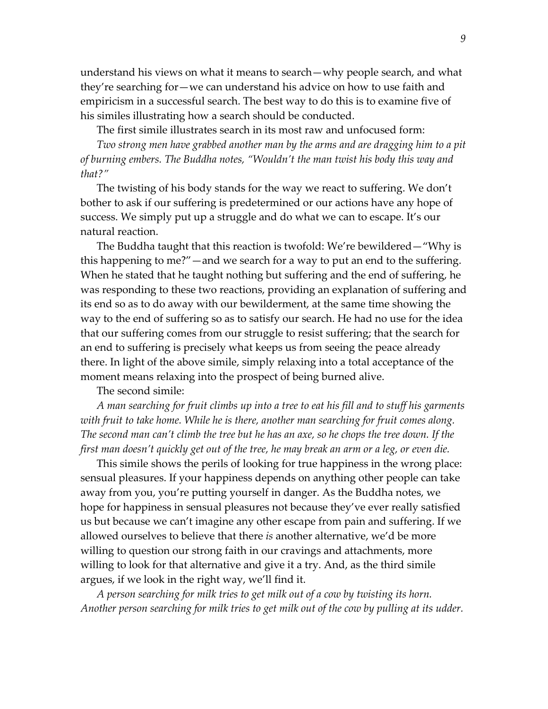understand his views on what it means to search—why people search, and what they're searching for—we can understand his advice on how to use faith and empiricism in a successful search. The best way to do this is to examine five of his similes illustrating how a search should be conducted.

The first simile illustrates search in its most raw and unfocused form:

*Two strong men have grabbed another man by the arms and are dragging him to a pit of burning embers. The Buddha notes, "Wouldn't the man twist his body this way and that?"*

The twisting of his body stands for the way we react to suffering. We don't bother to ask if our suffering is predetermined or our actions have any hope of success. We simply put up a struggle and do what we can to escape. It's our natural reaction.

The Buddha taught that this reaction is twofold: We're bewildered—"Why is this happening to me?"—and we search for a way to put an end to the suffering. When he stated that he taught nothing but suffering and the end of suffering, he was responding to these two reactions, providing an explanation of suffering and its end so as to do away with our bewilderment, at the same time showing the way to the end of suffering so as to satisfy our search. He had no use for the idea that our suffering comes from our struggle to resist suffering; that the search for an end to suffering is precisely what keeps us from seeing the peace already there. In light of the above simile, simply relaxing into a total acceptance of the moment means relaxing into the prospect of being burned alive.

The second simile:

*A man searching for fruit climbs up into a tree to eat his fill and to stuff his garments with fruit to take home. While he is there, another man searching for fruit comes along.* The second man can't climb the tree but he has an axe, so he chops the tree down. If the first man doesn't quickly get out of the tree, he may break an arm or a leg, or even die.

This simile shows the perils of looking for true happiness in the wrong place: sensual pleasures. If your happiness depends on anything other people can take away from you, you're putting yourself in danger. As the Buddha notes, we hope for happiness in sensual pleasures not because they've ever really satisfied us but because we can't imagine any other escape from pain and suffering. If we allowed ourselves to believe that there *is* another alternative, we'd be more willing to question our strong faith in our cravings and attachments, more willing to look for that alternative and give it a try. And, as the third simile argues, if we look in the right way, we'll find it.

*A person searching for milk tries to get milk out of a cow by twisting its horn.* Another person searching for milk tries to get milk out of the cow by pulling at its udder.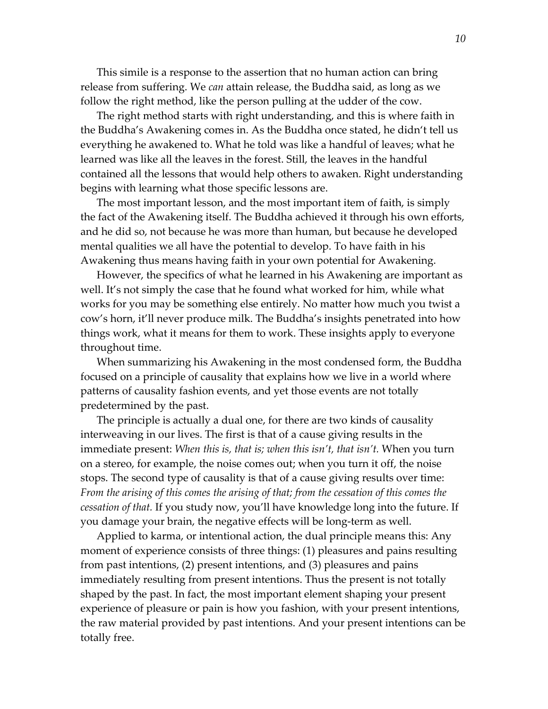This simile is a response to the assertion that no human action can bring release from suffering. We *can* attain release, the Buddha said, as long as we follow the right method, like the person pulling at the udder of the cow.

The right method starts with right understanding, and this is where faith in the Buddha's Awakening comes in. As the Buddha once stated, he didn't tell us everything he awakened to. What he told was like a handful of leaves; what he learned was like all the leaves in the forest. Still, the leaves in the handful contained all the lessons that would help others to awaken. Right understanding begins with learning what those specific lessons are.

The most important lesson, and the most important item of faith, is simply the fact of the Awakening itself. The Buddha achieved it through his own efforts, and he did so, not because he was more than human, but because he developed mental qualities we all have the potential to develop. To have faith in his Awakening thus means having faith in your own potential for Awakening.

However, the specifics of what he learned in his Awakening are important as well. It's not simply the case that he found what worked for him, while what works for you may be something else entirely. No matter how much you twist a cow's horn, it'll never produce milk. The Buddha's insights penetrated into how things work, what it means for them to work. These insights apply to everyone throughout time.

When summarizing his Awakening in the most condensed form, the Buddha focused on a principle of causality that explains how we live in a world where patterns of causality fashion events, and yet those events are not totally predetermined by the past.

The principle is actually a dual one, for there are two kinds of causality interweaving in our lives. The first is that of a cause giving results in the immediate present: *When this is, that is; when this isn't, that isn't.* When you turn on a stereo, for example, the noise comes out; when you turn it off, the noise stops. The second type of causality is that of a cause giving results over time: *From the arising of this comes the arising of that; from the cessation of this comes the cessation of that.* If you study now, you'll have knowledge long into the future. If you damage your brain, the negative effects will be long‐term as well.

Applied to karma, or intentional action, the dual principle means this: Any moment of experience consists of three things: (1) pleasures and pains resulting from past intentions, (2) present intentions, and (3) pleasures and pains immediately resulting from present intentions. Thus the present is not totally shaped by the past. In fact, the most important element shaping your present experience of pleasure or pain is how you fashion, with your present intentions, the raw material provided by past intentions. And your present intentions can be totally free.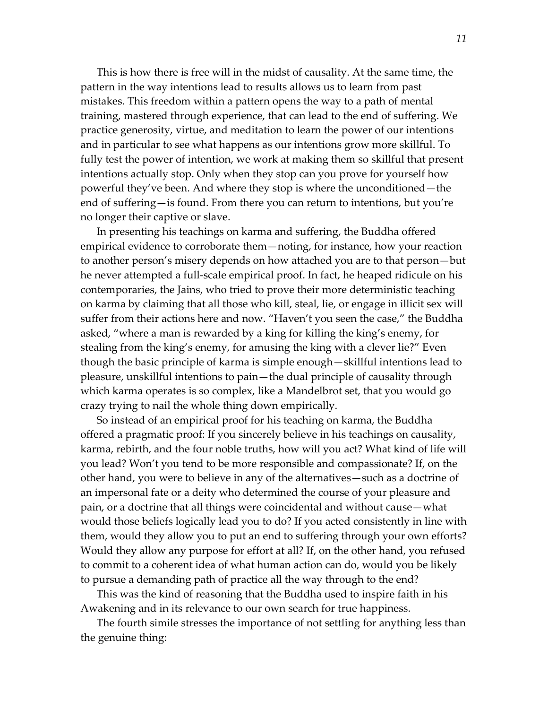This is how there is free will in the midst of causality. At the same time, the pattern in the way intentions lead to results allows us to learn from past mistakes. This freedom within a pattern opens the way to a path of mental training, mastered through experience, that can lead to the end of suffering. We practice generosity, virtue, and meditation to learn the power of our intentions and in particular to see what happens as our intentions grow more skillful. To fully test the power of intention, we work at making them so skillful that present intentions actually stop. Only when they stop can you prove for yourself how powerful they've been. And where they stop is where the unconditioned—the end of suffering—is found. From there you can return to intentions, but you're no longer their captive or slave.

In presenting his teachings on karma and suffering, the Buddha offered empirical evidence to corroborate them—noting, for instance, how your reaction to another person's misery depends on how attached you are to that person—but he never attempted a full‐scale empirical proof. In fact, he heaped ridicule on his contemporaries, the Jains, who tried to prove their more deterministic teaching on karma by claiming that all those who kill, steal, lie, or engage in illicit sex will suffer from their actions here and now. "Haven't you seen the case," the Buddha asked, "where a man is rewarded by a king for killing the king's enemy, for stealing from the king's enemy, for amusing the king with a clever lie?" Even though the basic principle of karma is simple enough—skillful intentions lead to pleasure, unskillful intentions to pain—the dual principle of causality through which karma operates is so complex, like a Mandelbrot set, that you would go crazy trying to nail the whole thing down empirically.

So instead of an empirical proof for his teaching on karma, the Buddha offered a pragmatic proof: If you sincerely believe in his teachings on causality, karma, rebirth, and the four noble truths, how will you act? What kind of life will you lead? Won't you tend to be more responsible and compassionate? If, on the other hand, you were to believe in any of the alternatives—such as a doctrine of an impersonal fate or a deity who determined the course of your pleasure and pain, or a doctrine that all things were coincidental and without cause—what would those beliefs logically lead you to do? If you acted consistently in line with them, would they allow you to put an end to suffering through your own efforts? Would they allow any purpose for effort at all? If, on the other hand, you refused to commit to a coherent idea of what human action can do, would you be likely to pursue a demanding path of practice all the way through to the end?

This was the kind of reasoning that the Buddha used to inspire faith in his Awakening and in its relevance to our own search for true happiness.

The fourth simile stresses the importance of not settling for anything less than the genuine thing: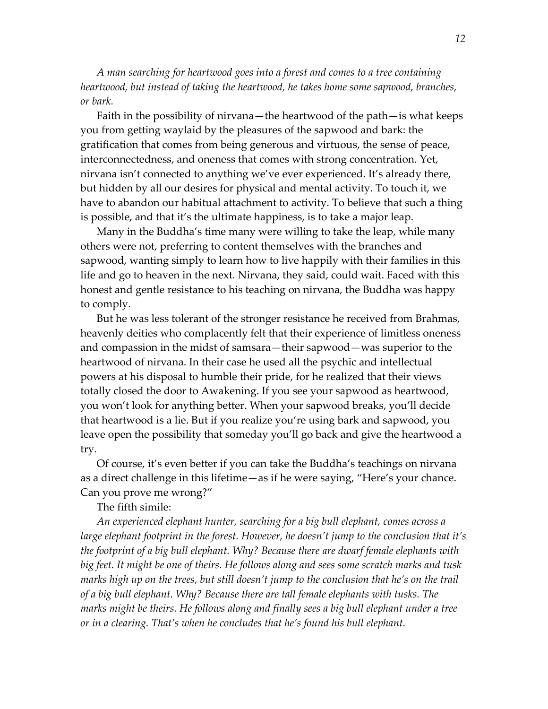*A man searching for heartwood goes into a forest and comes to a tree containing heartwood, but instead of taking the heartwood, he takes home some sapwood, branches, or bark.* 

Faith in the possibility of nirvana—the heartwood of the path—is what keeps you from getting waylaid by the pleasures of the sapwood and bark: the gratification that comes from being generous and virtuous, the sense of peace, interconnectedness, and oneness that comes with strong concentration. Yet, nirvana isn't connected to anything we've ever experienced. It's already there, but hidden by all our desires for physical and mental activity. To touch it, we have to abandon our habitual attachment to activity. To believe that such a thing is possible, and that it's the ultimate happiness, is to take a major leap.

Many in the Buddha's time many were willing to take the leap, while many others were not, preferring to content themselves with the branches and sapwood, wanting simply to learn how to live happily with their families in this life and go to heaven in the next. Nirvana, they said, could wait. Faced with this honest and gentle resistance to his teaching on nirvana, the Buddha was happy to comply.

But he was less tolerant of the stronger resistance he received from Brahmas, heavenly deities who complacently felt that their experience of limitless oneness and compassion in the midst of samsara—their sapwood—was superior to the heartwood of nirvana. In their case he used all the psychic and intellectual powers at his disposal to humble their pride, for he realized that their views totally closed the door to Awakening. If you see your sapwood as heartwood, you won't look for anything better. When your sapwood breaks, you'll decide that heartwood is a lie. But if you realize you're using bark and sapwood, you leave open the possibility that someday you'll go back and give the heartwood a try.

Of course, it's even better if you can take the Buddha's teachings on nirvana as a direct challenge in this lifetime—as if he were saying, "Here's your chance. Can you prove me wrong?"

The fifth simile:

*An experienced elephant hunter, searching for a big bull elephant, comes across a large elephant footprint in the forest. However, he doesn't jump to the conclusion that it's the footprint of a big bull elephant. Why? Because there are dwarf female elephants with big feet. It might be one of theirs. He follows along and sees some scratch marks and tusk marks high up on the trees, but still doesn't jump to the conclusion that he's on the trail of a big bull elephant. Why? Because there are tall female elephants with tusks. The marks might be theirs. He follows along and finally sees a big bull elephant under a tree or in a clearing. That's when he concludes that he's found his bull elephant.*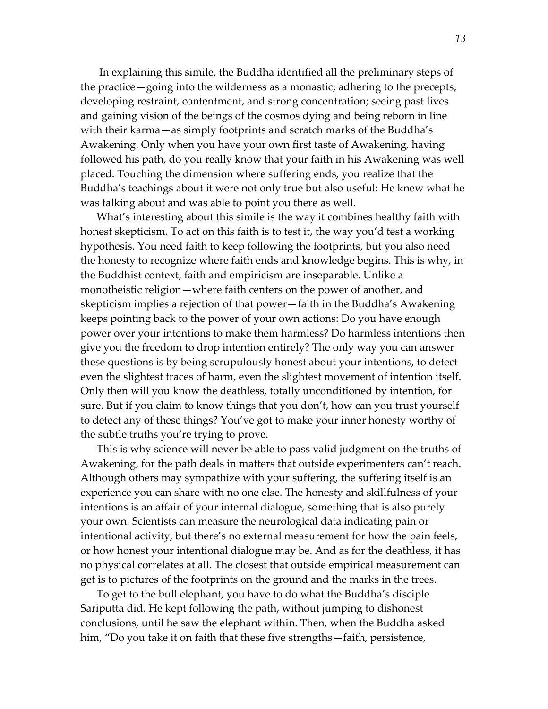In explaining this simile, the Buddha identified all the preliminary steps of the practice—going into the wilderness as a monastic; adhering to the precepts; developing restraint, contentment, and strong concentration; seeing past lives and gaining vision of the beings of the cosmos dying and being reborn in line with their karma—as simply footprints and scratch marks of the Buddha's Awakening. Only when you have your own first taste of Awakening, having followed his path, do you really know that your faith in his Awakening was well placed. Touching the dimension where suffering ends, you realize that the Buddha's teachings about it were not only true but also useful: He knew what he was talking about and was able to point you there as well.

What's interesting about this simile is the way it combines healthy faith with honest skepticism. To act on this faith is to test it, the way you'd test a working hypothesis. You need faith to keep following the footprints, but you also need the honesty to recognize where faith ends and knowledge begins. This is why, in the Buddhist context, faith and empiricism are inseparable. Unlike a monotheistic religion—where faith centers on the power of another, and skepticism implies a rejection of that power—faith in the Buddha's Awakening keeps pointing back to the power of your own actions: Do you have enough power over your intentions to make them harmless? Do harmless intentions then give you the freedom to drop intention entirely? The only way you can answer these questions is by being scrupulously honest about your intentions, to detect even the slightest traces of harm, even the slightest movement of intention itself. Only then will you know the deathless, totally unconditioned by intention, for sure. But if you claim to know things that you don't, how can you trust yourself to detect any of these things? You've got to make your inner honesty worthy of the subtle truths you're trying to prove.

This is why science will never be able to pass valid judgment on the truths of Awakening, for the path deals in matters that outside experimenters can't reach. Although others may sympathize with your suffering, the suffering itself is an experience you can share with no one else. The honesty and skillfulness of your intentions is an affair of your internal dialogue, something that is also purely your own. Scientists can measure the neurological data indicating pain or intentional activity, but there's no external measurement for how the pain feels, or how honest your intentional dialogue may be. And as for the deathless, it has no physical correlates at all. The closest that outside empirical measurement can get is to pictures of the footprints on the ground and the marks in the trees.

To get to the bull elephant, you have to do what the Buddha's disciple Sariputta did. He kept following the path, without jumping to dishonest conclusions, until he saw the elephant within. Then, when the Buddha asked him, "Do you take it on faith that these five strengths—faith, persistence,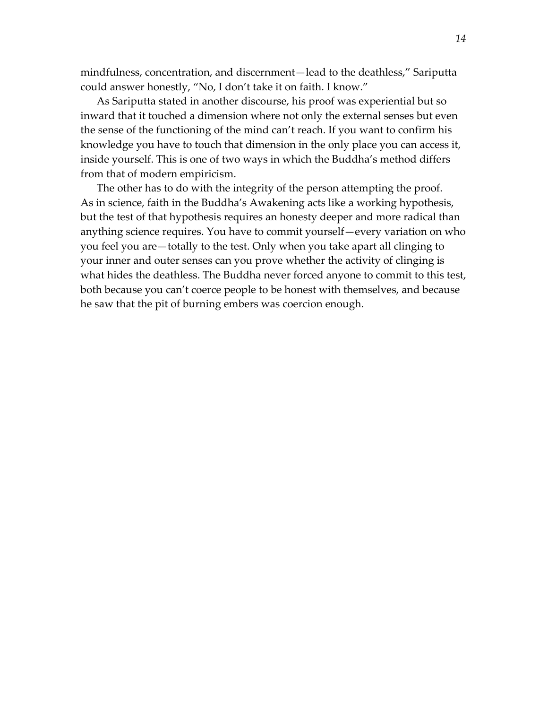mindfulness, concentration, and discernment—lead to the deathless," Sariputta could answer honestly, "No, I don't take it on faith. I know."

As Sariputta stated in another discourse, his proof was experiential but so inward that it touched a dimension where not only the external senses but even the sense of the functioning of the mind can't reach. If you want to confirm his knowledge you have to touch that dimension in the only place you can access it, inside yourself. This is one of two ways in which the Buddha's method differs from that of modern empiricism.

The other has to do with the integrity of the person attempting the proof. As in science, faith in the Buddha's Awakening acts like a working hypothesis, but the test of that hypothesis requires an honesty deeper and more radical than anything science requires. You have to commit yourself—every variation on who you feel you are—totally to the test. Only when you take apart all clinging to your inner and outer senses can you prove whether the activity of clinging is what hides the deathless. The Buddha never forced anyone to commit to this test, both because you can't coerce people to be honest with themselves, and because he saw that the pit of burning embers was coercion enough.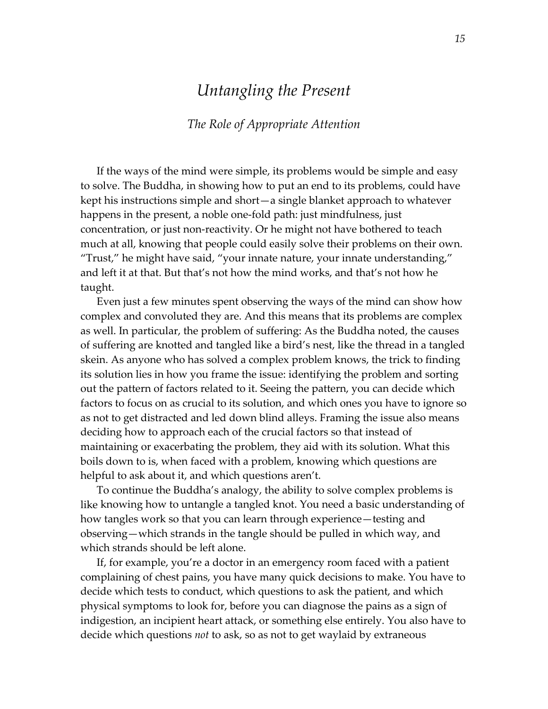# *Untangling the Present*

#### *The Role of Appropriate Attention*

If the ways of the mind were simple, its problems would be simple and easy to solve. The Buddha, in showing how to put an end to its problems, could have kept his instructions simple and short—a single blanket approach to whatever happens in the present, a noble one‐fold path: just mindfulness, just concentration, or just non‐reactivity. Or he might not have bothered to teach much at all, knowing that people could easily solve their problems on their own. "Trust," he might have said, "your innate nature, your innate understanding," and left it at that. But that's not how the mind works, and that's not how he taught.

Even just a few minutes spent observing the ways of the mind can show how complex and convoluted they are. And this means that its problems are complex as well. In particular, the problem of suffering: As the Buddha noted, the causes of suffering are knotted and tangled like a bird's nest, like the thread in a tangled skein. As anyone who has solved a complex problem knows, the trick to finding its solution lies in how you frame the issue: identifying the problem and sorting out the pattern of factors related to it. Seeing the pattern, you can decide which factors to focus on as crucial to its solution, and which ones you have to ignore so as not to get distracted and led down blind alleys. Framing the issue also means deciding how to approach each of the crucial factors so that instead of maintaining or exacerbating the problem, they aid with its solution. What this boils down to is, when faced with a problem, knowing which questions are helpful to ask about it, and which questions aren't.

To continue the Buddha's analogy, the ability to solve complex problems is like knowing how to untangle a tangled knot. You need a basic understanding of how tangles work so that you can learn through experience—testing and observing—which strands in the tangle should be pulled in which way, and which strands should be left alone.

If, for example, you're a doctor in an emergency room faced with a patient complaining of chest pains, you have many quick decisions to make. You have to decide which tests to conduct, which questions to ask the patient, and which physical symptoms to look for, before you can diagnose the pains as a sign of indigestion, an incipient heart attack, or something else entirely. You also have to decide which questions *not* to ask, so as not to get waylaid by extraneous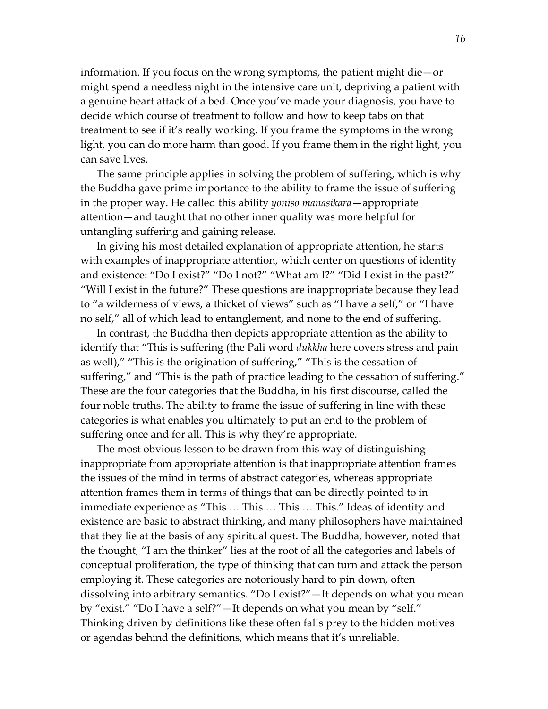information. If you focus on the wrong symptoms, the patient might die—or might spend a needless night in the intensive care unit, depriving a patient with a genuine heart attack of a bed. Once you've made your diagnosis, you have to decide which course of treatment to follow and how to keep tabs on that treatment to see if it's really working. If you frame the symptoms in the wrong light, you can do more harm than good. If you frame them in the right light, you can save lives.

The same principle applies in solving the problem of suffering, which is why the Buddha gave prime importance to the ability to frame the issue of suffering in the proper way. He called this ability *yoniso manasikara*—appropriate attention—and taught that no other inner quality was more helpful for untangling suffering and gaining release.

In giving his most detailed explanation of appropriate attention, he starts with examples of inappropriate attention, which center on questions of identity and existence: "Do I exist?" "Do I not?" "What am I?" "Did I exist in the past?" "Will I exist in the future?" These questions are inappropriate because they lead to "a wilderness of views, a thicket of views" such as "I have a self," or "I have no self," all of which lead to entanglement, and none to the end of suffering.

In contrast, the Buddha then depicts appropriate attention as the ability to identify that "This is suffering (the Pali word *dukkha* here covers stress and pain as well)," "This is the origination of suffering," "This is the cessation of suffering," and "This is the path of practice leading to the cessation of suffering." These are the four categories that the Buddha, in his first discourse, called the four noble truths. The ability to frame the issue of suffering in line with these categories is what enables you ultimately to put an end to the problem of suffering once and for all. This is why they're appropriate.

The most obvious lesson to be drawn from this way of distinguishing inappropriate from appropriate attention is that inappropriate attention frames the issues of the mind in terms of abstract categories, whereas appropriate attention frames them in terms of things that can be directly pointed to in immediate experience as "This … This … This … This." Ideas of identity and existence are basic to abstract thinking, and many philosophers have maintained that they lie at the basis of any spiritual quest. The Buddha, however, noted that the thought, "I am the thinker" lies at the root of all the categories and labels of conceptual proliferation, the type of thinking that can turn and attack the person employing it. These categories are notoriously hard to pin down, often dissolving into arbitrary semantics. "Do I exist?"—It depends on what you mean by "exist." "Do I have a self?"—It depends on what you mean by "self." Thinking driven by definitions like these often falls prey to the hidden motives or agendas behind the definitions, which means that it's unreliable.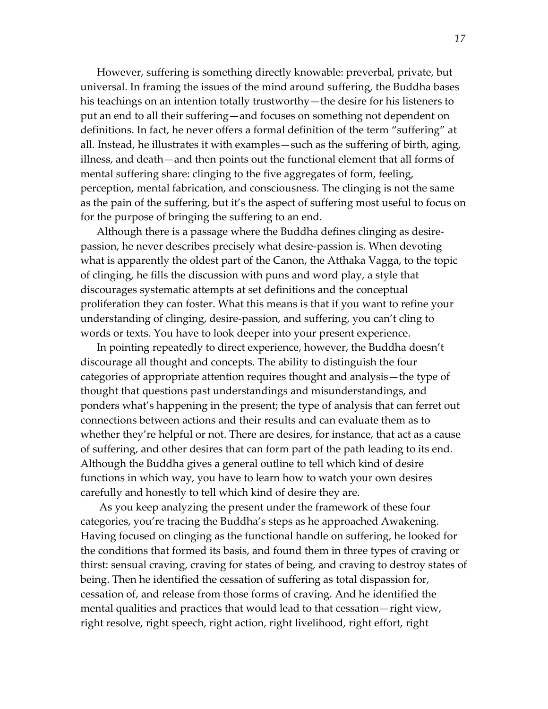However, suffering is something directly knowable: preverbal, private, but universal. In framing the issues of the mind around suffering, the Buddha bases his teachings on an intention totally trustworthy—the desire for his listeners to put an end to all their suffering—and focuses on something not dependent on definitions. In fact, he never offers a formal definition of the term "suffering" at all. Instead, he illustrates it with examples—such as the suffering of birth, aging, illness, and death—and then points out the functional element that all forms of mental suffering share: clinging to the five aggregates of form, feeling, perception, mental fabrication, and consciousness. The clinging is not the same as the pain of the suffering, but it's the aspect of suffering most useful to focus on for the purpose of bringing the suffering to an end.

Although there is a passage where the Buddha defines clinging as desire‐ passion, he never describes precisely what desire‐passion is. When devoting what is apparently the oldest part of the Canon, the Atthaka Vagga, to the topic of clinging, he fills the discussion with puns and word play, a style that discourages systematic attempts at set definitions and the conceptual proliferation they can foster. What this means is that if you want to refine your understanding of clinging, desire‐passion, and suffering, you can't cling to words or texts. You have to look deeper into your present experience.

In pointing repeatedly to direct experience, however, the Buddha doesn't discourage all thought and concepts. The ability to distinguish the four categories of appropriate attention requires thought and analysis—the type of thought that questions past understandings and misunderstandings, and ponders what's happening in the present; the type of analysis that can ferret out connections between actions and their results and can evaluate them as to whether they're helpful or not. There are desires, for instance, that act as a cause of suffering, and other desires that can form part of the path leading to its end. Although the Buddha gives a general outline to tell which kind of desire functions in which way, you have to learn how to watch your own desires carefully and honestly to tell which kind of desire they are.

As you keep analyzing the present under the framework of these four categories, you're tracing the Buddha's steps as he approached Awakening. Having focused on clinging as the functional handle on suffering, he looked for the conditions that formed its basis, and found them in three types of craving or thirst: sensual craving, craving for states of being, and craving to destroy states of being. Then he identified the cessation of suffering as total dispassion for, cessation of, and release from those forms of craving. And he identified the mental qualities and practices that would lead to that cessation—right view, right resolve, right speech, right action, right livelihood, right effort, right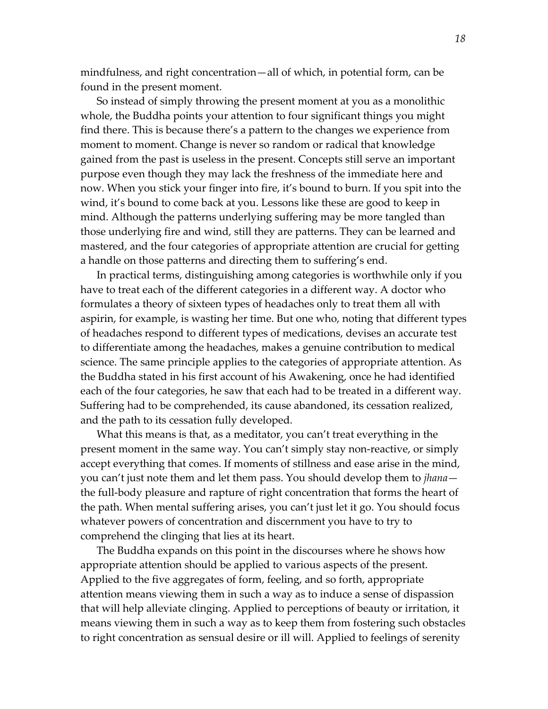mindfulness, and right concentration—all of which, in potential form, can be found in the present moment.

So instead of simply throwing the present moment at you as a monolithic whole, the Buddha points your attention to four significant things you might find there. This is because there's a pattern to the changes we experience from moment to moment. Change is never so random or radical that knowledge gained from the past is useless in the present. Concepts still serve an important purpose even though they may lack the freshness of the immediate here and now. When you stick your finger into fire, it's bound to burn. If you spit into the wind, it's bound to come back at you. Lessons like these are good to keep in mind. Although the patterns underlying suffering may be more tangled than those underlying fire and wind, still they are patterns. They can be learned and mastered, and the four categories of appropriate attention are crucial for getting a handle on those patterns and directing them to suffering's end.

In practical terms, distinguishing among categories is worthwhile only if you have to treat each of the different categories in a different way. A doctor who formulates a theory of sixteen types of headaches only to treat them all with aspirin, for example, is wasting her time. But one who, noting that different types of headaches respond to different types of medications, devises an accurate test to differentiate among the headaches, makes a genuine contribution to medical science. The same principle applies to the categories of appropriate attention. As the Buddha stated in his first account of his Awakening, once he had identified each of the four categories, he saw that each had to be treated in a different way. Suffering had to be comprehended, its cause abandoned, its cessation realized, and the path to its cessation fully developed.

What this means is that, as a meditator, you can't treat everything in the present moment in the same way. You can't simply stay non‐reactive, or simply accept everything that comes. If moments of stillness and ease arise in the mind, you can't just note them and let them pass. You should develop them to *jhana* the full‐body pleasure and rapture of right concentration that forms the heart of the path. When mental suffering arises, you can't just let it go. You should focus whatever powers of concentration and discernment you have to try to comprehend the clinging that lies at its heart.

The Buddha expands on this point in the discourses where he shows how appropriate attention should be applied to various aspects of the present. Applied to the five aggregates of form, feeling, and so forth, appropriate attention means viewing them in such a way as to induce a sense of dispassion that will help alleviate clinging. Applied to perceptions of beauty or irritation, it means viewing them in such a way as to keep them from fostering such obstacles to right concentration as sensual desire or ill will. Applied to feelings of serenity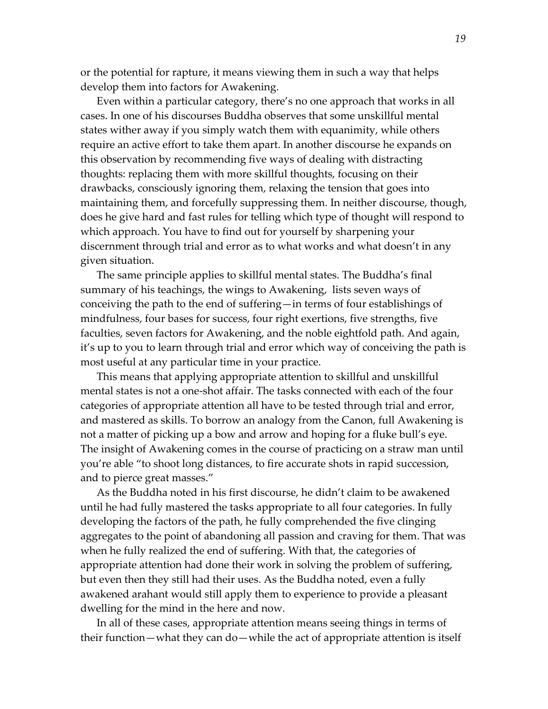or the potential for rapture, it means viewing them in such a way that helps develop them into factors for Awakening.

Even within a particular category, there's no one approach that works in all cases. In one of his discourses Buddha observes that some unskillful mental states wither away if you simply watch them with equanimity, while others require an active effort to take them apart. In another discourse he expands on this observation by recommending five ways of dealing with distracting thoughts: replacing them with more skillful thoughts, focusing on their drawbacks, consciously ignoring them, relaxing the tension that goes into maintaining them, and forcefully suppressing them. In neither discourse, though, does he give hard and fast rules for telling which type of thought will respond to which approach. You have to find out for yourself by sharpening your discernment through trial and error as to what works and what doesn't in any given situation.

The same principle applies to skillful mental states. The Buddha's final summary of his teachings, the wings to Awakening, lists seven ways of conceiving the path to the end of suffering—in terms of four establishings of mindfulness, four bases for success, four right exertions, five strengths, five faculties, seven factors for Awakening, and the noble eightfold path. And again, it's up to you to learn through trial and error which way of conceiving the path is most useful at any particular time in your practice.

This means that applying appropriate attention to skillful and unskillful mental states is not a one‐shot affair. The tasks connected with each of the four categories of appropriate attention all have to be tested through trial and error, and mastered as skills. To borrow an analogy from the Canon, full Awakening is not a matter of picking up a bow and arrow and hoping for a fluke bull's eye. The insight of Awakening comes in the course of practicing on a straw man until you're able "to shoot long distances, to fire accurate shots in rapid succession, and to pierce great masses."

As the Buddha noted in his first discourse, he didn't claim to be awakened until he had fully mastered the tasks appropriate to all four categories. In fully developing the factors of the path, he fully comprehended the five clinging aggregates to the point of abandoning all passion and craving for them. That was when he fully realized the end of suffering. With that, the categories of appropriate attention had done their work in solving the problem of suffering, but even then they still had their uses. As the Buddha noted, even a fully awakened arahant would still apply them to experience to provide a pleasant dwelling for the mind in the here and now.

In all of these cases, appropriate attention means seeing things in terms of their function—what they can do—while the act of appropriate attention is itself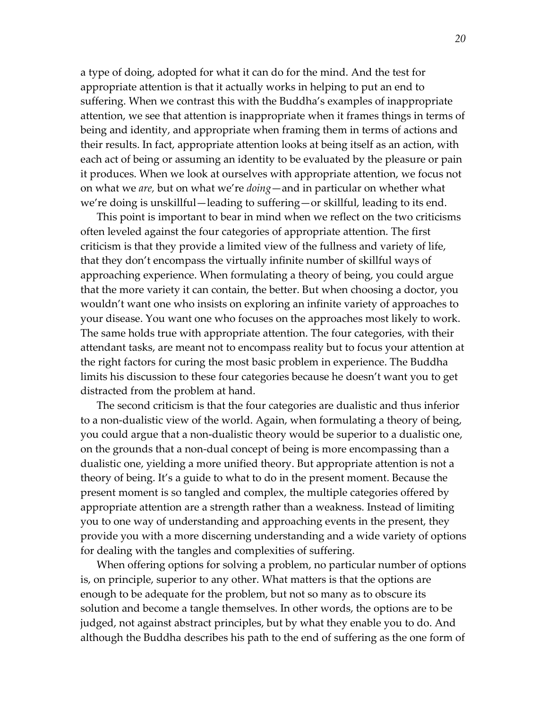a type of doing, adopted for what it can do for the mind. And the test for appropriate attention is that it actually works in helping to put an end to suffering. When we contrast this with the Buddha's examples of inappropriate attention, we see that attention is inappropriate when it frames things in terms of being and identity, and appropriate when framing them in terms of actions and their results. In fact, appropriate attention looks at being itself as an action, with each act of being or assuming an identity to be evaluated by the pleasure or pain it produces. When we look at ourselves with appropriate attention, we focus not on what we *are,* but on what we're *doing*—and in particular on whether what we're doing is unskillful—leading to suffering—or skillful, leading to its end.

This point is important to bear in mind when we reflect on the two criticisms often leveled against the four categories of appropriate attention. The first criticism is that they provide a limited view of the fullness and variety of life, that they don't encompass the virtually infinite number of skillful ways of approaching experience. When formulating a theory of being, you could argue that the more variety it can contain, the better. But when choosing a doctor, you wouldn't want one who insists on exploring an infinite variety of approaches to your disease. You want one who focuses on the approaches most likely to work. The same holds true with appropriate attention. The four categories, with their attendant tasks, are meant not to encompass reality but to focus your attention at the right factors for curing the most basic problem in experience. The Buddha limits his discussion to these four categories because he doesn't want you to get distracted from the problem at hand.

The second criticism is that the four categories are dualistic and thus inferior to a non‐dualistic view of the world. Again, when formulating a theory of being, you could argue that a non‐dualistic theory would be superior to a dualistic one, on the grounds that a non‐dual concept of being is more encompassing than a dualistic one, yielding a more unified theory. But appropriate attention is not a theory of being. It's a guide to what to do in the present moment. Because the present moment is so tangled and complex, the multiple categories offered by appropriate attention are a strength rather than a weakness. Instead of limiting you to one way of understanding and approaching events in the present, they provide you with a more discerning understanding and a wide variety of options for dealing with the tangles and complexities of suffering.

When offering options for solving a problem, no particular number of options is, on principle, superior to any other. What matters is that the options are enough to be adequate for the problem, but not so many as to obscure its solution and become a tangle themselves. In other words, the options are to be judged, not against abstract principles, but by what they enable you to do. And although the Buddha describes his path to the end of suffering as the one form of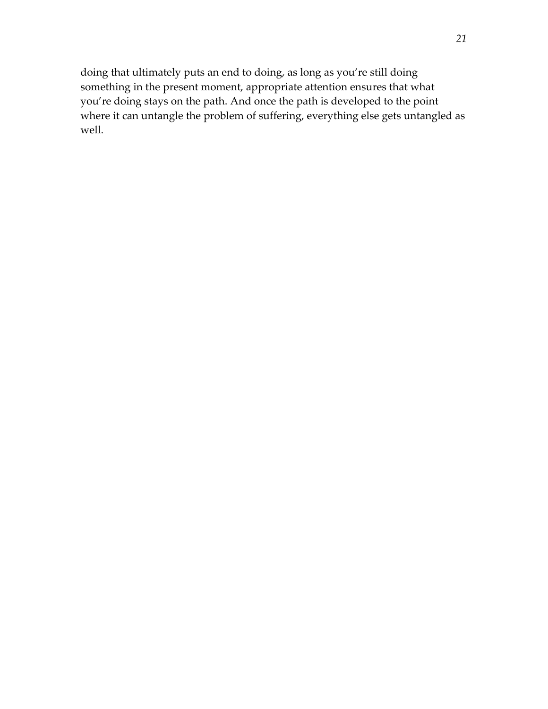doing that ultimately puts an end to doing, as long as you're still doing something in the present moment, appropriate attention ensures that what you're doing stays on the path. And once the path is developed to the point where it can untangle the problem of suffering, everything else gets untangled as well.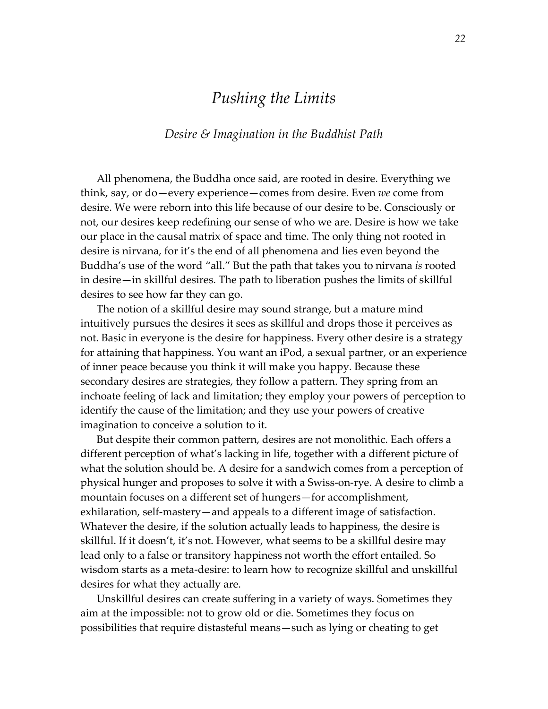# *Pushing the Limits*

#### *Desire & Imagination in the Buddhist Path*

All phenomena, the Buddha once said, are rooted in desire. Everything we think, say, or do—every experience—comes from desire. Even *we* come from desire. We were reborn into this life because of our desire to be. Consciously or not, our desires keep redefining our sense of who we are. Desire is how we take our place in the causal matrix of space and time. The only thing not rooted in desire is nirvana, for it's the end of all phenomena and lies even beyond the Buddha's use of the word "all." But the path that takes you to nirvana *is* rooted in desire—in skillful desires. The path to liberation pushes the limits of skillful desires to see how far they can go.

The notion of a skillful desire may sound strange, but a mature mind intuitively pursues the desires it sees as skillful and drops those it perceives as not. Basic in everyone is the desire for happiness. Every other desire is a strategy for attaining that happiness. You want an iPod, a sexual partner, or an experience of inner peace because you think it will make you happy. Because these secondary desires are strategies, they follow a pattern. They spring from an inchoate feeling of lack and limitation; they employ your powers of perception to identify the cause of the limitation; and they use your powers of creative imagination to conceive a solution to it.

But despite their common pattern, desires are not monolithic. Each offers a different perception of what's lacking in life, together with a different picture of what the solution should be. A desire for a sandwich comes from a perception of physical hunger and proposes to solve it with a Swiss‐on‐rye. A desire to climb a mountain focuses on a different set of hungers—for accomplishment, exhilaration, self‐mastery—and appeals to a different image of satisfaction. Whatever the desire, if the solution actually leads to happiness, the desire is skillful. If it doesn't, it's not. However, what seems to be a skillful desire may lead only to a false or transitory happiness not worth the effort entailed. So wisdom starts as a meta‐desire: to learn how to recognize skillful and unskillful desires for what they actually are.

Unskillful desires can create suffering in a variety of ways. Sometimes they aim at the impossible: not to grow old or die. Sometimes they focus on possibilities that require distasteful means—such as lying or cheating to get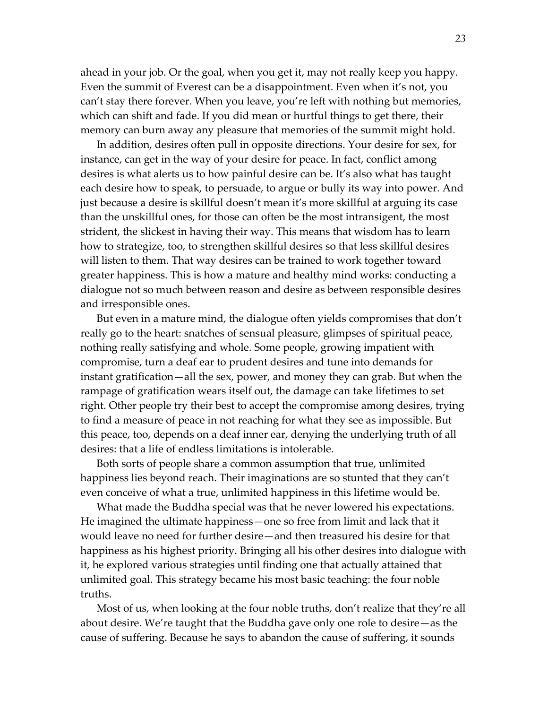ahead in your job. Or the goal, when you get it, may not really keep you happy. Even the summit of Everest can be a disappointment. Even when it's not, you can't stay there forever. When you leave, you're left with nothing but memories, which can shift and fade. If you did mean or hurtful things to get there, their memory can burn away any pleasure that memories of the summit might hold.

In addition, desires often pull in opposite directions. Your desire for sex, for instance, can get in the way of your desire for peace. In fact, conflict among desires is what alerts us to how painful desire can be. It's also what has taught each desire how to speak, to persuade, to argue or bully its way into power. And just because a desire is skillful doesn't mean it's more skillful at arguing its case than the unskillful ones, for those can often be the most intransigent, the most strident, the slickest in having their way. This means that wisdom has to learn how to strategize, too, to strengthen skillful desires so that less skillful desires will listen to them. That way desires can be trained to work together toward greater happiness. This is how a mature and healthy mind works: conducting a dialogue not so much between reason and desire as between responsible desires and irresponsible ones.

But even in a mature mind, the dialogue often yields compromises that don't really go to the heart: snatches of sensual pleasure, glimpses of spiritual peace, nothing really satisfying and whole. Some people, growing impatient with compromise, turn a deaf ear to prudent desires and tune into demands for instant gratification—all the sex, power, and money they can grab. But when the rampage of gratification wears itself out, the damage can take lifetimes to set right. Other people try their best to accept the compromise among desires, trying to find a measure of peace in not reaching for what they see as impossible. But this peace, too, depends on a deaf inner ear, denying the underlying truth of all desires: that a life of endless limitations is intolerable.

Both sorts of people share a common assumption that true, unlimited happiness lies beyond reach. Their imaginations are so stunted that they can't even conceive of what a true, unlimited happiness in this lifetime would be.

What made the Buddha special was that he never lowered his expectations. He imagined the ultimate happiness—one so free from limit and lack that it would leave no need for further desire—and then treasured his desire for that happiness as his highest priority. Bringing all his other desires into dialogue with it, he explored various strategies until finding one that actually attained that unlimited goal. This strategy became his most basic teaching: the four noble truths.

Most of us, when looking at the four noble truths, don't realize that they're all about desire. We're taught that the Buddha gave only one role to desire—as the cause of suffering. Because he says to abandon the cause of suffering, it sounds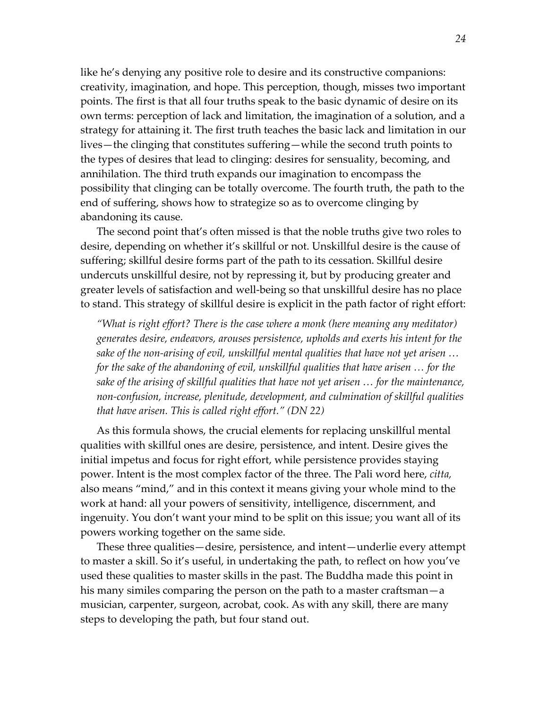like he's denying any positive role to desire and its constructive companions: creativity, imagination, and hope. This perception, though, misses two important points. The first is that all four truths speak to the basic dynamic of desire on its own terms: perception of lack and limitation, the imagination of a solution, and a strategy for attaining it. The first truth teaches the basic lack and limitation in our lives—the clinging that constitutes suffering—while the second truth points to the types of desires that lead to clinging: desires for sensuality, becoming, and annihilation. The third truth expands our imagination to encompass the possibility that clinging can be totally overcome. The fourth truth, the path to the end of suffering, shows how to strategize so as to overcome clinging by abandoning its cause.

The second point that's often missed is that the noble truths give two roles to desire, depending on whether it's skillful or not. Unskillful desire is the cause of suffering; skillful desire forms part of the path to its cessation. Skillful desire undercuts unskillful desire, not by repressing it, but by producing greater and greater levels of satisfaction and well‐being so that unskillful desire has no place to stand. This strategy of skillful desire is explicit in the path factor of right effort:

*"What is right effort? There is the case where a monk (here meaning any meditator) generates desire, endeavors, arouses persistence, upholds and exerts his intent for the sake of the non‐arising of evil, unskillful mental qualities that have not yet arisen … for the sake of the abandoning of evil, unskillful qualities that have arisen … for the sake of the arising of skillful qualities that have not yet arisen … for the maintenance, non‐confusion, increase, plenitude, development, and culmination of skillful qualities that have arisen. This is called right effort." (DN 22)*

As this formula shows, the crucial elements for replacing unskillful mental qualities with skillful ones are desire, persistence, and intent. Desire gives the initial impetus and focus for right effort, while persistence provides staying power. Intent is the most complex factor of the three. The Pali word here, *citta,* also means "mind," and in this context it means giving your whole mind to the work at hand: all your powers of sensitivity, intelligence, discernment, and ingenuity. You don't want your mind to be split on this issue; you want all of its powers working together on the same side.

These three qualities—desire, persistence, and intent—underlie every attempt to master a skill. So it's useful, in undertaking the path, to reflect on how you've used these qualities to master skills in the past. The Buddha made this point in his many similes comparing the person on the path to a master craftsman—a musician, carpenter, surgeon, acrobat, cook. As with any skill, there are many steps to developing the path, but four stand out.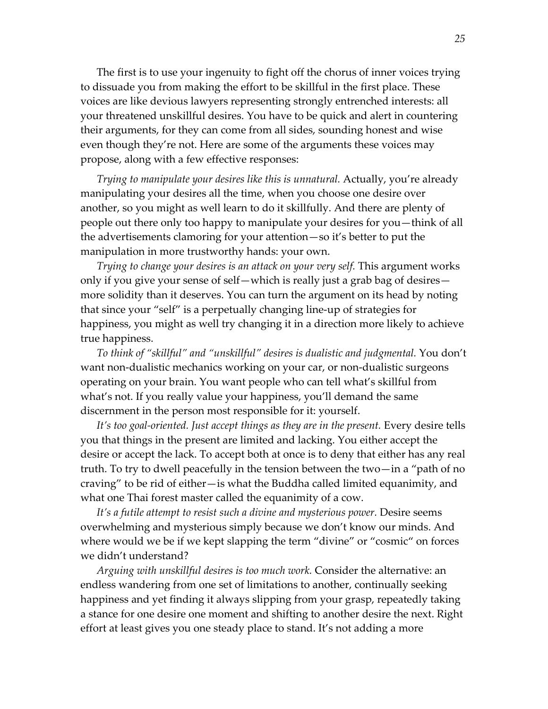The first is to use your ingenuity to fight off the chorus of inner voices trying to dissuade you from making the effort to be skillful in the first place. These voices are like devious lawyers representing strongly entrenched interests: all your threatened unskillful desires. You have to be quick and alert in countering their arguments, for they can come from all sides, sounding honest and wise even though they're not. Here are some of the arguments these voices may propose, along with a few effective responses:

*Trying to manipulate your desires like this is unnatural.* Actually, you're already manipulating your desires all the time, when you choose one desire over another, so you might as well learn to do it skillfully. And there are plenty of people out there only too happy to manipulate your desires for you—think of all the advertisements clamoring for your attention—so it's better to put the manipulation in more trustworthy hands: your own.

*Trying to change your desires is an attack on your very self.* This argument works only if you give your sense of self—which is really just a grab bag of desires more solidity than it deserves. You can turn the argument on its head by noting that since your "self" is a perpetually changing line‐up of strategies for happiness, you might as well try changing it in a direction more likely to achieve true happiness.

*To think of "skillful" and "unskillful" desires is dualistic and judgmental.* You don't want non-dualistic mechanics working on your car, or non-dualistic surgeons operating on your brain. You want people who can tell what's skillful from what's not. If you really value your happiness, you'll demand the same discernment in the person most responsible for it: yourself.

*It's too goal‐oriented. Just accept things as they are in the present.* Every desire tells you that things in the present are limited and lacking. You either accept the desire or accept the lack. To accept both at once is to deny that either has any real truth. To try to dwell peacefully in the tension between the two—in a "path of no craving" to be rid of either—is what the Buddha called limited equanimity, and what one Thai forest master called the equanimity of a cow.

*It's a futile attempt to resist such a divine and mysterious power.* Desire seems overwhelming and mysterious simply because we don't know our minds. And where would we be if we kept slapping the term "divine" or "cosmic" on forces we didn't understand?

*Arguing with unskillful desires is too much work.* Consider the alternative: an endless wandering from one set of limitations to another, continually seeking happiness and yet finding it always slipping from your grasp, repeatedly taking a stance for one desire one moment and shifting to another desire the next. Right effort at least gives you one steady place to stand. It's not adding a more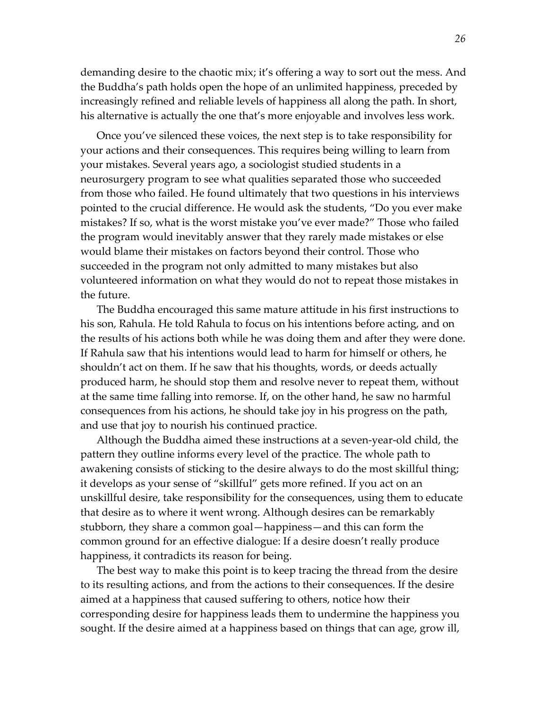demanding desire to the chaotic mix; it's offering a way to sort out the mess. And the Buddha's path holds open the hope of an unlimited happiness, preceded by increasingly refined and reliable levels of happiness all along the path. In short, his alternative is actually the one that's more enjoyable and involves less work.

Once you've silenced these voices, the next step is to take responsibility for your actions and their consequences. This requires being willing to learn from your mistakes. Several years ago, a sociologist studied students in a neurosurgery program to see what qualities separated those who succeeded from those who failed. He found ultimately that two questions in his interviews pointed to the crucial difference. He would ask the students, "Do you ever make mistakes? If so, what is the worst mistake you've ever made?" Those who failed the program would inevitably answer that they rarely made mistakes or else would blame their mistakes on factors beyond their control. Those who succeeded in the program not only admitted to many mistakes but also volunteered information on what they would do not to repeat those mistakes in the future.

The Buddha encouraged this same mature attitude in his first instructions to his son, Rahula. He told Rahula to focus on his intentions before acting, and on the results of his actions both while he was doing them and after they were done. If Rahula saw that his intentions would lead to harm for himself or others, he shouldn't act on them. If he saw that his thoughts, words, or deeds actually produced harm, he should stop them and resolve never to repeat them, without at the same time falling into remorse. If, on the other hand, he saw no harmful consequences from his actions, he should take joy in his progress on the path, and use that joy to nourish his continued practice.

Although the Buddha aimed these instructions at a seven‐year‐old child, the pattern they outline informs every level of the practice. The whole path to awakening consists of sticking to the desire always to do the most skillful thing; it develops as your sense of "skillful" gets more refined. If you act on an unskillful desire, take responsibility for the consequences, using them to educate that desire as to where it went wrong. Although desires can be remarkably stubborn, they share a common goal—happiness—and this can form the common ground for an effective dialogue: If a desire doesn't really produce happiness, it contradicts its reason for being.

The best way to make this point is to keep tracing the thread from the desire to its resulting actions, and from the actions to their consequences. If the desire aimed at a happiness that caused suffering to others, notice how their corresponding desire for happiness leads them to undermine the happiness you sought. If the desire aimed at a happiness based on things that can age, grow ill,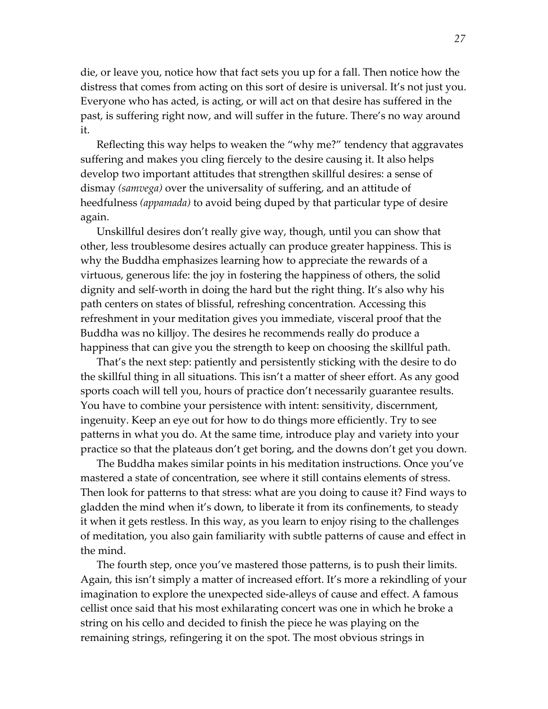die, or leave you, notice how that fact sets you up for a fall. Then notice how the distress that comes from acting on this sort of desire is universal. It's not just you. Everyone who has acted, is acting, or will act on that desire has suffered in the past, is suffering right now, and will suffer in the future. There's no way around it.

Reflecting this way helps to weaken the "why me?" tendency that aggravates suffering and makes you cling fiercely to the desire causing it. It also helps develop two important attitudes that strengthen skillful desires: a sense of dismay *(samvega)* over the universality of suffering, and an attitude of heedfulness *(appamada)* to avoid being duped by that particular type of desire again.

Unskillful desires don't really give way, though, until you can show that other, less troublesome desires actually can produce greater happiness. This is why the Buddha emphasizes learning how to appreciate the rewards of a virtuous, generous life: the joy in fostering the happiness of others, the solid dignity and self‐worth in doing the hard but the right thing. It's also why his path centers on states of blissful, refreshing concentration. Accessing this refreshment in your meditation gives you immediate, visceral proof that the Buddha was no killjoy. The desires he recommends really do produce a happiness that can give you the strength to keep on choosing the skillful path.

That's the next step: patiently and persistently sticking with the desire to do the skillful thing in all situations. This isn't a matter of sheer effort. As any good sports coach will tell you, hours of practice don't necessarily guarantee results. You have to combine your persistence with intent: sensitivity, discernment, ingenuity. Keep an eye out for how to do things more efficiently. Try to see patterns in what you do. At the same time, introduce play and variety into your practice so that the plateaus don't get boring, and the downs don't get you down.

The Buddha makes similar points in his meditation instructions. Once you've mastered a state of concentration, see where it still contains elements of stress. Then look for patterns to that stress: what are you doing to cause it? Find ways to gladden the mind when it's down, to liberate it from its confinements, to steady it when it gets restless. In this way, as you learn to enjoy rising to the challenges of meditation, you also gain familiarity with subtle patterns of cause and effect in the mind.

The fourth step, once you've mastered those patterns, is to push their limits. Again, this isn't simply a matter of increased effort. It's more a rekindling of your imagination to explore the unexpected side‐alleys of cause and effect. A famous cellist once said that his most exhilarating concert was one in which he broke a string on his cello and decided to finish the piece he was playing on the remaining strings, refingering it on the spot. The most obvious strings in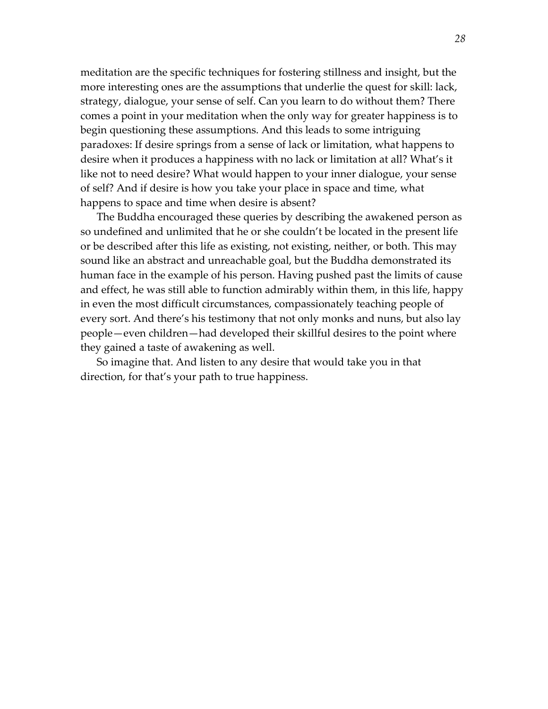meditation are the specific techniques for fostering stillness and insight, but the more interesting ones are the assumptions that underlie the quest for skill: lack, strategy, dialogue, your sense of self. Can you learn to do without them? There comes a point in your meditation when the only way for greater happiness is to begin questioning these assumptions. And this leads to some intriguing paradoxes: If desire springs from a sense of lack or limitation, what happens to desire when it produces a happiness with no lack or limitation at all? What's it like not to need desire? What would happen to your inner dialogue, your sense of self? And if desire is how you take your place in space and time, what happens to space and time when desire is absent?

The Buddha encouraged these queries by describing the awakened person as so undefined and unlimited that he or she couldn't be located in the present life or be described after this life as existing, not existing, neither, or both. This may sound like an abstract and unreachable goal, but the Buddha demonstrated its human face in the example of his person. Having pushed past the limits of cause and effect, he was still able to function admirably within them, in this life, happy in even the most difficult circumstances, compassionately teaching people of every sort. And there's his testimony that not only monks and nuns, but also lay people—even children—had developed their skillful desires to the point where they gained a taste of awakening as well.

So imagine that. And listen to any desire that would take you in that direction, for that's your path to true happiness.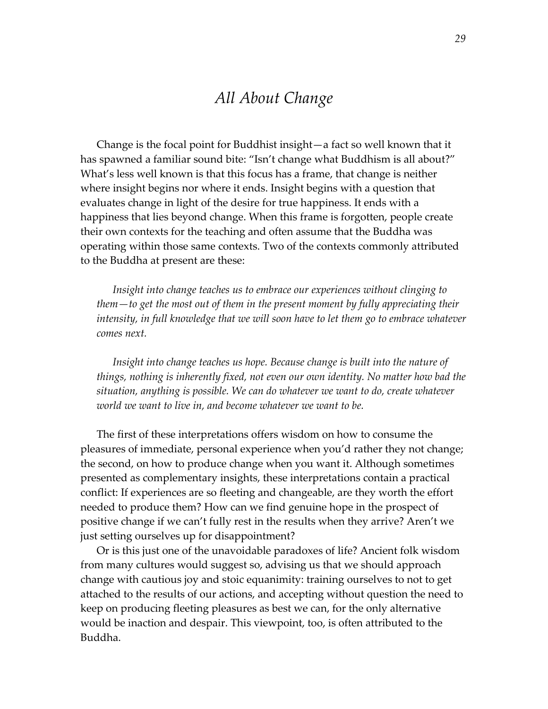### *All About Change*

Change is the focal point for Buddhist insight—a fact so well known that it has spawned a familiar sound bite: "Isn't change what Buddhism is all about?" What's less well known is that this focus has a frame, that change is neither where insight begins nor where it ends. Insight begins with a question that evaluates change in light of the desire for true happiness. It ends with a happiness that lies beyond change. When this frame is forgotten, people create their own contexts for the teaching and often assume that the Buddha was operating within those same contexts. Two of the contexts commonly attributed to the Buddha at present are these:

*Insight into change teaches us to embrace our experiences without clinging to them—to get the most out of them in the present moment by fully appreciating their intensity, in full knowledge that we will soon have to let them go to embrace whatever comes next.*

*Insight into change teaches us hope. Because change is built into the nature of things, nothing is inherently fixed, not even our own identity. No matter how bad the situation, anything is possible. We can do whatever we want to do, create whatever world we want to live in, and become whatever we want to be.*

The first of these interpretations offers wisdom on how to consume the pleasures of immediate, personal experience when you'd rather they not change; the second, on how to produce change when you want it. Although sometimes presented as complementary insights, these interpretations contain a practical conflict: If experiences are so fleeting and changeable, are they worth the effort needed to produce them? How can we find genuine hope in the prospect of positive change if we can't fully rest in the results when they arrive? Aren't we just setting ourselves up for disappointment?

Or is this just one of the unavoidable paradoxes of life? Ancient folk wisdom from many cultures would suggest so, advising us that we should approach change with cautious joy and stoic equanimity: training ourselves to not to get attached to the results of our actions, and accepting without question the need to keep on producing fleeting pleasures as best we can, for the only alternative would be inaction and despair. This viewpoint, too, is often attributed to the Buddha.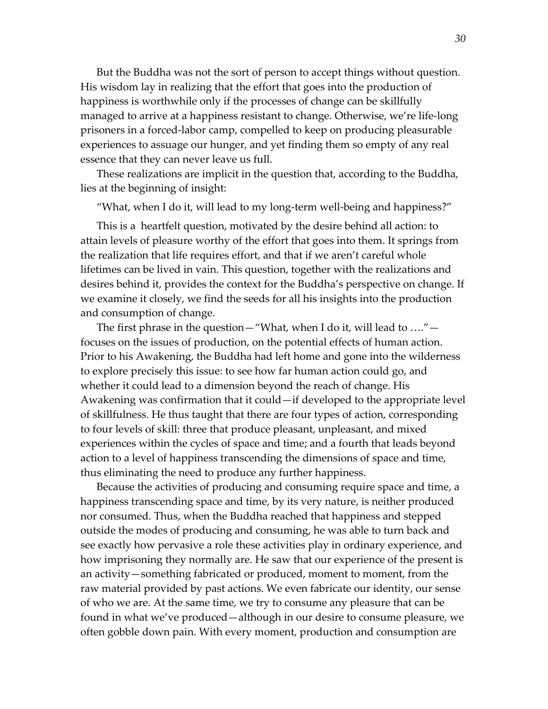But the Buddha was not the sort of person to accept things without question. His wisdom lay in realizing that the effort that goes into the production of happiness is worthwhile only if the processes of change can be skillfully managed to arrive at a happiness resistant to change. Otherwise, we're life‐long prisoners in a forced‐labor camp, compelled to keep on producing pleasurable experiences to assuage our hunger, and yet finding them so empty of any real essence that they can never leave us full.

These realizations are implicit in the question that, according to the Buddha, lies at the beginning of insight:

"What, when I do it, will lead to my long‐term well‐being and happiness?"

This is a heartfelt question, motivated by the desire behind all action: to attain levels of pleasure worthy of the effort that goes into them. It springs from the realization that life requires effort, and that if we aren't careful whole lifetimes can be lived in vain. This question, together with the realizations and desires behind it, provides the context for the Buddha's perspective on change. If we examine it closely, we find the seeds for all his insights into the production and consumption of change.

The first phrase in the question—"What, when I do it, will lead to …." focuses on the issues of production, on the potential effects of human action. Prior to his Awakening, the Buddha had left home and gone into the wilderness to explore precisely this issue: to see how far human action could go, and whether it could lead to a dimension beyond the reach of change. His Awakening was confirmation that it could—if developed to the appropriate level of skillfulness. He thus taught that there are four types of action, corresponding to four levels of skill: three that produce pleasant, unpleasant, and mixed experiences within the cycles of space and time; and a fourth that leads beyond action to a level of happiness transcending the dimensions of space and time, thus eliminating the need to produce any further happiness.

Because the activities of producing and consuming require space and time, a happiness transcending space and time, by its very nature, is neither produced nor consumed. Thus, when the Buddha reached that happiness and stepped outside the modes of producing and consuming, he was able to turn back and see exactly how pervasive a role these activities play in ordinary experience, and how imprisoning they normally are. He saw that our experience of the present is an activity—something fabricated or produced, moment to moment, from the raw material provided by past actions. We even fabricate our identity, our sense of who we are. At the same time, we try to consume any pleasure that can be found in what we've produced—although in our desire to consume pleasure, we often gobble down pain. With every moment, production and consumption are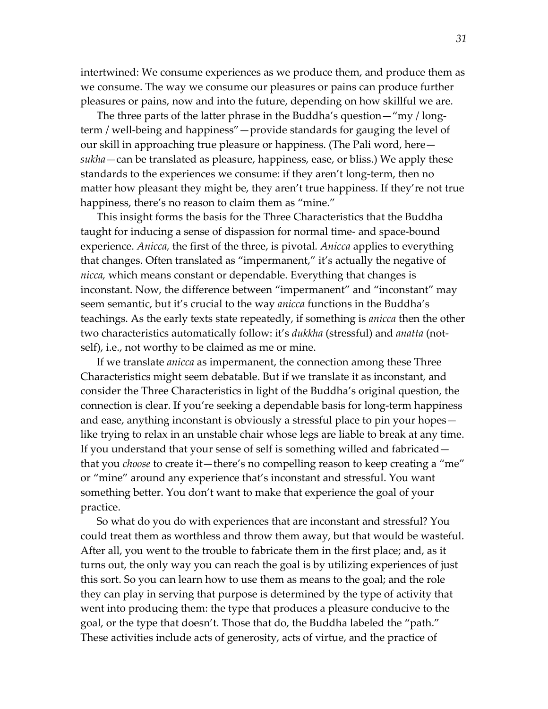intertwined: We consume experiences as we produce them, and produce them as we consume. The way we consume our pleasures or pains can produce further pleasures or pains, now and into the future, depending on how skillful we are.

The three parts of the latter phrase in the Buddha's question—"my / long‐ term / well‐being and happiness"—provide standards for gauging the level of our skill in approaching true pleasure or happiness. (The Pali word, here *sukha*—can be translated as pleasure, happiness, ease, or bliss.) We apply these standards to the experiences we consume: if they aren't long‐term, then no matter how pleasant they might be, they aren't true happiness. If they're not true happiness, there's no reason to claim them as "mine."

This insight forms the basis for the Three Characteristics that the Buddha taught for inducing a sense of dispassion for normal time‐ and space‐bound experience. *Anicca,* the first of the three, is pivotal. *Anicca* applies to everything that changes. Often translated as "impermanent," it's actually the negative of *nicca,* which means constant or dependable. Everything that changes is inconstant. Now, the difference between "impermanent" and "inconstant" may seem semantic, but it's crucial to the way *anicca* functions in the Buddha's teachings. As the early texts state repeatedly, if something is *anicca* then the other two characteristics automatically follow: it's *dukkha* (stressful) and *anatta* (not‐ self), i.e., not worthy to be claimed as me or mine.

If we translate *anicca* as impermanent, the connection among these Three Characteristics might seem debatable. But if we translate it as inconstant, and consider the Three Characteristics in light of the Buddha's original question, the connection is clear. If you're seeking a dependable basis for long‐term happiness and ease, anything inconstant is obviously a stressful place to pin your hopes like trying to relax in an unstable chair whose legs are liable to break at any time. If you understand that your sense of self is something willed and fabricated that you *choose* to create it—there's no compelling reason to keep creating a "me" or "mine" around any experience that's inconstant and stressful. You want something better. You don't want to make that experience the goal of your practice.

So what do you do with experiences that are inconstant and stressful? You could treat them as worthless and throw them away, but that would be wasteful. After all, you went to the trouble to fabricate them in the first place; and, as it turns out, the only way you can reach the goal is by utilizing experiences of just this sort. So you can learn how to use them as means to the goal; and the role they can play in serving that purpose is determined by the type of activity that went into producing them: the type that produces a pleasure conducive to the goal, or the type that doesn't. Those that do, the Buddha labeled the "path." These activities include acts of generosity, acts of virtue, and the practice of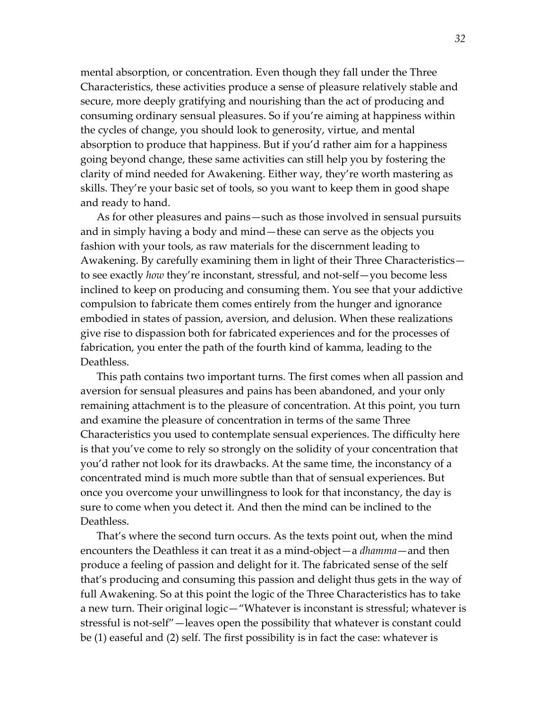mental absorption, or concentration. Even though they fall under the Three Characteristics, these activities produce a sense of pleasure relatively stable and secure, more deeply gratifying and nourishing than the act of producing and consuming ordinary sensual pleasures. So if you're aiming at happiness within the cycles of change, you should look to generosity, virtue, and mental absorption to produce that happiness. But if you'd rather aim for a happiness going beyond change, these same activities can still help you by fostering the clarity of mind needed for Awakening. Either way, they're worth mastering as skills. They're your basic set of tools, so you want to keep them in good shape and ready to hand.

As for other pleasures and pains—such as those involved in sensual pursuits and in simply having a body and mind—these can serve as the objects you fashion with your tools, as raw materials for the discernment leading to Awakening. By carefully examining them in light of their Three Characteristics to see exactly *how* they're inconstant, stressful, and not‐self—you become less inclined to keep on producing and consuming them. You see that your addictive compulsion to fabricate them comes entirely from the hunger and ignorance embodied in states of passion, aversion, and delusion. When these realizations give rise to dispassion both for fabricated experiences and for the processes of fabrication, you enter the path of the fourth kind of kamma, leading to the Deathless.

This path contains two important turns. The first comes when all passion and aversion for sensual pleasures and pains has been abandoned, and your only remaining attachment is to the pleasure of concentration. At this point, you turn and examine the pleasure of concentration in terms of the same Three Characteristics you used to contemplate sensual experiences. The difficulty here is that you've come to rely so strongly on the solidity of your concentration that you'd rather not look for its drawbacks. At the same time, the inconstancy of a concentrated mind is much more subtle than that of sensual experiences. But once you overcome your unwillingness to look for that inconstancy, the day is sure to come when you detect it. And then the mind can be inclined to the Deathless.

That's where the second turn occurs. As the texts point out, when the mind encounters the Deathless it can treat it as a mind‐object—a *dhamma*—and then produce a feeling of passion and delight for it. The fabricated sense of the self that's producing and consuming this passion and delight thus gets in the way of full Awakening. So at this point the logic of the Three Characteristics has to take a new turn. Their original logic—"Whatever is inconstant is stressful; whatever is stressful is not‐self"—leaves open the possibility that whatever is constant could be (1) easeful and (2) self. The first possibility is in fact the case: whatever is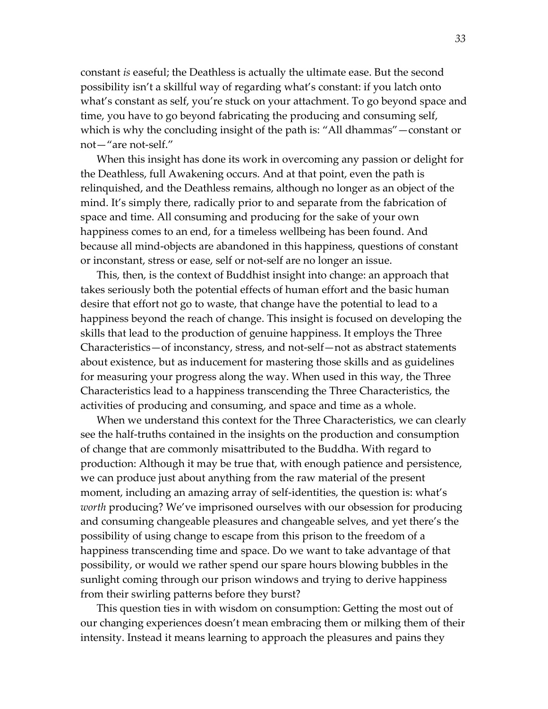constant *is* easeful; the Deathless is actually the ultimate ease. But the second possibility isn't a skillful way of regarding what's constant: if you latch onto what's constant as self, you're stuck on your attachment. To go beyond space and time, you have to go beyond fabricating the producing and consuming self, which is why the concluding insight of the path is: "All dhammas"—constant or not—"are not‐self."

When this insight has done its work in overcoming any passion or delight for the Deathless, full Awakening occurs. And at that point, even the path is relinquished, and the Deathless remains, although no longer as an object of the mind. It's simply there, radically prior to and separate from the fabrication of space and time. All consuming and producing for the sake of your own happiness comes to an end, for a timeless wellbeing has been found. And because all mind‐objects are abandoned in this happiness, questions of constant or inconstant, stress or ease, self or not‐self are no longer an issue.

This, then, is the context of Buddhist insight into change: an approach that takes seriously both the potential effects of human effort and the basic human desire that effort not go to waste, that change have the potential to lead to a happiness beyond the reach of change. This insight is focused on developing the skills that lead to the production of genuine happiness. It employs the Three Characteristics—of inconstancy, stress, and not‐self—not as abstract statements about existence, but as inducement for mastering those skills and as guidelines for measuring your progress along the way. When used in this way, the Three Characteristics lead to a happiness transcending the Three Characteristics, the activities of producing and consuming, and space and time as a whole.

When we understand this context for the Three Characteristics, we can clearly see the half‐truths contained in the insights on the production and consumption of change that are commonly misattributed to the Buddha. With regard to production: Although it may be true that, with enough patience and persistence, we can produce just about anything from the raw material of the present moment, including an amazing array of self-identities, the question is: what's *worth* producing? We've imprisoned ourselves with our obsession for producing and consuming changeable pleasures and changeable selves, and yet there's the possibility of using change to escape from this prison to the freedom of a happiness transcending time and space. Do we want to take advantage of that possibility, or would we rather spend our spare hours blowing bubbles in the sunlight coming through our prison windows and trying to derive happiness from their swirling patterns before they burst?

This question ties in with wisdom on consumption: Getting the most out of our changing experiences doesn't mean embracing them or milking them of their intensity. Instead it means learning to approach the pleasures and pains they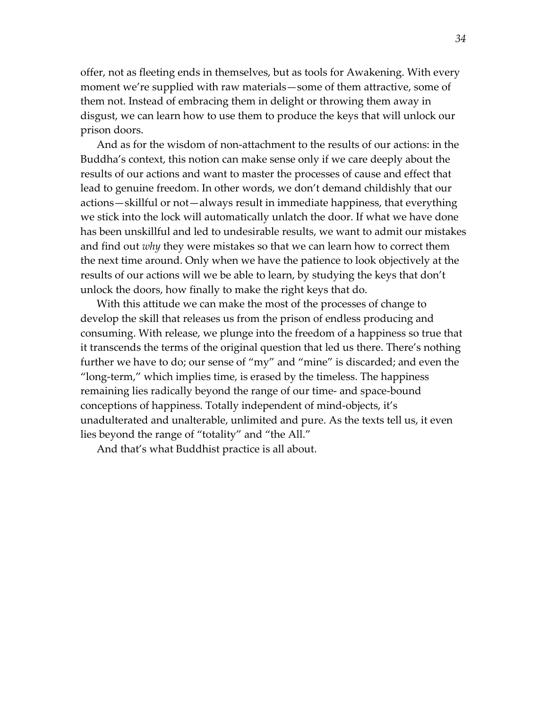offer, not as fleeting ends in themselves, but as tools for Awakening. With every moment we're supplied with raw materials—some of them attractive, some of them not. Instead of embracing them in delight or throwing them away in disgust, we can learn how to use them to produce the keys that will unlock our prison doors.

And as for the wisdom of non‐attachment to the results of our actions: in the Buddha's context, this notion can make sense only if we care deeply about the results of our actions and want to master the processes of cause and effect that lead to genuine freedom. In other words, we don't demand childishly that our actions—skillful or not—always result in immediate happiness, that everything we stick into the lock will automatically unlatch the door. If what we have done has been unskillful and led to undesirable results, we want to admit our mistakes and find out *why* they were mistakes so that we can learn how to correct them the next time around. Only when we have the patience to look objectively at the results of our actions will we be able to learn, by studying the keys that don't unlock the doors, how finally to make the right keys that do.

With this attitude we can make the most of the processes of change to develop the skill that releases us from the prison of endless producing and consuming. With release, we plunge into the freedom of a happiness so true that it transcends the terms of the original question that led us there. There's nothing further we have to do; our sense of "my" and "mine" is discarded; and even the "long‐term," which implies time, is erased by the timeless. The happiness remaining lies radically beyond the range of our time‐ and space‐bound conceptions of happiness. Totally independent of mind‐objects, it's unadulterated and unalterable, unlimited and pure. As the texts tell us, it even lies beyond the range of "totality" and "the All."

And that's what Buddhist practice is all about.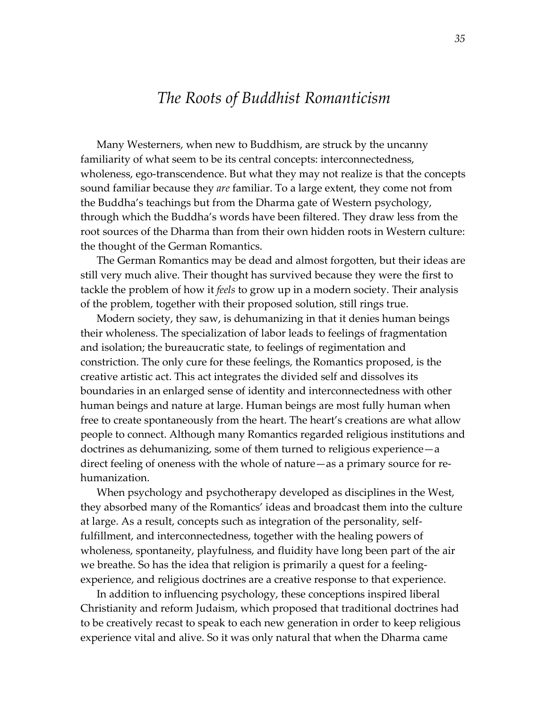### *The Roots of Buddhist Romanticism*

Many Westerners, when new to Buddhism, are struck by the uncanny familiarity of what seem to be its central concepts: interconnectedness, wholeness, ego-transcendence. But what they may not realize is that the concepts sound familiar because they *are* familiar. To a large extent, they come not from the Buddha's teachings but from the Dharma gate of Western psychology, through which the Buddha's words have been filtered. They draw less from the root sources of the Dharma than from their own hidden roots in Western culture: the thought of the German Romantics.

The German Romantics may be dead and almost forgotten, but their ideas are still very much alive. Their thought has survived because they were the first to tackle the problem of how it *feels* to grow up in a modern society. Their analysis of the problem, together with their proposed solution, still rings true.

Modern society, they saw, is dehumanizing in that it denies human beings their wholeness. The specialization of labor leads to feelings of fragmentation and isolation; the bureaucratic state, to feelings of regimentation and constriction. The only cure for these feelings, the Romantics proposed, is the creative artistic act. This act integrates the divided self and dissolves its boundaries in an enlarged sense of identity and interconnectedness with other human beings and nature at large. Human beings are most fully human when free to create spontaneously from the heart. The heart's creations are what allow people to connect. Although many Romantics regarded religious institutions and doctrines as dehumanizing, some of them turned to religious experience—a direct feeling of oneness with the whole of nature—as a primary source for re‐ humanization.

When psychology and psychotherapy developed as disciplines in the West, they absorbed many of the Romantics' ideas and broadcast them into the culture at large. As a result, concepts such as integration of the personality, self‐ fulfillment, and interconnectedness, together with the healing powers of wholeness, spontaneity, playfulness, and fluidity have long been part of the air we breathe. So has the idea that religion is primarily a quest for a feeling‐ experience, and religious doctrines are a creative response to that experience.

In addition to influencing psychology, these conceptions inspired liberal Christianity and reform Judaism, which proposed that traditional doctrines had to be creatively recast to speak to each new generation in order to keep religious experience vital and alive. So it was only natural that when the Dharma came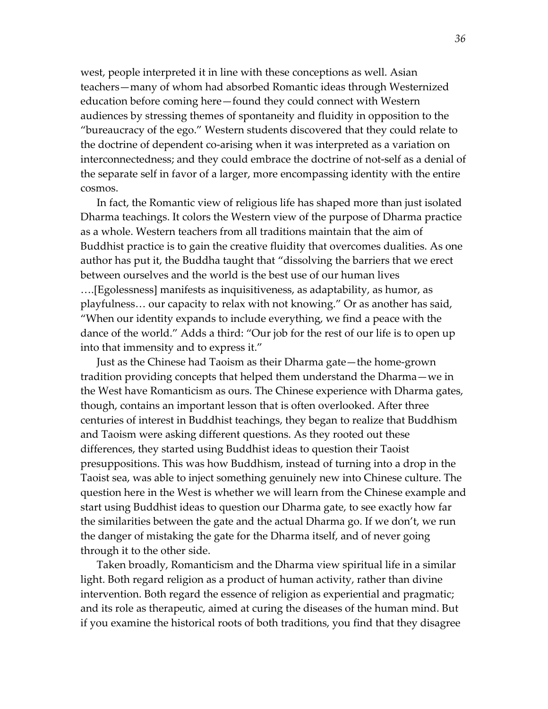west, people interpreted it in line with these conceptions as well. Asian teachers—many of whom had absorbed Romantic ideas through Westernized education before coming here—found they could connect with Western audiences by stressing themes of spontaneity and fluidity in opposition to the "bureaucracy of the ego." Western students discovered that they could relate to the doctrine of dependent co‐arising when it was interpreted as a variation on interconnectedness; and they could embrace the doctrine of not‐self as a denial of the separate self in favor of a larger, more encompassing identity with the entire cosmos.

In fact, the Romantic view of religious life has shaped more than just isolated Dharma teachings. It colors the Western view of the purpose of Dharma practice as a whole. Western teachers from all traditions maintain that the aim of Buddhist practice is to gain the creative fluidity that overcomes dualities. As one author has put it, the Buddha taught that "dissolving the barriers that we erect between ourselves and the world is the best use of our human lives ….[Egolessness] manifests as inquisitiveness, as adaptability, as humor, as playfulness… our capacity to relax with not knowing." Or as another has said, "When our identity expands to include everything, we find a peace with the dance of the world." Adds a third: "Our job for the rest of our life is to open up into that immensity and to express it."

Just as the Chinese had Taoism as their Dharma gate—the home‐grown tradition providing concepts that helped them understand the Dharma—we in the West have Romanticism as ours. The Chinese experience with Dharma gates, though, contains an important lesson that is often overlooked. After three centuries of interest in Buddhist teachings, they began to realize that Buddhism and Taoism were asking different questions. As they rooted out these differences, they started using Buddhist ideas to question their Taoist presuppositions. This was how Buddhism, instead of turning into a drop in the Taoist sea, was able to inject something genuinely new into Chinese culture. The question here in the West is whether we will learn from the Chinese example and start using Buddhist ideas to question our Dharma gate, to see exactly how far the similarities between the gate and the actual Dharma go. If we don't, we run the danger of mistaking the gate for the Dharma itself, and of never going through it to the other side.

Taken broadly, Romanticism and the Dharma view spiritual life in a similar light. Both regard religion as a product of human activity, rather than divine intervention. Both regard the essence of religion as experiential and pragmatic; and its role as therapeutic, aimed at curing the diseases of the human mind. But if you examine the historical roots of both traditions, you find that they disagree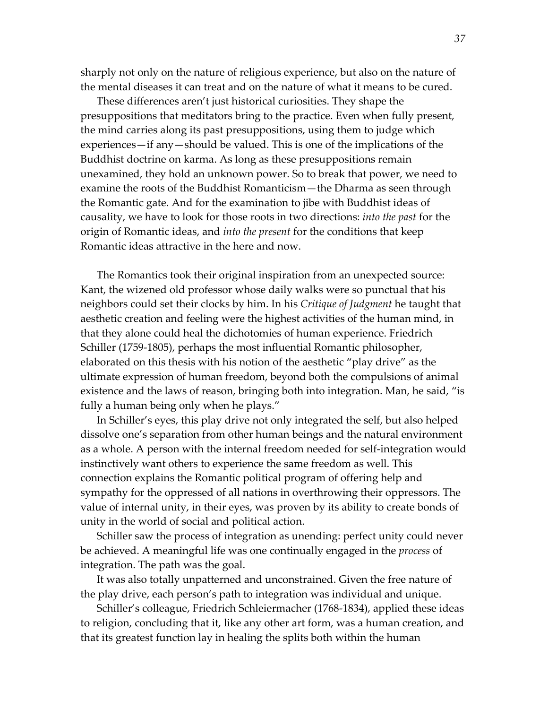sharply not only on the nature of religious experience, but also on the nature of the mental diseases it can treat and on the nature of what it means to be cured.

These differences aren't just historical curiosities. They shape the presuppositions that meditators bring to the practice. Even when fully present, the mind carries along its past presuppositions, using them to judge which experiences—if any—should be valued. This is one of the implications of the Buddhist doctrine on karma. As long as these presuppositions remain unexamined, they hold an unknown power. So to break that power, we need to examine the roots of the Buddhist Romanticism—the Dharma as seen through the Romantic gate. And for the examination to jibe with Buddhist ideas of causality, we have to look for those roots in two directions: *into the past* for the origin of Romantic ideas, and *into the present* for the conditions that keep Romantic ideas attractive in the here and now.

The Romantics took their original inspiration from an unexpected source: Kant, the wizened old professor whose daily walks were so punctual that his neighbors could set their clocks by him. In his *Critique of Judgment* he taught that aesthetic creation and feeling were the highest activities of the human mind, in that they alone could heal the dichotomies of human experience. Friedrich Schiller (1759‐1805), perhaps the most influential Romantic philosopher, elaborated on this thesis with his notion of the aesthetic "play drive" as the ultimate expression of human freedom, beyond both the compulsions of animal existence and the laws of reason, bringing both into integration. Man, he said, "is fully a human being only when he plays."

In Schiller's eyes, this play drive not only integrated the self, but also helped dissolve one's separation from other human beings and the natural environment as a whole. A person with the internal freedom needed for self‐integration would instinctively want others to experience the same freedom as well. This connection explains the Romantic political program of offering help and sympathy for the oppressed of all nations in overthrowing their oppressors. The value of internal unity, in their eyes, was proven by its ability to create bonds of unity in the world of social and political action.

Schiller saw the process of integration as unending: perfect unity could never be achieved. A meaningful life was one continually engaged in the *process* of integration. The path was the goal.

It was also totally unpatterned and unconstrained. Given the free nature of the play drive, each person's path to integration was individual and unique.

Schiller's colleague, Friedrich Schleiermacher (1768‐1834), applied these ideas to religion, concluding that it, like any other art form, was a human creation, and that its greatest function lay in healing the splits both within the human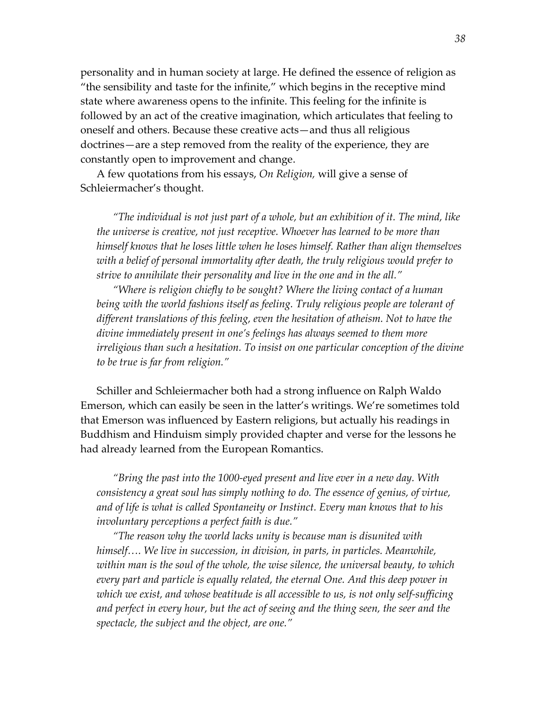personality and in human society at large. He defined the essence of religion as "the sensibility and taste for the infinite," which begins in the receptive mind state where awareness opens to the infinite. This feeling for the infinite is followed by an act of the creative imagination, which articulates that feeling to oneself and others. Because these creative acts—and thus all religious doctrines—are a step removed from the reality of the experience, they are constantly open to improvement and change.

A few quotations from his essays, *On Religion,* will give a sense of Schleiermacher's thought.

*"The individual is not just part of a whole, but an exhibition of it. The mind, like the universe is creative, not just receptive. Whoever has learned to be more than himself knows that he loses little when he loses himself. Rather than align themselves with a belief of personal immortality after death, the truly religious would prefer to strive to annihilate their personality and live in the one and in the all."*

*"Where is religion chiefly to be sought? Where the living contact of a human being with the world fashions itself as feeling. Truly religious people are tolerant of different translations of this feeling, even the hesitation of atheism. Not to have the divine immediately present in one's feelings has always seemed to them more irreligious than such a hesitation. To insist on one particular conception of the divine to be true is far from religion."* 

Schiller and Schleiermacher both had a strong influence on Ralph Waldo Emerson, which can easily be seen in the latter's writings. We're sometimes told that Emerson was influenced by Eastern religions, but actually his readings in Buddhism and Hinduism simply provided chapter and verse for the lessons he had already learned from the European Romantics.

*"Bring the past into the 1000‐eyed present and live ever in a new day. With consistency a great soul has simply nothing to do. The essence of genius, of virtue, and of life is what is called Spontaneity or Instinct. Every man knows that to his involuntary perceptions a perfect faith is due."* 

*"The reason why the world lacks unity is because man is disunited with himself…. We live in succession, in division, in parts, in particles. Meanwhile, within man is the soul of the whole, the wise silence, the universal beauty, to which every part and particle is equally related, the eternal One. And this deep power in which we exist, and whose beatitude is all accessible to us, is not only self‐sufficing and perfect in every hour, but the act of seeing and the thing seen, the seer and the spectacle, the subject and the object, are one."*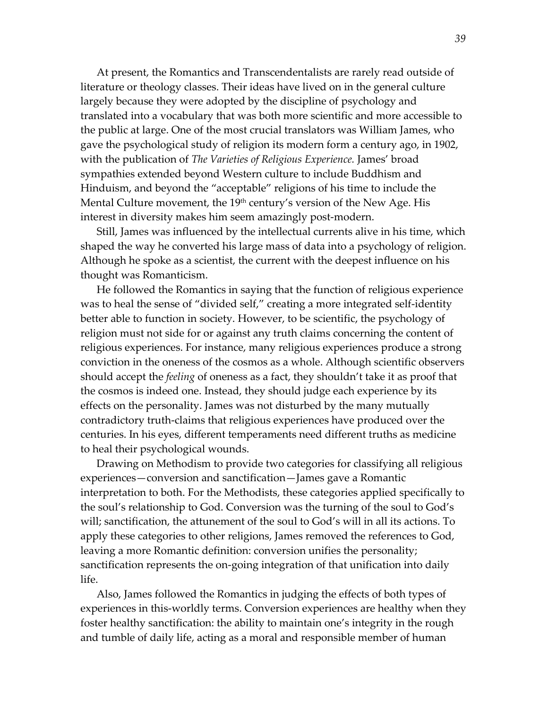At present, the Romantics and Transcendentalists are rarely read outside of literature or theology classes. Their ideas have lived on in the general culture largely because they were adopted by the discipline of psychology and translated into a vocabulary that was both more scientific and more accessible to the public at large. One of the most crucial translators was William James, who gave the psychological study of religion its modern form a century ago, in 1902, with the publication of *The Varieties of Religious Experience.* James' broad sympathies extended beyond Western culture to include Buddhism and Hinduism, and beyond the "acceptable" religions of his time to include the Mental Culture movement, the 19<sup>th</sup> century's version of the New Age. His interest in diversity makes him seem amazingly post‐modern.

Still, James was influenced by the intellectual currents alive in his time, which shaped the way he converted his large mass of data into a psychology of religion. Although he spoke as a scientist, the current with the deepest influence on his thought was Romanticism.

He followed the Romantics in saying that the function of religious experience was to heal the sense of "divided self," creating a more integrated self-identity better able to function in society. However, to be scientific, the psychology of religion must not side for or against any truth claims concerning the content of religious experiences. For instance, many religious experiences produce a strong conviction in the oneness of the cosmos as a whole. Although scientific observers should accept the *feeling* of oneness as a fact, they shouldn't take it as proof that the cosmos is indeed one. Instead, they should judge each experience by its effects on the personality. James was not disturbed by the many mutually contradictory truth‐claims that religious experiences have produced over the centuries. In his eyes, different temperaments need different truths as medicine to heal their psychological wounds.

Drawing on Methodism to provide two categories for classifying all religious experiences—conversion and sanctification—James gave a Romantic interpretation to both. For the Methodists, these categories applied specifically to the soul's relationship to God. Conversion was the turning of the soul to God's will; sanctification, the attunement of the soul to God's will in all its actions. To apply these categories to other religions, James removed the references to God, leaving a more Romantic definition: conversion unifies the personality; sanctification represents the on‐going integration of that unification into daily life.

Also, James followed the Romantics in judging the effects of both types of experiences in this‐worldly terms. Conversion experiences are healthy when they foster healthy sanctification: the ability to maintain one's integrity in the rough and tumble of daily life, acting as a moral and responsible member of human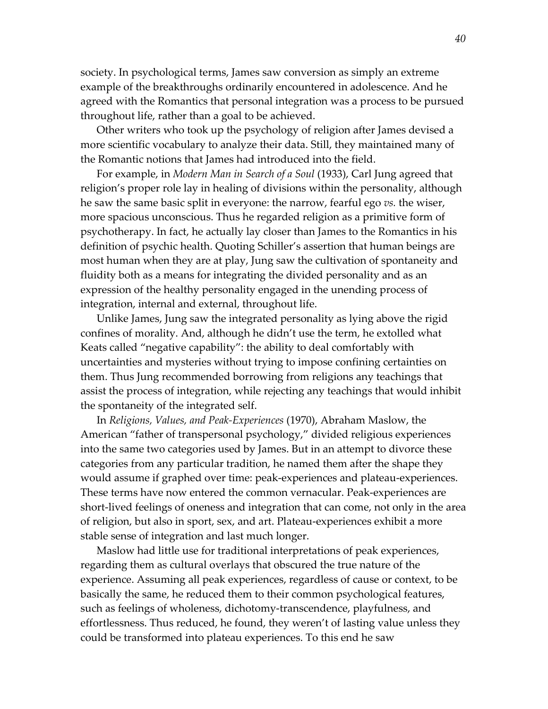society. In psychological terms, James saw conversion as simply an extreme example of the breakthroughs ordinarily encountered in adolescence. And he agreed with the Romantics that personal integration was a process to be pursued throughout life, rather than a goal to be achieved.

Other writers who took up the psychology of religion after James devised a more scientific vocabulary to analyze their data. Still, they maintained many of the Romantic notions that James had introduced into the field.

For example, in *Modern Man in Search of a Soul* (1933), Carl Jung agreed that religion's proper role lay in healing of divisions within the personality, although he saw the same basic split in everyone: the narrow, fearful ego *vs.* the wiser, more spacious unconscious. Thus he regarded religion as a primitive form of psychotherapy. In fact, he actually lay closer than James to the Romantics in his definition of psychic health. Quoting Schiller's assertion that human beings are most human when they are at play, Jung saw the cultivation of spontaneity and fluidity both as a means for integrating the divided personality and as an expression of the healthy personality engaged in the unending process of integration, internal and external, throughout life.

Unlike James, Jung saw the integrated personality as lying above the rigid confines of morality. And, although he didn't use the term, he extolled what Keats called "negative capability": the ability to deal comfortably with uncertainties and mysteries without trying to impose confining certainties on them. Thus Jung recommended borrowing from religions any teachings that assist the process of integration, while rejecting any teachings that would inhibit the spontaneity of the integrated self.

In *Religions, Values, and Peak‐Experiences* (1970), Abraham Maslow, the American "father of transpersonal psychology," divided religious experiences into the same two categories used by James. But in an attempt to divorce these categories from any particular tradition, he named them after the shape they would assume if graphed over time: peak‐experiences and plateau‐experiences. These terms have now entered the common vernacular. Peak‐experiences are short‐lived feelings of oneness and integration that can come, not only in the area of religion, but also in sport, sex, and art. Plateau‐experiences exhibit a more stable sense of integration and last much longer.

Maslow had little use for traditional interpretations of peak experiences, regarding them as cultural overlays that obscured the true nature of the experience. Assuming all peak experiences, regardless of cause or context, to be basically the same, he reduced them to their common psychological features, such as feelings of wholeness, dichotomy‐transcendence, playfulness, and effortlessness. Thus reduced, he found, they weren't of lasting value unless they could be transformed into plateau experiences. To this end he saw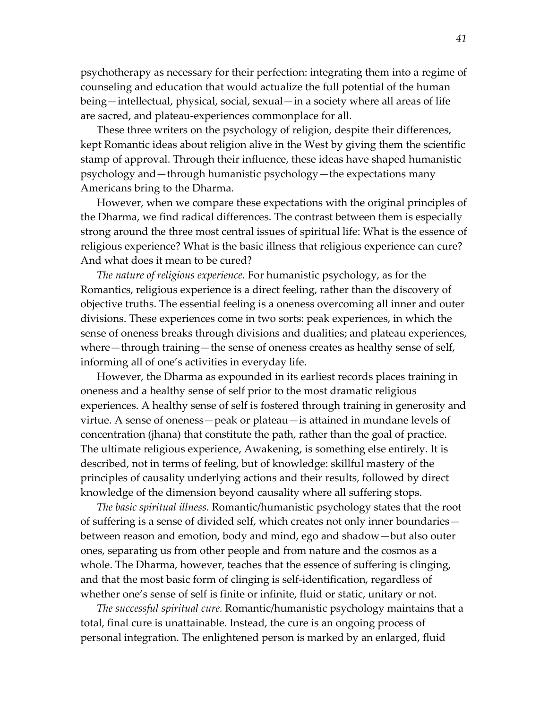psychotherapy as necessary for their perfection: integrating them into a regime of counseling and education that would actualize the full potential of the human being—intellectual, physical, social, sexual—in a society where all areas of life are sacred, and plateau‐experiences commonplace for all.

These three writers on the psychology of religion, despite their differences, kept Romantic ideas about religion alive in the West by giving them the scientific stamp of approval. Through their influence, these ideas have shaped humanistic psychology and—through humanistic psychology—the expectations many Americans bring to the Dharma.

However, when we compare these expectations with the original principles of the Dharma, we find radical differences. The contrast between them is especially strong around the three most central issues of spiritual life: What is the essence of religious experience? What is the basic illness that religious experience can cure? And what does it mean to be cured?

*The nature of religious experience.* For humanistic psychology, as for the Romantics, religious experience is a direct feeling, rather than the discovery of objective truths. The essential feeling is a oneness overcoming all inner and outer divisions. These experiences come in two sorts: peak experiences, in which the sense of oneness breaks through divisions and dualities; and plateau experiences, where—through training—the sense of oneness creates as healthy sense of self, informing all of one's activities in everyday life.

However, the Dharma as expounded in its earliest records places training in oneness and a healthy sense of self prior to the most dramatic religious experiences. A healthy sense of self is fostered through training in generosity and virtue. A sense of oneness—peak or plateau—is attained in mundane levels of concentration (jhana) that constitute the path, rather than the goal of practice. The ultimate religious experience, Awakening, is something else entirely. It is described, not in terms of feeling, but of knowledge: skillful mastery of the principles of causality underlying actions and their results, followed by direct knowledge of the dimension beyond causality where all suffering stops.

*The basic spiritual illness.* Romantic/humanistic psychology states that the root of suffering is a sense of divided self, which creates not only inner boundaries between reason and emotion, body and mind, ego and shadow—but also outer ones, separating us from other people and from nature and the cosmos as a whole. The Dharma, however, teaches that the essence of suffering is clinging, and that the most basic form of clinging is self‐identification, regardless of whether one's sense of self is finite or infinite, fluid or static, unitary or not.

*The successful spiritual cure.* Romantic/humanistic psychology maintains that a total, final cure is unattainable. Instead, the cure is an ongoing process of personal integration. The enlightened person is marked by an enlarged, fluid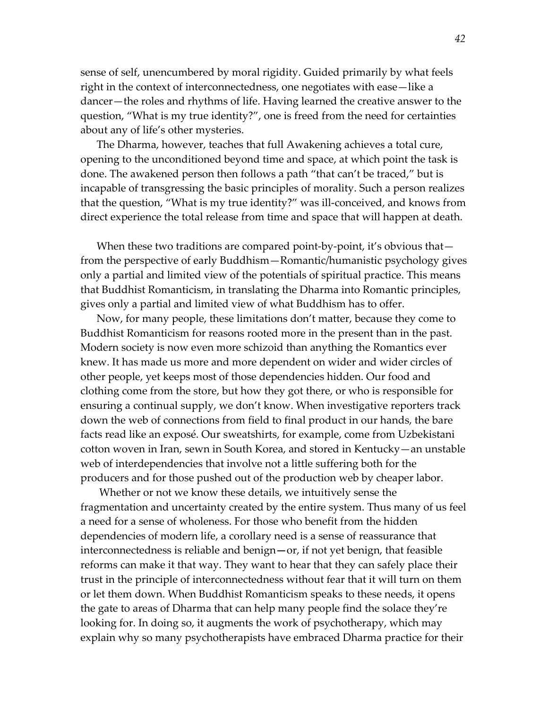sense of self, unencumbered by moral rigidity. Guided primarily by what feels right in the context of interconnectedness, one negotiates with ease—like a dancer—the roles and rhythms of life. Having learned the creative answer to the question, "What is my true identity?", one is freed from the need for certainties about any of life's other mysteries.

The Dharma, however, teaches that full Awakening achieves a total cure, opening to the unconditioned beyond time and space, at which point the task is done. The awakened person then follows a path "that can't be traced," but is incapable of transgressing the basic principles of morality. Such a person realizes that the question, "What is my true identity?" was ill‐conceived, and knows from direct experience the total release from time and space that will happen at death.

When these two traditions are compared point-by-point, it's obvious that from the perspective of early Buddhism—Romantic/humanistic psychology gives only a partial and limited view of the potentials of spiritual practice. This means that Buddhist Romanticism, in translating the Dharma into Romantic principles, gives only a partial and limited view of what Buddhism has to offer.

Now, for many people, these limitations don't matter, because they come to Buddhist Romanticism for reasons rooted more in the present than in the past. Modern society is now even more schizoid than anything the Romantics ever knew. It has made us more and more dependent on wider and wider circles of other people, yet keeps most of those dependencies hidden. Our food and clothing come from the store, but how they got there, or who is responsible for ensuring a continual supply, we don't know. When investigative reporters track down the web of connections from field to final product in our hands, the bare facts read like an exposé. Our sweatshirts, for example, come from Uzbekistani cotton woven in Iran, sewn in South Korea, and stored in Kentucky—an unstable web of interdependencies that involve not a little suffering both for the producers and for those pushed out of the production web by cheaper labor.

Whether or not we know these details, we intuitively sense the fragmentation and uncertainty created by the entire system. Thus many of us feel a need for a sense of wholeness. For those who benefit from the hidden dependencies of modern life, a corollary need is a sense of reassurance that interconnectedness is reliable and benign**—**or, if not yet benign, that feasible reforms can make it that way. They want to hear that they can safely place their trust in the principle of interconnectedness without fear that it will turn on them or let them down. When Buddhist Romanticism speaks to these needs, it opens the gate to areas of Dharma that can help many people find the solace they're looking for. In doing so, it augments the work of psychotherapy, which may explain why so many psychotherapists have embraced Dharma practice for their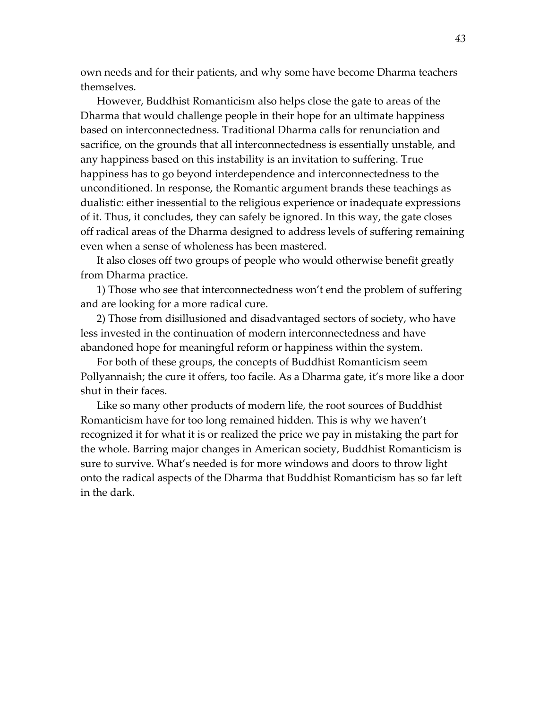own needs and for their patients, and why some have become Dharma teachers themselves.

However, Buddhist Romanticism also helps close the gate to areas of the Dharma that would challenge people in their hope for an ultimate happiness based on interconnectedness. Traditional Dharma calls for renunciation and sacrifice, on the grounds that all interconnectedness is essentially unstable, and any happiness based on this instability is an invitation to suffering. True happiness has to go beyond interdependence and interconnectedness to the unconditioned. In response, the Romantic argument brands these teachings as dualistic: either inessential to the religious experience or inadequate expressions of it. Thus, it concludes, they can safely be ignored. In this way, the gate closes off radical areas of the Dharma designed to address levels of suffering remaining even when a sense of wholeness has been mastered.

It also closes off two groups of people who would otherwise benefit greatly from Dharma practice.

1) Those who see that interconnectedness won't end the problem of suffering and are looking for a more radical cure.

2) Those from disillusioned and disadvantaged sectors of society, who have less invested in the continuation of modern interconnectedness and have abandoned hope for meaningful reform or happiness within the system.

For both of these groups, the concepts of Buddhist Romanticism seem Pollyannaish; the cure it offers, too facile. As a Dharma gate, it's more like a door shut in their faces.

Like so many other products of modern life, the root sources of Buddhist Romanticism have for too long remained hidden. This is why we haven't recognized it for what it is or realized the price we pay in mistaking the part for the whole. Barring major changes in American society, Buddhist Romanticism is sure to survive. What's needed is for more windows and doors to throw light onto the radical aspects of the Dharma that Buddhist Romanticism has so far left in the dark.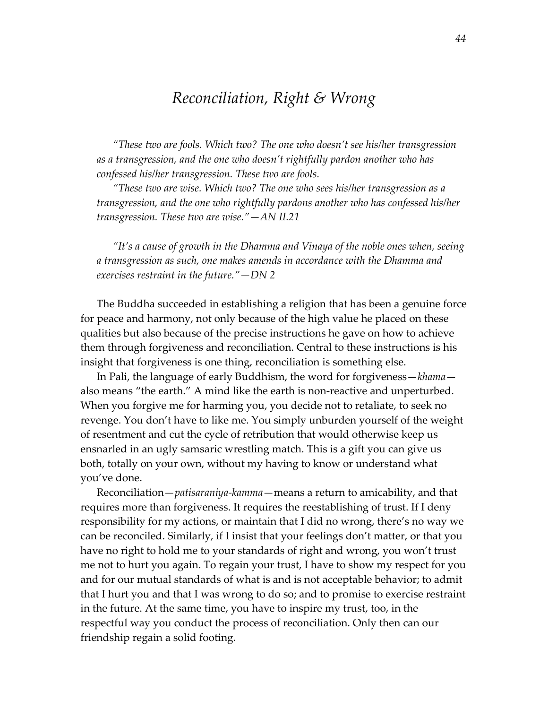# *Reconciliation, Right & Wrong*

*"These two are fools. Which two? The one who doesn't see his/her transgression as a transgression, and the one who doesn't rightfully pardon another who has confessed his/her transgression. These two are fools.*

*"These two are wise. Which two? The one who sees his/her transgression as a transgression, and the one who rightfully pardons another who has confessed his/her transgression. These two are wise."—AN II.21*

*"It's a cause of growth in the Dhamma and Vinaya of the noble ones when, seeing a transgression as such, one makes amends in accordance with the Dhamma and exercises restraint in the future."—DN 2*

The Buddha succeeded in establishing a religion that has been a genuine force for peace and harmony, not only because of the high value he placed on these qualities but also because of the precise instructions he gave on how to achieve them through forgiveness and reconciliation. Central to these instructions is his insight that forgiveness is one thing, reconciliation is something else.

In Pali, the language of early Buddhism, the word for forgiveness—*khama* also means "the earth." A mind like the earth is non‐reactive and unperturbed. When you forgive me for harming you, you decide not to retaliate, to seek no revenge. You don't have to like me. You simply unburden yourself of the weight of resentment and cut the cycle of retribution that would otherwise keep us ensnarled in an ugly samsaric wrestling match. This is a gift you can give us both, totally on your own, without my having to know or understand what you've done.

Reconciliation—*patisaraniya‐kamma*—means a return to amicability, and that requires more than forgiveness. It requires the reestablishing of trust. If I deny responsibility for my actions, or maintain that I did no wrong, there's no way we can be reconciled. Similarly, if I insist that your feelings don't matter, or that you have no right to hold me to your standards of right and wrong, you won't trust me not to hurt you again. To regain your trust, I have to show my respect for you and for our mutual standards of what is and is not acceptable behavior; to admit that I hurt you and that I was wrong to do so; and to promise to exercise restraint in the future. At the same time, you have to inspire my trust, too, in the respectful way you conduct the process of reconciliation. Only then can our friendship regain a solid footing.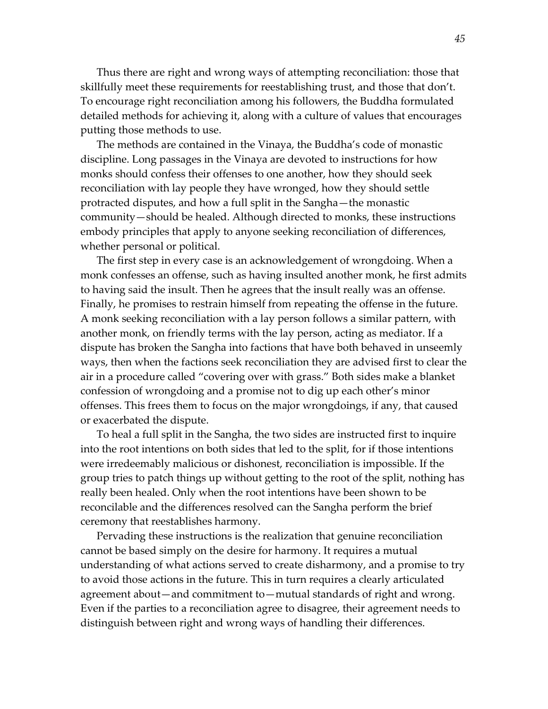Thus there are right and wrong ways of attempting reconciliation: those that skillfully meet these requirements for reestablishing trust, and those that don't. To encourage right reconciliation among his followers, the Buddha formulated detailed methods for achieving it, along with a culture of values that encourages putting those methods to use.

The methods are contained in the Vinaya, the Buddha's code of monastic discipline. Long passages in the Vinaya are devoted to instructions for how monks should confess their offenses to one another, how they should seek reconciliation with lay people they have wronged, how they should settle protracted disputes, and how a full split in the Sangha—the monastic community—should be healed. Although directed to monks, these instructions embody principles that apply to anyone seeking reconciliation of differences, whether personal or political.

The first step in every case is an acknowledgement of wrongdoing. When a monk confesses an offense, such as having insulted another monk, he first admits to having said the insult. Then he agrees that the insult really was an offense. Finally, he promises to restrain himself from repeating the offense in the future. A monk seeking reconciliation with a lay person follows a similar pattern, with another monk, on friendly terms with the lay person, acting as mediator. If a dispute has broken the Sangha into factions that have both behaved in unseemly ways, then when the factions seek reconciliation they are advised first to clear the air in a procedure called "covering over with grass." Both sides make a blanket confession of wrongdoing and a promise not to dig up each other's minor offenses. This frees them to focus on the major wrongdoings, if any, that caused or exacerbated the dispute.

To heal a full split in the Sangha, the two sides are instructed first to inquire into the root intentions on both sides that led to the split, for if those intentions were irredeemably malicious or dishonest, reconciliation is impossible. If the group tries to patch things up without getting to the root of the split, nothing has really been healed. Only when the root intentions have been shown to be reconcilable and the differences resolved can the Sangha perform the brief ceremony that reestablishes harmony.

Pervading these instructions is the realization that genuine reconciliation cannot be based simply on the desire for harmony. It requires a mutual understanding of what actions served to create disharmony, and a promise to try to avoid those actions in the future. This in turn requires a clearly articulated agreement about—and commitment to—mutual standards of right and wrong. Even if the parties to a reconciliation agree to disagree, their agreement needs to distinguish between right and wrong ways of handling their differences.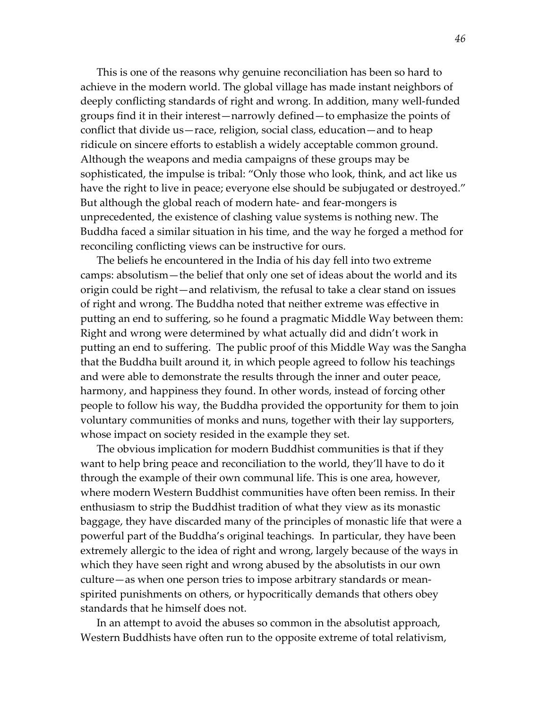This is one of the reasons why genuine reconciliation has been so hard to achieve in the modern world. The global village has made instant neighbors of deeply conflicting standards of right and wrong. In addition, many well‐funded groups find it in their interest—narrowly defined—to emphasize the points of conflict that divide us—race, religion, social class, education—and to heap ridicule on sincere efforts to establish a widely acceptable common ground. Although the weapons and media campaigns of these groups may be sophisticated, the impulse is tribal: "Only those who look, think, and act like us have the right to live in peace; everyone else should be subjugated or destroyed." But although the global reach of modern hate‐ and fear‐mongers is unprecedented, the existence of clashing value systems is nothing new. The Buddha faced a similar situation in his time, and the way he forged a method for reconciling conflicting views can be instructive for ours.

The beliefs he encountered in the India of his day fell into two extreme camps: absolutism—the belief that only one set of ideas about the world and its origin could be right—and relativism, the refusal to take a clear stand on issues of right and wrong. The Buddha noted that neither extreme was effective in putting an end to suffering, so he found a pragmatic Middle Way between them: Right and wrong were determined by what actually did and didn't work in putting an end to suffering. The public proof of this Middle Way was the Sangha that the Buddha built around it, in which people agreed to follow his teachings and were able to demonstrate the results through the inner and outer peace, harmony, and happiness they found. In other words, instead of forcing other people to follow his way, the Buddha provided the opportunity for them to join voluntary communities of monks and nuns, together with their lay supporters, whose impact on society resided in the example they set.

The obvious implication for modern Buddhist communities is that if they want to help bring peace and reconciliation to the world, they'll have to do it through the example of their own communal life. This is one area, however, where modern Western Buddhist communities have often been remiss. In their enthusiasm to strip the Buddhist tradition of what they view as its monastic baggage, they have discarded many of the principles of monastic life that were a powerful part of the Buddha's original teachings. In particular, they have been extremely allergic to the idea of right and wrong, largely because of the ways in which they have seen right and wrong abused by the absolutists in our own culture—as when one person tries to impose arbitrary standards or mean‐ spirited punishments on others, or hypocritically demands that others obey standards that he himself does not.

In an attempt to avoid the abuses so common in the absolutist approach, Western Buddhists have often run to the opposite extreme of total relativism,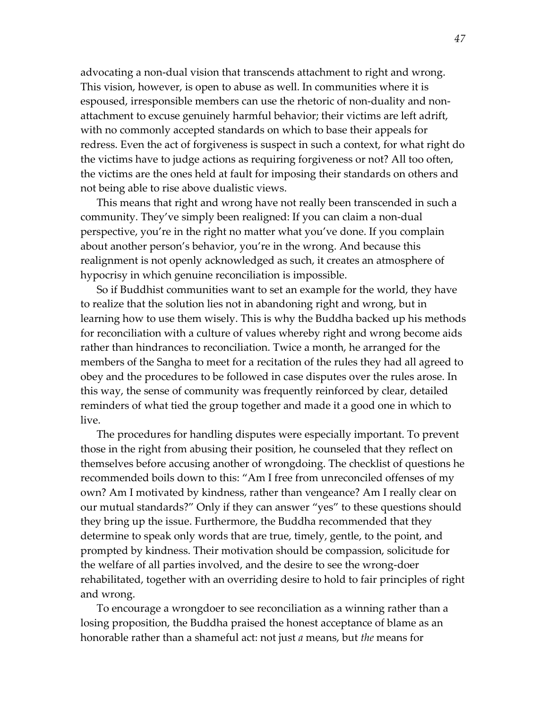advocating a non‐dual vision that transcends attachment to right and wrong. This vision, however, is open to abuse as well. In communities where it is espoused, irresponsible members can use the rhetoric of non‐duality and non‐ attachment to excuse genuinely harmful behavior; their victims are left adrift, with no commonly accepted standards on which to base their appeals for redress. Even the act of forgiveness is suspect in such a context, for what right do the victims have to judge actions as requiring forgiveness or not? All too often, the victims are the ones held at fault for imposing their standards on others and not being able to rise above dualistic views.

This means that right and wrong have not really been transcended in such a community. They've simply been realigned: If you can claim a non‐dual perspective, you're in the right no matter what you've done. If you complain about another person's behavior, you're in the wrong. And because this realignment is not openly acknowledged as such, it creates an atmosphere of hypocrisy in which genuine reconciliation is impossible.

So if Buddhist communities want to set an example for the world, they have to realize that the solution lies not in abandoning right and wrong, but in learning how to use them wisely. This is why the Buddha backed up his methods for reconciliation with a culture of values whereby right and wrong become aids rather than hindrances to reconciliation. Twice a month, he arranged for the members of the Sangha to meet for a recitation of the rules they had all agreed to obey and the procedures to be followed in case disputes over the rules arose. In this way, the sense of community was frequently reinforced by clear, detailed reminders of what tied the group together and made it a good one in which to live.

The procedures for handling disputes were especially important. To prevent those in the right from abusing their position, he counseled that they reflect on themselves before accusing another of wrongdoing. The checklist of questions he recommended boils down to this: "Am I free from unreconciled offenses of my own? Am I motivated by kindness, rather than vengeance? Am I really clear on our mutual standards?" Only if they can answer "yes" to these questions should they bring up the issue. Furthermore, the Buddha recommended that they determine to speak only words that are true, timely, gentle, to the point, and prompted by kindness. Their motivation should be compassion, solicitude for the welfare of all parties involved, and the desire to see the wrong‐doer rehabilitated, together with an overriding desire to hold to fair principles of right and wrong.

To encourage a wrongdoer to see reconciliation as a winning rather than a losing proposition, the Buddha praised the honest acceptance of blame as an honorable rather than a shameful act: not just *a* means, but *the* means for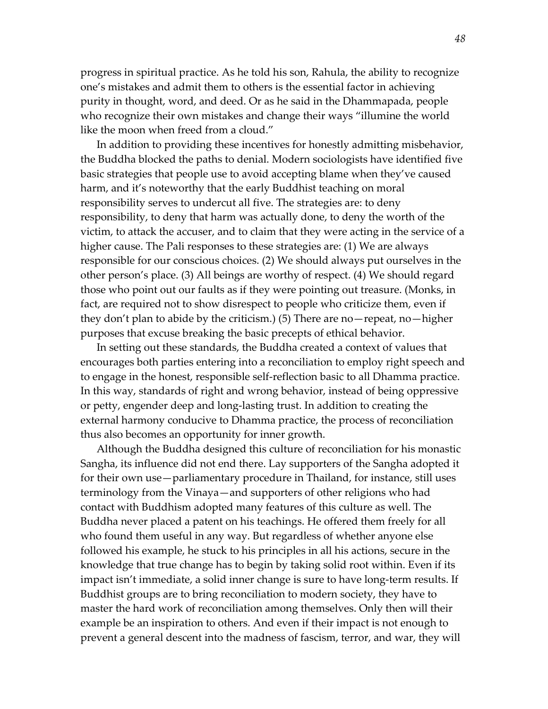progress in spiritual practice. As he told his son, Rahula, the ability to recognize one's mistakes and admit them to others is the essential factor in achieving purity in thought, word, and deed. Or as he said in the Dhammapada, people who recognize their own mistakes and change their ways "illumine the world like the moon when freed from a cloud."

In addition to providing these incentives for honestly admitting misbehavior, the Buddha blocked the paths to denial. Modern sociologists have identified five basic strategies that people use to avoid accepting blame when they've caused harm, and it's noteworthy that the early Buddhist teaching on moral responsibility serves to undercut all five. The strategies are: to deny responsibility, to deny that harm was actually done, to deny the worth of the victim, to attack the accuser, and to claim that they were acting in the service of a higher cause. The Pali responses to these strategies are: (1) We are always responsible for our conscious choices. (2) We should always put ourselves in the other person's place. (3) All beings are worthy of respect. (4) We should regard those who point out our faults as if they were pointing out treasure. (Monks, in fact, are required not to show disrespect to people who criticize them, even if they don't plan to abide by the criticism.) (5) There are no—repeat, no—higher purposes that excuse breaking the basic precepts of ethical behavior.

In setting out these standards, the Buddha created a context of values that encourages both parties entering into a reconciliation to employ right speech and to engage in the honest, responsible self‐reflection basic to all Dhamma practice. In this way, standards of right and wrong behavior, instead of being oppressive or petty, engender deep and long‐lasting trust. In addition to creating the external harmony conducive to Dhamma practice, the process of reconciliation thus also becomes an opportunity for inner growth.

Although the Buddha designed this culture of reconciliation for his monastic Sangha, its influence did not end there. Lay supporters of the Sangha adopted it for their own use—parliamentary procedure in Thailand, for instance, still uses terminology from the Vinaya—and supporters of other religions who had contact with Buddhism adopted many features of this culture as well. The Buddha never placed a patent on his teachings. He offered them freely for all who found them useful in any way. But regardless of whether anyone else followed his example, he stuck to his principles in all his actions, secure in the knowledge that true change has to begin by taking solid root within. Even if its impact isn't immediate, a solid inner change is sure to have long‐term results. If Buddhist groups are to bring reconciliation to modern society, they have to master the hard work of reconciliation among themselves. Only then will their example be an inspiration to others. And even if their impact is not enough to prevent a general descent into the madness of fascism, terror, and war, they will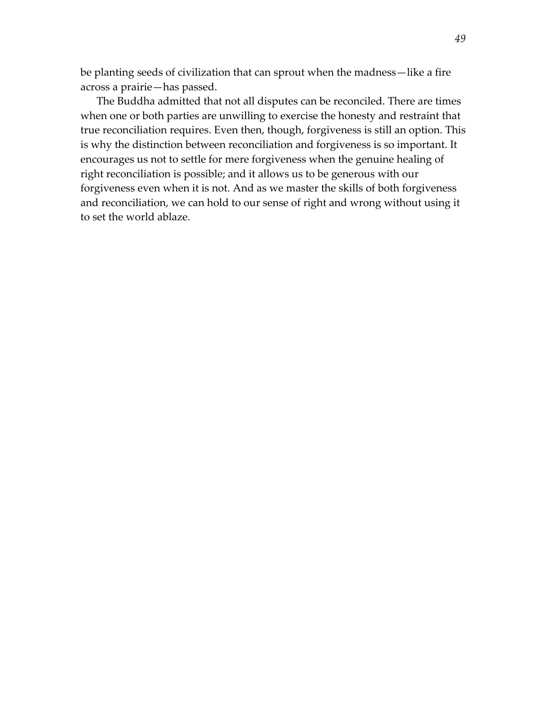be planting seeds of civilization that can sprout when the madness—like a fire across a prairie—has passed.

The Buddha admitted that not all disputes can be reconciled. There are times when one or both parties are unwilling to exercise the honesty and restraint that true reconciliation requires. Even then, though, forgiveness is still an option. This is why the distinction between reconciliation and forgiveness is so important. It encourages us not to settle for mere forgiveness when the genuine healing of right reconciliation is possible; and it allows us to be generous with our forgiveness even when it is not. And as we master the skills of both forgiveness and reconciliation, we can hold to our sense of right and wrong without using it to set the world ablaze.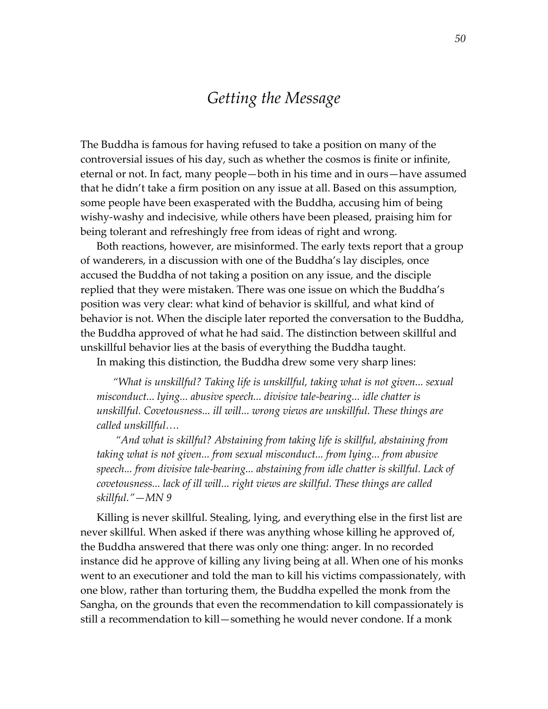# *Getting the Message*

The Buddha is famous for having refused to take a position on many of the controversial issues of his day, such as whether the cosmos is finite or infinite, eternal or not. In fact, many people—both in his time and in ours—have assumed that he didn't take a firm position on any issue at all. Based on this assumption, some people have been exasperated with the Buddha, accusing him of being wishy‐washy and indecisive, while others have been pleased, praising him for being tolerant and refreshingly free from ideas of right and wrong.

Both reactions, however, are misinformed. The early texts report that a group of wanderers, in a discussion with one of the Buddha's lay disciples, once accused the Buddha of not taking a position on any issue, and the disciple replied that they were mistaken. There was one issue on which the Buddha's position was very clear: what kind of behavior is skillful, and what kind of behavior is not. When the disciple later reported the conversation to the Buddha, the Buddha approved of what he had said. The distinction between skillful and unskillful behavior lies at the basis of everything the Buddha taught.

In making this distinction, the Buddha drew some very sharp lines:

*"What is unskillful? Taking life is unskillful, taking what is not given... sexual misconduct... lying... abusive speech... divisive tale‐bearing... idle chatter is unskillful. Covetousness... ill will... wrong views are unskillful. These things are called unskillful….* 

*"And what is skillful? Abstaining from taking life is skillful, abstaining from taking what is not given... from sexual misconduct... from lying... from abusive speech... from divisive tale‐bearing... abstaining from idle chatter is skillful. Lack of covetousness... lack of ill will... right views are skillful. These things are called skillful."—MN 9*

Killing is never skillful. Stealing, lying, and everything else in the first list are never skillful. When asked if there was anything whose killing he approved of, the Buddha answered that there was only one thing: anger. In no recorded instance did he approve of killing any living being at all. When one of his monks went to an executioner and told the man to kill his victims compassionately, with one blow, rather than torturing them, the Buddha expelled the monk from the Sangha, on the grounds that even the recommendation to kill compassionately is still a recommendation to kill—something he would never condone. If a monk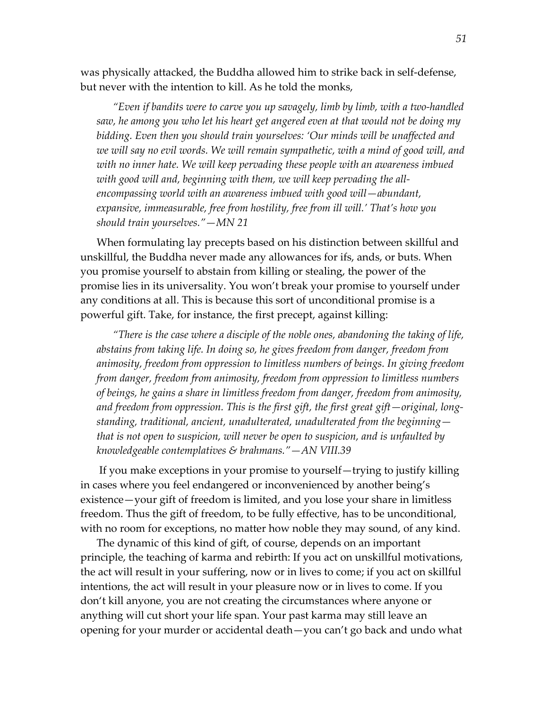was physically attacked, the Buddha allowed him to strike back in self‐defense, but never with the intention to kill. As he told the monks,

*"Even if bandits were to carve you up savagely, limb by limb, with a two‐handled saw, he among you who let his heart get angered even at that would not be doing my bidding. Even then you should train yourselves: 'Our minds will be unaffected and we will say no evil words. We will remain sympathetic, with a mind of good will, and with no inner hate. We will keep pervading these people with an awareness imbued with good will and, beginning with them, we will keep pervading the all‐ encompassing world with an awareness imbued with good will—abundant, expansive, immeasurable, free from hostility, free from ill will.' That's how you should train yourselves."—MN 21*

When formulating lay precepts based on his distinction between skillful and unskillful, the Buddha never made any allowances for ifs, ands, or buts. When you promise yourself to abstain from killing or stealing, the power of the promise lies in its universality. You won't break your promise to yourself under any conditions at all. This is because this sort of unconditional promise is a powerful gift. Take, for instance, the first precept, against killing:

*"There is the case where a disciple of the noble ones, abandoning the taking of life, abstains from taking life. In doing so, he gives freedom from danger, freedom from animosity, freedom from oppression to limitless numbers of beings. In giving freedom from danger, freedom from animosity, freedom from oppression to limitless numbers of beings, he gains a share in limitless freedom from danger, freedom from animosity, and freedom from oppression. This is the first gift, the first great gift—original, long‐ standing, traditional, ancient, unadulterated, unadulterated from the beginning that is not open to suspicion, will never be open to suspicion, and is unfaulted by knowledgeable contemplatives & brahmans."—AN VIII.39* 

If you make exceptions in your promise to yourself—trying to justify killing in cases where you feel endangered or inconvenienced by another being's existence—your gift of freedom is limited, and you lose your share in limitless freedom. Thus the gift of freedom, to be fully effective, has to be unconditional, with no room for exceptions, no matter how noble they may sound, of any kind.

The dynamic of this kind of gift, of course, depends on an important principle, the teaching of karma and rebirth: If you act on unskillful motivations, the act will result in your suffering, now or in lives to come; if you act on skillful intentions, the act will result in your pleasure now or in lives to come. If you don't kill anyone, you are not creating the circumstances where anyone or anything will cut short your life span. Your past karma may still leave an opening for your murder or accidental death—you can't go back and undo what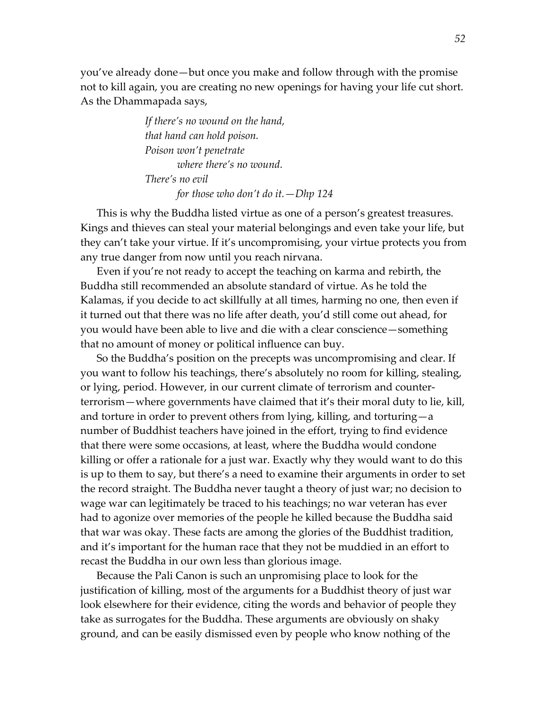you've already done—but once you make and follow through with the promise not to kill again, you are creating no new openings for having your life cut short. As the Dhammapada says,

> *If there's no wound on the hand, that hand can hold poison. Poison won't penetrate where there's no wound. There's no evil for those who don't do it.—Dhp 124*

This is why the Buddha listed virtue as one of a person's greatest treasures. Kings and thieves can steal your material belongings and even take your life, but they can't take your virtue. If it's uncompromising, your virtue protects you from any true danger from now until you reach nirvana.

Even if you're not ready to accept the teaching on karma and rebirth, the Buddha still recommended an absolute standard of virtue. As he told the Kalamas, if you decide to act skillfully at all times, harming no one, then even if it turned out that there was no life after death, you'd still come out ahead, for you would have been able to live and die with a clear conscience—something that no amount of money or political influence can buy.

So the Buddha's position on the precepts was uncompromising and clear. If you want to follow his teachings, there's absolutely no room for killing, stealing, or lying, period. However, in our current climate of terrorism and counter‐ terrorism—where governments have claimed that it's their moral duty to lie, kill, and torture in order to prevent others from lying, killing, and torturing—a number of Buddhist teachers have joined in the effort, trying to find evidence that there were some occasions, at least, where the Buddha would condone killing or offer a rationale for a just war. Exactly why they would want to do this is up to them to say, but there's a need to examine their arguments in order to set the record straight. The Buddha never taught a theory of just war; no decision to wage war can legitimately be traced to his teachings; no war veteran has ever had to agonize over memories of the people he killed because the Buddha said that war was okay. These facts are among the glories of the Buddhist tradition, and it's important for the human race that they not be muddied in an effort to recast the Buddha in our own less than glorious image.

Because the Pali Canon is such an unpromising place to look for the justification of killing, most of the arguments for a Buddhist theory of just war look elsewhere for their evidence, citing the words and behavior of people they take as surrogates for the Buddha. These arguments are obviously on shaky ground, and can be easily dismissed even by people who know nothing of the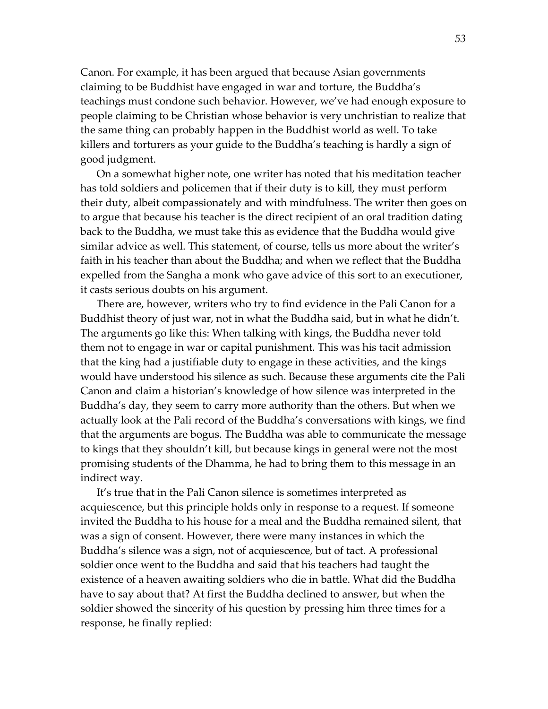Canon. For example, it has been argued that because Asian governments claiming to be Buddhist have engaged in war and torture, the Buddha's teachings must condone such behavior. However, we've had enough exposure to people claiming to be Christian whose behavior is very unchristian to realize that the same thing can probably happen in the Buddhist world as well. To take killers and torturers as your guide to the Buddha's teaching is hardly a sign of good judgment.

On a somewhat higher note, one writer has noted that his meditation teacher has told soldiers and policemen that if their duty is to kill, they must perform their duty, albeit compassionately and with mindfulness. The writer then goes on to argue that because his teacher is the direct recipient of an oral tradition dating back to the Buddha, we must take this as evidence that the Buddha would give similar advice as well. This statement, of course, tells us more about the writer's faith in his teacher than about the Buddha; and when we reflect that the Buddha expelled from the Sangha a monk who gave advice of this sort to an executioner, it casts serious doubts on his argument.

There are, however, writers who try to find evidence in the Pali Canon for a Buddhist theory of just war, not in what the Buddha said, but in what he didn't. The arguments go like this: When talking with kings, the Buddha never told them not to engage in war or capital punishment. This was his tacit admission that the king had a justifiable duty to engage in these activities, and the kings would have understood his silence as such. Because these arguments cite the Pali Canon and claim a historian's knowledge of how silence was interpreted in the Buddha's day, they seem to carry more authority than the others. But when we actually look at the Pali record of the Buddha's conversations with kings, we find that the arguments are bogus. The Buddha was able to communicate the message to kings that they shouldn't kill, but because kings in general were not the most promising students of the Dhamma, he had to bring them to this message in an indirect way.

It's true that in the Pali Canon silence is sometimes interpreted as acquiescence, but this principle holds only in response to a request. If someone invited the Buddha to his house for a meal and the Buddha remained silent, that was a sign of consent. However, there were many instances in which the Buddha's silence was a sign, not of acquiescence, but of tact. A professional soldier once went to the Buddha and said that his teachers had taught the existence of a heaven awaiting soldiers who die in battle. What did the Buddha have to say about that? At first the Buddha declined to answer, but when the soldier showed the sincerity of his question by pressing him three times for a response, he finally replied: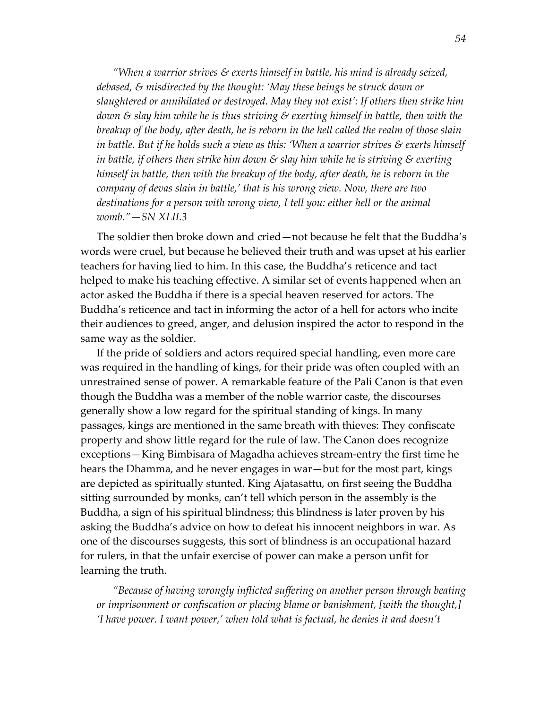*"When a warrior strives & exerts himself in battle, his mind is already seized, debased, & misdirected by the thought: 'May these beings be struck down or slaughtered or annihilated or destroyed. May they not exist': If others then strike him down & slay him while he is thus striving & exerting himself in battle, then with the breakup of the body, after death, he is reborn in the hell called the realm of those slain in battle. But if he holds such a view as this: 'When a warrior strives & exerts himself in battle, if others then strike him down & slay him while he is striving & exerting himself in battle, then with the breakup of the body, after death, he is reborn in the company of devas slain in battle,' that is his wrong view. Now, there are two destinations for a person with wrong view, I tell you: either hell or the animal womb."—SN XLII.3*

The soldier then broke down and cried—not because he felt that the Buddha's words were cruel, but because he believed their truth and was upset at his earlier teachers for having lied to him. In this case, the Buddha's reticence and tact helped to make his teaching effective. A similar set of events happened when an actor asked the Buddha if there is a special heaven reserved for actors. The Buddha's reticence and tact in informing the actor of a hell for actors who incite their audiences to greed, anger, and delusion inspired the actor to respond in the same way as the soldier.

If the pride of soldiers and actors required special handling, even more care was required in the handling of kings, for their pride was often coupled with an unrestrained sense of power. A remarkable feature of the Pali Canon is that even though the Buddha was a member of the noble warrior caste, the discourses generally show a low regard for the spiritual standing of kings. In many passages, kings are mentioned in the same breath with thieves: They confiscate property and show little regard for the rule of law. The Canon does recognize exceptions—King Bimbisara of Magadha achieves stream‐entry the first time he hears the Dhamma, and he never engages in war—but for the most part, kings are depicted as spiritually stunted. King Ajatasattu, on first seeing the Buddha sitting surrounded by monks, can't tell which person in the assembly is the Buddha, a sign of his spiritual blindness; this blindness is later proven by his asking the Buddha's advice on how to defeat his innocent neighbors in war. As one of the discourses suggests, this sort of blindness is an occupational hazard for rulers, in that the unfair exercise of power can make a person unfit for learning the truth.

*"Because of having wrongly inflicted suffering on another person through beating or imprisonment or confiscation or placing blame or banishment, [with the thought,] 'I have power. I want power,' when told what is factual, he denies it and doesn't*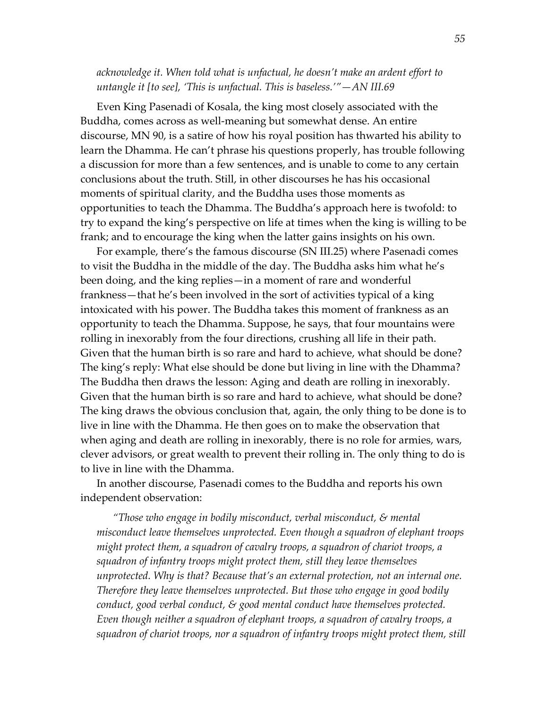### *acknowledge it. When told what is unfactual, he doesn't make an ardent effort to untangle it [to see], 'This is unfactual. This is baseless.'"—AN III.69*

Even King Pasenadi of Kosala, the king most closely associated with the Buddha, comes across as well‐meaning but somewhat dense. An entire discourse, MN 90, is a satire of how his royal position has thwarted his ability to learn the Dhamma. He can't phrase his questions properly, has trouble following a discussion for more than a few sentences, and is unable to come to any certain conclusions about the truth. Still, in other discourses he has his occasional moments of spiritual clarity, and the Buddha uses those moments as opportunities to teach the Dhamma. The Buddha's approach here is twofold: to try to expand the king's perspective on life at times when the king is willing to be frank; and to encourage the king when the latter gains insights on his own.

For example, there's the famous discourse (SN III.25) where Pasenadi comes to visit the Buddha in the middle of the day. The Buddha asks him what he's been doing, and the king replies—in a moment of rare and wonderful frankness—that he's been involved in the sort of activities typical of a king intoxicated with his power. The Buddha takes this moment of frankness as an opportunity to teach the Dhamma. Suppose, he says, that four mountains were rolling in inexorably from the four directions, crushing all life in their path. Given that the human birth is so rare and hard to achieve, what should be done? The king's reply: What else should be done but living in line with the Dhamma? The Buddha then draws the lesson: Aging and death are rolling in inexorably. Given that the human birth is so rare and hard to achieve, what should be done? The king draws the obvious conclusion that, again, the only thing to be done is to live in line with the Dhamma. He then goes on to make the observation that when aging and death are rolling in inexorably, there is no role for armies, wars, clever advisors, or great wealth to prevent their rolling in. The only thing to do is to live in line with the Dhamma.

In another discourse, Pasenadi comes to the Buddha and reports his own independent observation:

*"Those who engage in bodily misconduct, verbal misconduct, & mental misconduct leave themselves unprotected. Even though a squadron of elephant troops might protect them, a squadron of cavalry troops, a squadron of chariot troops, a squadron of infantry troops might protect them, still they leave themselves unprotected. Why is that? Because that's an external protection, not an internal one. Therefore they leave themselves unprotected. But those who engage in good bodily conduct, good verbal conduct, & good mental conduct have themselves protected. Even though neither a squadron of elephant troops, a squadron of cavalry troops, a squadron of chariot troops, nor a squadron of infantry troops might protect them, still*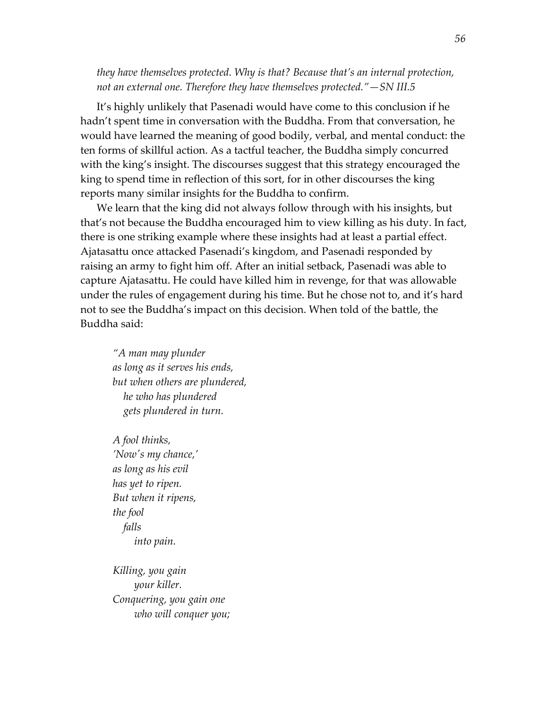### *they have themselves protected. Why is that? Because that's an internal protection, not an external one. Therefore they have themselves protected."—SN III.5*

It's highly unlikely that Pasenadi would have come to this conclusion if he hadn't spent time in conversation with the Buddha. From that conversation, he would have learned the meaning of good bodily, verbal, and mental conduct: the ten forms of skillful action. As a tactful teacher, the Buddha simply concurred with the king's insight. The discourses suggest that this strategy encouraged the king to spend time in reflection of this sort, for in other discourses the king reports many similar insights for the Buddha to confirm.

We learn that the king did not always follow through with his insights, but that's not because the Buddha encouraged him to view killing as his duty. In fact, there is one striking example where these insights had at least a partial effect. Ajatasattu once attacked Pasenadi's kingdom, and Pasenadi responded by raising an army to fight him off. After an initial setback, Pasenadi was able to capture Ajatasattu. He could have killed him in revenge, for that was allowable under the rules of engagement during his time. But he chose not to, and it's hard not to see the Buddha's impact on this decision. When told of the battle, the Buddha said:

*"A man may plunder as long as it serves his ends, but when others are plundered, he who has plundered gets plundered in turn.* 

*A fool thinks, 'Nowʹs my chance,' as long as his evil has yet to ripen. But when it ripens, the fool falls into pain.* 

*Killing, you gain your killer. Conquering, you gain one who will conquer you;*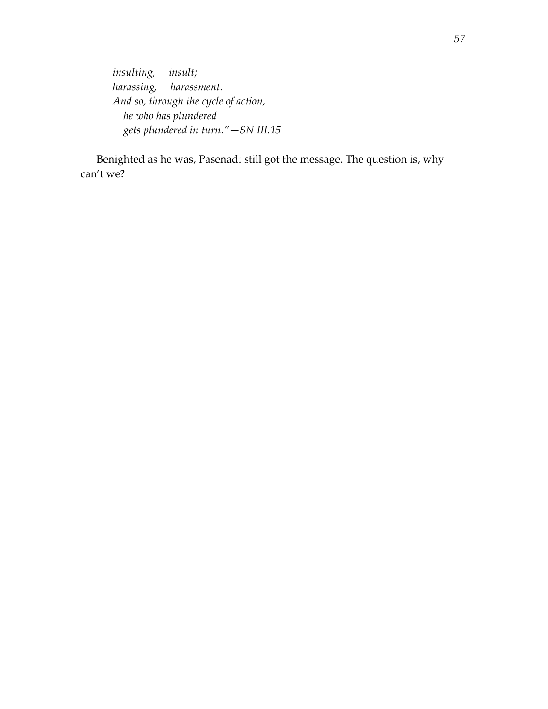*insulting, insult; harassing, harassment. And so, through the cycle of action, he who has plundered gets plundered in turn."—SN III.15*

Benighted as he was, Pasenadi still got the message. The question is, why can't we?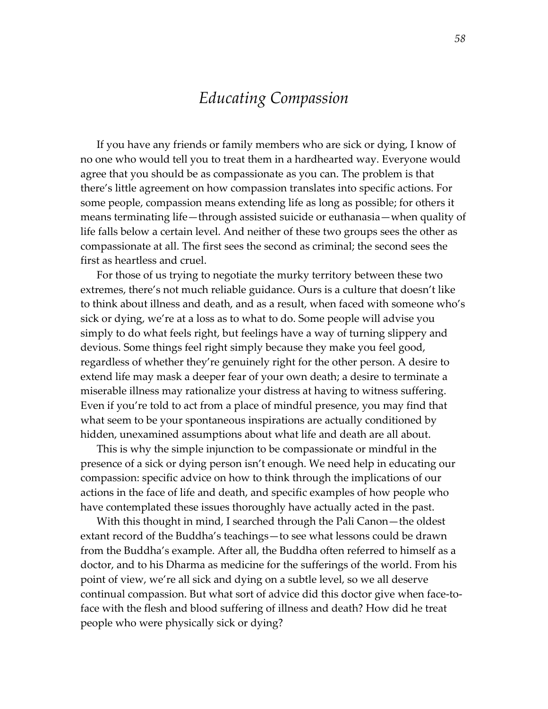# *Educating Compassion*

If you have any friends or family members who are sick or dying, I know of no one who would tell you to treat them in a hardhearted way. Everyone would agree that you should be as compassionate as you can. The problem is that there's little agreement on how compassion translates into specific actions. For some people, compassion means extending life as long as possible; for others it means terminating life—through assisted suicide or euthanasia—when quality of life falls below a certain level. And neither of these two groups sees the other as compassionate at all. The first sees the second as criminal; the second sees the first as heartless and cruel.

For those of us trying to negotiate the murky territory between these two extremes, there's not much reliable guidance. Ours is a culture that doesn't like to think about illness and death, and as a result, when faced with someone who's sick or dying, we're at a loss as to what to do. Some people will advise you simply to do what feels right, but feelings have a way of turning slippery and devious. Some things feel right simply because they make you feel good, regardless of whether they're genuinely right for the other person. A desire to extend life may mask a deeper fear of your own death; a desire to terminate a miserable illness may rationalize your distress at having to witness suffering. Even if you're told to act from a place of mindful presence, you may find that what seem to be your spontaneous inspirations are actually conditioned by hidden, unexamined assumptions about what life and death are all about.

This is why the simple injunction to be compassionate or mindful in the presence of a sick or dying person isn't enough. We need help in educating our compassion: specific advice on how to think through the implications of our actions in the face of life and death, and specific examples of how people who have contemplated these issues thoroughly have actually acted in the past.

With this thought in mind, I searched through the Pali Canon—the oldest extant record of the Buddha's teachings—to see what lessons could be drawn from the Buddha's example. After all, the Buddha often referred to himself as a doctor, and to his Dharma as medicine for the sufferings of the world. From his point of view, we're all sick and dying on a subtle level, so we all deserve continual compassion. But what sort of advice did this doctor give when face‐to‐ face with the flesh and blood suffering of illness and death? How did he treat people who were physically sick or dying?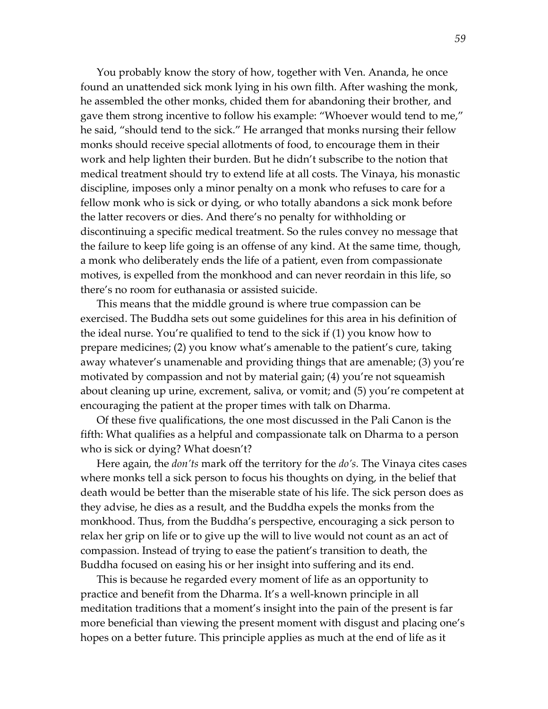You probably know the story of how, together with Ven. Ananda, he once found an unattended sick monk lying in his own filth. After washing the monk, he assembled the other monks, chided them for abandoning their brother, and gave them strong incentive to follow his example: "Whoever would tend to me," he said, "should tend to the sick." He arranged that monks nursing their fellow monks should receive special allotments of food, to encourage them in their work and help lighten their burden. But he didn't subscribe to the notion that medical treatment should try to extend life at all costs. The Vinaya, his monastic discipline, imposes only a minor penalty on a monk who refuses to care for a fellow monk who is sick or dying, or who totally abandons a sick monk before the latter recovers or dies. And there's no penalty for withholding or discontinuing a specific medical treatment. So the rules convey no message that the failure to keep life going is an offense of any kind. At the same time, though, a monk who deliberately ends the life of a patient, even from compassionate motives, is expelled from the monkhood and can never reordain in this life, so there's no room for euthanasia or assisted suicide.

This means that the middle ground is where true compassion can be exercised. The Buddha sets out some guidelines for this area in his definition of the ideal nurse. You're qualified to tend to the sick if (1) you know how to prepare medicines; (2) you know what's amenable to the patient's cure, taking away whatever's unamenable and providing things that are amenable; (3) you're motivated by compassion and not by material gain; (4) you're not squeamish about cleaning up urine, excrement, saliva, or vomit; and (5) you're competent at encouraging the patient at the proper times with talk on Dharma.

Of these five qualifications, the one most discussed in the Pali Canon is the fifth: What qualifies as a helpful and compassionate talk on Dharma to a person who is sick or dying? What doesn't?

Here again, the *don'ts* mark off the territory for the *do's.* The Vinaya cites cases where monks tell a sick person to focus his thoughts on dying, in the belief that death would be better than the miserable state of his life. The sick person does as they advise, he dies as a result, and the Buddha expels the monks from the monkhood. Thus, from the Buddha's perspective, encouraging a sick person to relax her grip on life or to give up the will to live would not count as an act of compassion. Instead of trying to ease the patient's transition to death, the Buddha focused on easing his or her insight into suffering and its end.

This is because he regarded every moment of life as an opportunity to practice and benefit from the Dharma. It's a well‐known principle in all meditation traditions that a moment's insight into the pain of the present is far more beneficial than viewing the present moment with disgust and placing one's hopes on a better future. This principle applies as much at the end of life as it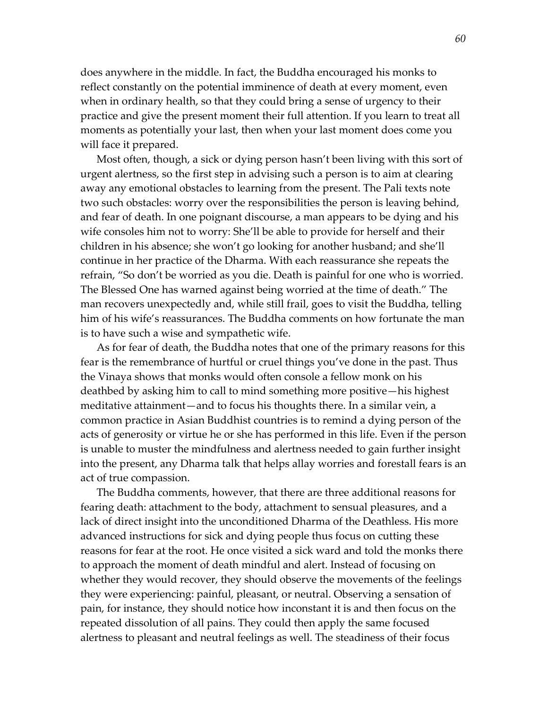does anywhere in the middle. In fact, the Buddha encouraged his monks to reflect constantly on the potential imminence of death at every moment, even when in ordinary health, so that they could bring a sense of urgency to their practice and give the present moment their full attention. If you learn to treat all moments as potentially your last, then when your last moment does come you will face it prepared.

Most often, though, a sick or dying person hasn't been living with this sort of urgent alertness, so the first step in advising such a person is to aim at clearing away any emotional obstacles to learning from the present. The Pali texts note two such obstacles: worry over the responsibilities the person is leaving behind, and fear of death. In one poignant discourse, a man appears to be dying and his wife consoles him not to worry: She'll be able to provide for herself and their children in his absence; she won't go looking for another husband; and she'll continue in her practice of the Dharma. With each reassurance she repeats the refrain, "So don't be worried as you die. Death is painful for one who is worried. The Blessed One has warned against being worried at the time of death." The man recovers unexpectedly and, while still frail, goes to visit the Buddha, telling him of his wife's reassurances. The Buddha comments on how fortunate the man is to have such a wise and sympathetic wife.

As for fear of death, the Buddha notes that one of the primary reasons for this fear is the remembrance of hurtful or cruel things you've done in the past. Thus the Vinaya shows that monks would often console a fellow monk on his deathbed by asking him to call to mind something more positive—his highest meditative attainment—and to focus his thoughts there. In a similar vein, a common practice in Asian Buddhist countries is to remind a dying person of the acts of generosity or virtue he or she has performed in this life. Even if the person is unable to muster the mindfulness and alertness needed to gain further insight into the present, any Dharma talk that helps allay worries and forestall fears is an act of true compassion.

The Buddha comments, however, that there are three additional reasons for fearing death: attachment to the body, attachment to sensual pleasures, and a lack of direct insight into the unconditioned Dharma of the Deathless. His more advanced instructions for sick and dying people thus focus on cutting these reasons for fear at the root. He once visited a sick ward and told the monks there to approach the moment of death mindful and alert. Instead of focusing on whether they would recover, they should observe the movements of the feelings they were experiencing: painful, pleasant, or neutral. Observing a sensation of pain, for instance, they should notice how inconstant it is and then focus on the repeated dissolution of all pains. They could then apply the same focused alertness to pleasant and neutral feelings as well. The steadiness of their focus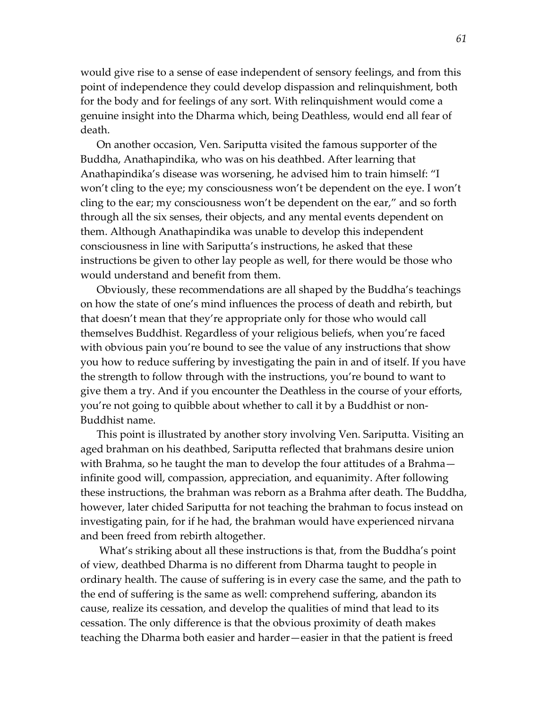would give rise to a sense of ease independent of sensory feelings, and from this point of independence they could develop dispassion and relinquishment, both for the body and for feelings of any sort. With relinquishment would come a genuine insight into the Dharma which, being Deathless, would end all fear of death.

On another occasion, Ven. Sariputta visited the famous supporter of the Buddha, Anathapindika, who was on his deathbed. After learning that Anathapindika's disease was worsening, he advised him to train himself: "I won't cling to the eye; my consciousness won't be dependent on the eye. I won't cling to the ear; my consciousness won't be dependent on the ear," and so forth through all the six senses, their objects, and any mental events dependent on them. Although Anathapindika was unable to develop this independent consciousness in line with Sariputta's instructions, he asked that these instructions be given to other lay people as well, for there would be those who would understand and benefit from them.

Obviously, these recommendations are all shaped by the Buddha's teachings on how the state of one's mind influences the process of death and rebirth, but that doesn't mean that they're appropriate only for those who would call themselves Buddhist. Regardless of your religious beliefs, when you're faced with obvious pain you're bound to see the value of any instructions that show you how to reduce suffering by investigating the pain in and of itself. If you have the strength to follow through with the instructions, you're bound to want to give them a try. And if you encounter the Deathless in the course of your efforts, you're not going to quibble about whether to call it by a Buddhist or non‐ Buddhist name.

This point is illustrated by another story involving Ven. Sariputta. Visiting an aged brahman on his deathbed, Sariputta reflected that brahmans desire union with Brahma, so he taught the man to develop the four attitudes of a Brahma infinite good will, compassion, appreciation, and equanimity. After following these instructions, the brahman was reborn as a Brahma after death. The Buddha, however, later chided Sariputta for not teaching the brahman to focus instead on investigating pain, for if he had, the brahman would have experienced nirvana and been freed from rebirth altogether.

What's striking about all these instructions is that, from the Buddha's point of view, deathbed Dharma is no different from Dharma taught to people in ordinary health. The cause of suffering is in every case the same, and the path to the end of suffering is the same as well: comprehend suffering, abandon its cause, realize its cessation, and develop the qualities of mind that lead to its cessation. The only difference is that the obvious proximity of death makes teaching the Dharma both easier and harder—easier in that the patient is freed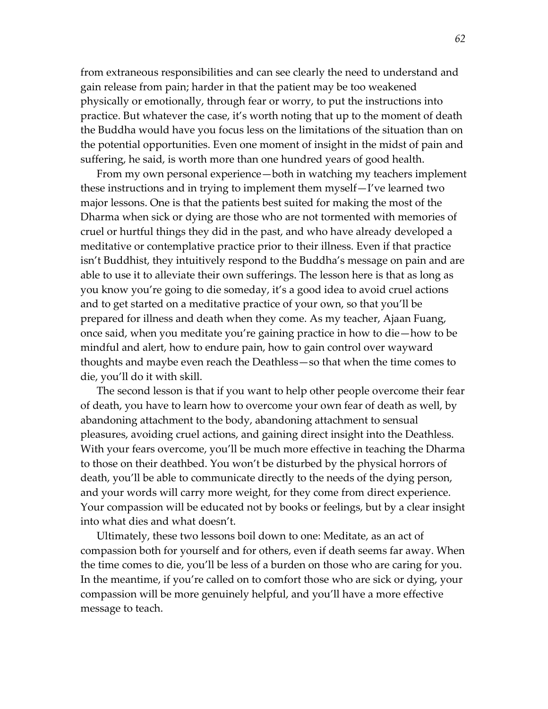from extraneous responsibilities and can see clearly the need to understand and gain release from pain; harder in that the patient may be too weakened physically or emotionally, through fear or worry, to put the instructions into practice. But whatever the case, it's worth noting that up to the moment of death the Buddha would have you focus less on the limitations of the situation than on the potential opportunities. Even one moment of insight in the midst of pain and suffering, he said, is worth more than one hundred years of good health.

From my own personal experience—both in watching my teachers implement these instructions and in trying to implement them myself—I've learned two major lessons. One is that the patients best suited for making the most of the Dharma when sick or dying are those who are not tormented with memories of cruel or hurtful things they did in the past, and who have already developed a meditative or contemplative practice prior to their illness. Even if that practice isn't Buddhist, they intuitively respond to the Buddha's message on pain and are able to use it to alleviate their own sufferings. The lesson here is that as long as you know you're going to die someday, it's a good idea to avoid cruel actions and to get started on a meditative practice of your own, so that you'll be prepared for illness and death when they come. As my teacher, Ajaan Fuang, once said, when you meditate you're gaining practice in how to die—how to be mindful and alert, how to endure pain, how to gain control over wayward thoughts and maybe even reach the Deathless—so that when the time comes to die, you'll do it with skill.

The second lesson is that if you want to help other people overcome their fear of death, you have to learn how to overcome your own fear of death as well, by abandoning attachment to the body, abandoning attachment to sensual pleasures, avoiding cruel actions, and gaining direct insight into the Deathless. With your fears overcome, you'll be much more effective in teaching the Dharma to those on their deathbed. You won't be disturbed by the physical horrors of death, you'll be able to communicate directly to the needs of the dying person, and your words will carry more weight, for they come from direct experience. Your compassion will be educated not by books or feelings, but by a clear insight into what dies and what doesn't.

Ultimately, these two lessons boil down to one: Meditate, as an act of compassion both for yourself and for others, even if death seems far away. When the time comes to die, you'll be less of a burden on those who are caring for you. In the meantime, if you're called on to comfort those who are sick or dying, your compassion will be more genuinely helpful, and you'll have a more effective message to teach.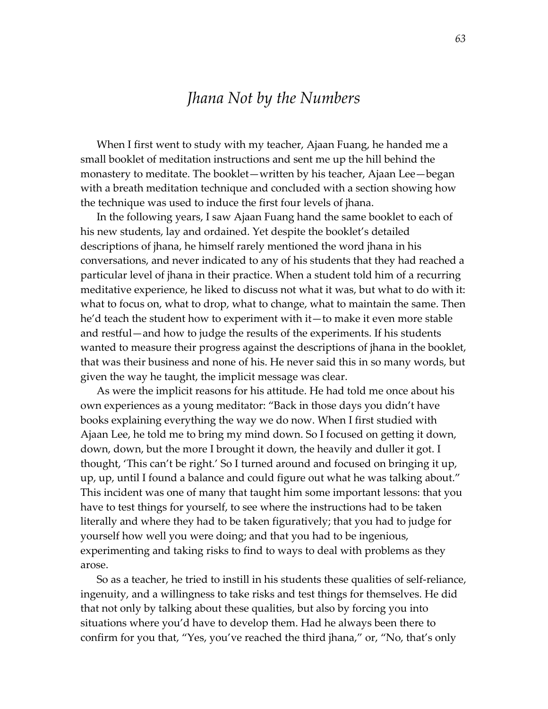## *Jhana Not by the Numbers*

When I first went to study with my teacher, Ajaan Fuang, he handed me a small booklet of meditation instructions and sent me up the hill behind the monastery to meditate. The booklet—written by his teacher, Ajaan Lee—began with a breath meditation technique and concluded with a section showing how the technique was used to induce the first four levels of jhana.

In the following years, I saw Ajaan Fuang hand the same booklet to each of his new students, lay and ordained. Yet despite the booklet's detailed descriptions of jhana, he himself rarely mentioned the word jhana in his conversations, and never indicated to any of his students that they had reached a particular level of jhana in their practice. When a student told him of a recurring meditative experience, he liked to discuss not what it was, but what to do with it: what to focus on, what to drop, what to change, what to maintain the same. Then he'd teach the student how to experiment with it—to make it even more stable and restful—and how to judge the results of the experiments. If his students wanted to measure their progress against the descriptions of jhana in the booklet, that was their business and none of his. He never said this in so many words, but given the way he taught, the implicit message was clear.

As were the implicit reasons for his attitude. He had told me once about his own experiences as a young meditator: "Back in those days you didn't have books explaining everything the way we do now. When I first studied with Ajaan Lee, he told me to bring my mind down. So I focused on getting it down, down, down, but the more I brought it down, the heavily and duller it got. I thought, 'This can't be right.' So I turned around and focused on bringing it up, up, up, until I found a balance and could figure out what he was talking about." This incident was one of many that taught him some important lessons: that you have to test things for yourself, to see where the instructions had to be taken literally and where they had to be taken figuratively; that you had to judge for yourself how well you were doing; and that you had to be ingenious, experimenting and taking risks to find to ways to deal with problems as they arose.

So as a teacher, he tried to instill in his students these qualities of self‐reliance, ingenuity, and a willingness to take risks and test things for themselves. He did that not only by talking about these qualities, but also by forcing you into situations where you'd have to develop them. Had he always been there to confirm for you that, "Yes, you've reached the third jhana," or, "No, that's only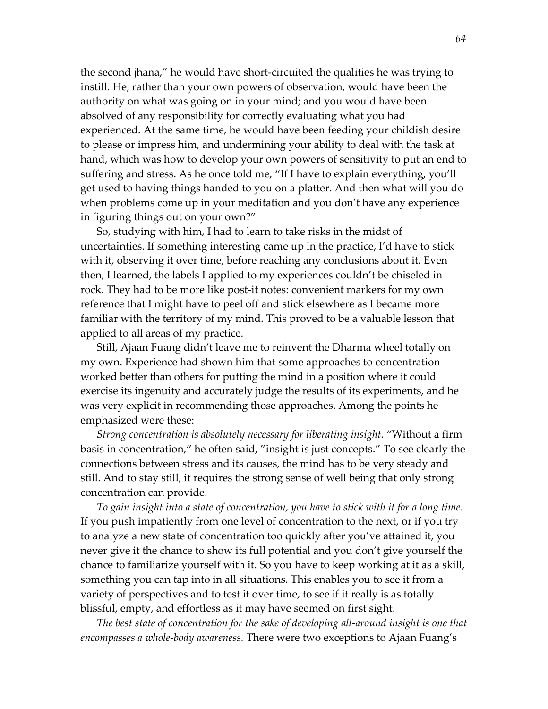the second jhana," he would have short‐circuited the qualities he was trying to instill. He, rather than your own powers of observation, would have been the authority on what was going on in your mind; and you would have been absolved of any responsibility for correctly evaluating what you had experienced. At the same time, he would have been feeding your childish desire to please or impress him, and undermining your ability to deal with the task at hand, which was how to develop your own powers of sensitivity to put an end to suffering and stress. As he once told me, "If I have to explain everything, you'll get used to having things handed to you on a platter. And then what will you do when problems come up in your meditation and you don't have any experience in figuring things out on your own?"

So, studying with him, I had to learn to take risks in the midst of uncertainties. If something interesting came up in the practice, I'd have to stick with it, observing it over time, before reaching any conclusions about it. Even then, I learned, the labels I applied to my experiences couldn't be chiseled in rock. They had to be more like post‐it notes: convenient markers for my own reference that I might have to peel off and stick elsewhere as I became more familiar with the territory of my mind. This proved to be a valuable lesson that applied to all areas of my practice.

Still, Ajaan Fuang didn't leave me to reinvent the Dharma wheel totally on my own. Experience had shown him that some approaches to concentration worked better than others for putting the mind in a position where it could exercise its ingenuity and accurately judge the results of its experiments, and he was very explicit in recommending those approaches. Among the points he emphasized were these:

*Strong concentration is absolutely necessary for liberating insight.* "Without a firm basis in concentration," he often said, "insight is just concepts." To see clearly the connections between stress and its causes, the mind has to be very steady and still. And to stay still, it requires the strong sense of well being that only strong concentration can provide.

*To gain insight into a state of concentration, you have to stick with it for a long time.* If you push impatiently from one level of concentration to the next, or if you try to analyze a new state of concentration too quickly after you've attained it, you never give it the chance to show its full potential and you don't give yourself the chance to familiarize yourself with it. So you have to keep working at it as a skill, something you can tap into in all situations. This enables you to see it from a variety of perspectives and to test it over time, to see if it really is as totally blissful, empty, and effortless as it may have seemed on first sight.

*The best state of concentration for the sake of developing all‐around insight is one that encompasses a whole‐body awareness.* There were two exceptions to Ajaan Fuang's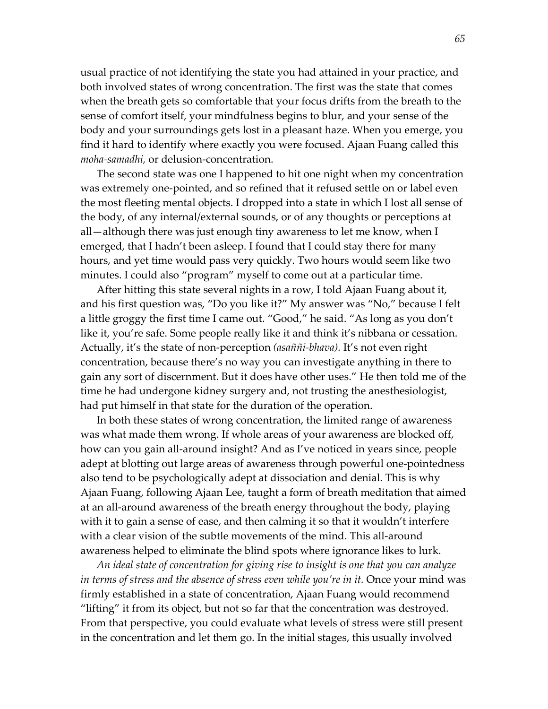usual practice of not identifying the state you had attained in your practice, and both involved states of wrong concentration. The first was the state that comes when the breath gets so comfortable that your focus drifts from the breath to the sense of comfort itself, your mindfulness begins to blur, and your sense of the body and your surroundings gets lost in a pleasant haze. When you emerge, you find it hard to identify where exactly you were focused. Ajaan Fuang called this *moha‐samadhi,* or delusion‐concentration.

The second state was one I happened to hit one night when my concentration was extremely one‐pointed, and so refined that it refused settle on or label even the most fleeting mental objects. I dropped into a state in which I lost all sense of the body, of any internal/external sounds, or of any thoughts or perceptions at all—although there was just enough tiny awareness to let me know, when I emerged, that I hadn't been asleep. I found that I could stay there for many hours, and yet time would pass very quickly. Two hours would seem like two minutes. I could also "program" myself to come out at a particular time.

After hitting this state several nights in a row, I told Ajaan Fuang about it, and his first question was, "Do you like it?" My answer was "No," because I felt a little groggy the first time I came out. "Good," he said. "As long as you don't like it, you're safe. Some people really like it and think it's nibbana or cessation. Actually, it's the state of non‐perception *(asaññi‐bhava).* It's not even right concentration, because there's no way you can investigate anything in there to gain any sort of discernment. But it does have other uses." He then told me of the time he had undergone kidney surgery and, not trusting the anesthesiologist, had put himself in that state for the duration of the operation.

In both these states of wrong concentration, the limited range of awareness was what made them wrong. If whole areas of your awareness are blocked off, how can you gain all‐around insight? And as I've noticed in years since, people adept at blotting out large areas of awareness through powerful one‐pointedness also tend to be psychologically adept at dissociation and denial. This is why Ajaan Fuang, following Ajaan Lee, taught a form of breath meditation that aimed at an all‐around awareness of the breath energy throughout the body, playing with it to gain a sense of ease, and then calming it so that it wouldn't interfere with a clear vision of the subtle movements of the mind. This all-around awareness helped to eliminate the blind spots where ignorance likes to lurk.

*An ideal state of concentration for giving rise to insight is one that you can analyze in terms of stress and the absence of stress even while you're in it.* Once your mind was firmly established in a state of concentration, Ajaan Fuang would recommend "lifting" it from its object, but not so far that the concentration was destroyed. From that perspective, you could evaluate what levels of stress were still present in the concentration and let them go. In the initial stages, this usually involved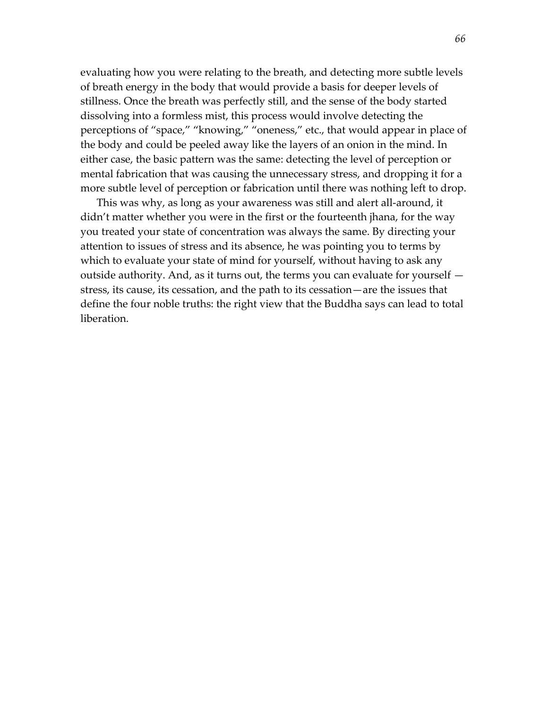evaluating how you were relating to the breath, and detecting more subtle levels of breath energy in the body that would provide a basis for deeper levels of stillness. Once the breath was perfectly still, and the sense of the body started dissolving into a formless mist, this process would involve detecting the perceptions of "space," "knowing," "oneness," etc., that would appear in place of the body and could be peeled away like the layers of an onion in the mind. In either case, the basic pattern was the same: detecting the level of perception or mental fabrication that was causing the unnecessary stress, and dropping it for a more subtle level of perception or fabrication until there was nothing left to drop.

This was why, as long as your awareness was still and alert all‐around, it didn't matter whether you were in the first or the fourteenth jhana, for the way you treated your state of concentration was always the same. By directing your attention to issues of stress and its absence, he was pointing you to terms by which to evaluate your state of mind for yourself, without having to ask any outside authority. And, as it turns out, the terms you can evaluate for yourself stress, its cause, its cessation, and the path to its cessation—are the issues that define the four noble truths: the right view that the Buddha says can lead to total liberation.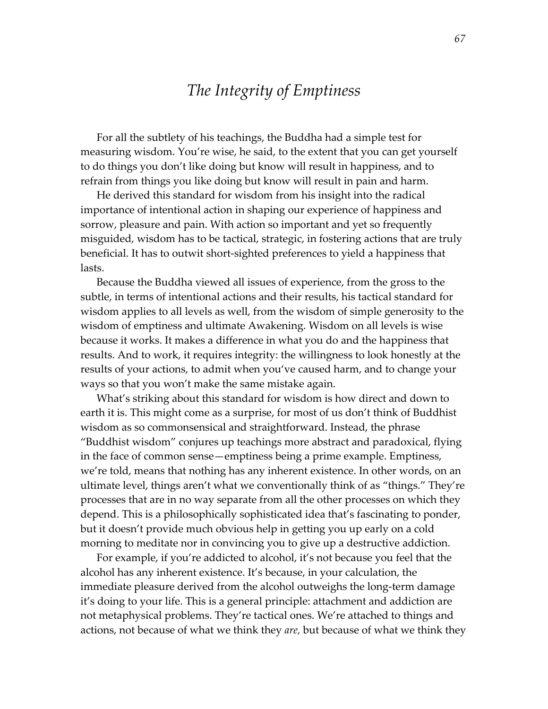# *The Integrity of Emptiness*

For all the subtlety of his teachings, the Buddha had a simple test for measuring wisdom. You're wise, he said, to the extent that you can get yourself to do things you don't like doing but know will result in happiness, and to refrain from things you like doing but know will result in pain and harm.

He derived this standard for wisdom from his insight into the radical importance of intentional action in shaping our experience of happiness and sorrow, pleasure and pain. With action so important and yet so frequently misguided, wisdom has to be tactical, strategic, in fostering actions that are truly beneficial. It has to outwit short‐sighted preferences to yield a happiness that lasts.

Because the Buddha viewed all issues of experience, from the gross to the subtle, in terms of intentional actions and their results, his tactical standard for wisdom applies to all levels as well, from the wisdom of simple generosity to the wisdom of emptiness and ultimate Awakening. Wisdom on all levels is wise because it works. It makes a difference in what you do and the happiness that results. And to work, it requires integrity: the willingness to look honestly at the results of your actions, to admit when you've caused harm, and to change your ways so that you won't make the same mistake again.

What's striking about this standard for wisdom is how direct and down to earth it is. This might come as a surprise, for most of us don't think of Buddhist wisdom as so commonsensical and straightforward. Instead, the phrase "Buddhist wisdom" conjures up teachings more abstract and paradoxical, flying in the face of common sense—emptiness being a prime example. Emptiness, we're told, means that nothing has any inherent existence. In other words, on an ultimate level, things aren't what we conventionally think of as "things." They're processes that are in no way separate from all the other processes on which they depend. This is a philosophically sophisticated idea that's fascinating to ponder, but it doesn't provide much obvious help in getting you up early on a cold morning to meditate nor in convincing you to give up a destructive addiction.

For example, if you're addicted to alcohol, it's not because you feel that the alcohol has any inherent existence. It's because, in your calculation, the immediate pleasure derived from the alcohol outweighs the long-term damage it's doing to your life. This is a general principle: attachment and addiction are not metaphysical problems. They're tactical ones. We're attached to things and actions, not because of what we think they *are,* but because of what we think they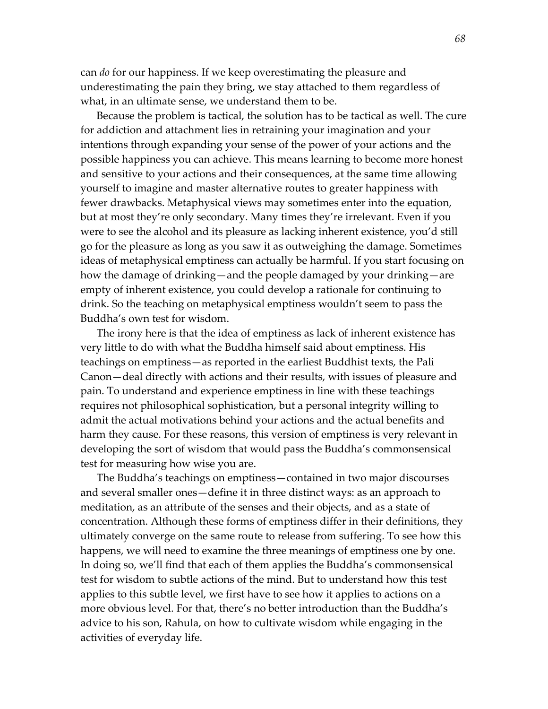can *do* for our happiness. If we keep overestimating the pleasure and underestimating the pain they bring, we stay attached to them regardless of what, in an ultimate sense, we understand them to be.

Because the problem is tactical, the solution has to be tactical as well. The cure for addiction and attachment lies in retraining your imagination and your intentions through expanding your sense of the power of your actions and the possible happiness you can achieve. This means learning to become more honest and sensitive to your actions and their consequences, at the same time allowing yourself to imagine and master alternative routes to greater happiness with fewer drawbacks. Metaphysical views may sometimes enter into the equation, but at most they're only secondary. Many times they're irrelevant. Even if you were to see the alcohol and its pleasure as lacking inherent existence, you'd still go for the pleasure as long as you saw it as outweighing the damage. Sometimes ideas of metaphysical emptiness can actually be harmful. If you start focusing on how the damage of drinking—and the people damaged by your drinking—are empty of inherent existence, you could develop a rationale for continuing to drink. So the teaching on metaphysical emptiness wouldn't seem to pass the Buddha's own test for wisdom.

The irony here is that the idea of emptiness as lack of inherent existence has very little to do with what the Buddha himself said about emptiness. His teachings on emptiness—as reported in the earliest Buddhist texts, the Pali Canon—deal directly with actions and their results, with issues of pleasure and pain. To understand and experience emptiness in line with these teachings requires not philosophical sophistication, but a personal integrity willing to admit the actual motivations behind your actions and the actual benefits and harm they cause. For these reasons, this version of emptiness is very relevant in developing the sort of wisdom that would pass the Buddha's commonsensical test for measuring how wise you are.

The Buddha's teachings on emptiness—contained in two major discourses and several smaller ones—define it in three distinct ways: as an approach to meditation, as an attribute of the senses and their objects, and as a state of concentration. Although these forms of emptiness differ in their definitions, they ultimately converge on the same route to release from suffering. To see how this happens, we will need to examine the three meanings of emptiness one by one. In doing so, we'll find that each of them applies the Buddha's commonsensical test for wisdom to subtle actions of the mind. But to understand how this test applies to this subtle level, we first have to see how it applies to actions on a more obvious level. For that, there's no better introduction than the Buddha's advice to his son, Rahula, on how to cultivate wisdom while engaging in the activities of everyday life.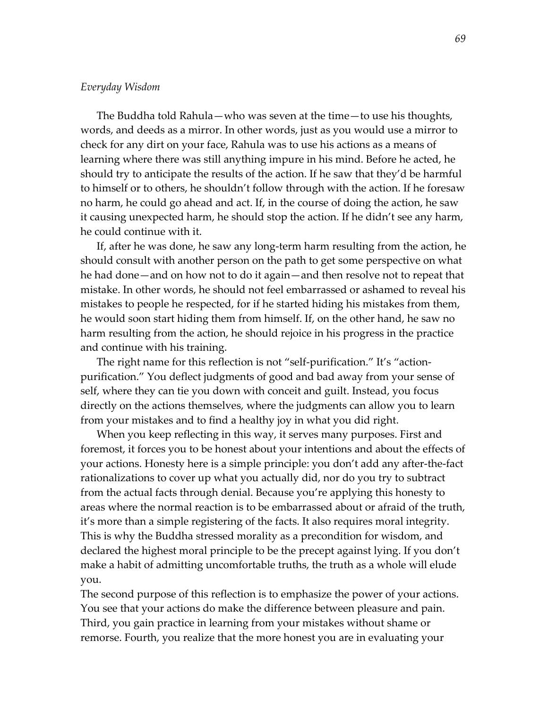#### *Everyday Wisdom*

The Buddha told Rahula—who was seven at the time—to use his thoughts, words, and deeds as a mirror. In other words, just as you would use a mirror to check for any dirt on your face, Rahula was to use his actions as a means of learning where there was still anything impure in his mind. Before he acted, he should try to anticipate the results of the action. If he saw that they'd be harmful to himself or to others, he shouldn't follow through with the action. If he foresaw no harm, he could go ahead and act. If, in the course of doing the action, he saw it causing unexpected harm, he should stop the action. If he didn't see any harm, he could continue with it.

If, after he was done, he saw any long‐term harm resulting from the action, he should consult with another person on the path to get some perspective on what he had done—and on how not to do it again—and then resolve not to repeat that mistake. In other words, he should not feel embarrassed or ashamed to reveal his mistakes to people he respected, for if he started hiding his mistakes from them, he would soon start hiding them from himself. If, on the other hand, he saw no harm resulting from the action, he should rejoice in his progress in the practice and continue with his training.

The right name for this reflection is not "self‐purification." It's "action‐ purification." You deflect judgments of good and bad away from your sense of self, where they can tie you down with conceit and guilt. Instead, you focus directly on the actions themselves, where the judgments can allow you to learn from your mistakes and to find a healthy joy in what you did right.

When you keep reflecting in this way, it serves many purposes. First and foremost, it forces you to be honest about your intentions and about the effects of your actions. Honesty here is a simple principle: you don't add any after‐the‐fact rationalizations to cover up what you actually did, nor do you try to subtract from the actual facts through denial. Because you're applying this honesty to areas where the normal reaction is to be embarrassed about or afraid of the truth, it's more than a simple registering of the facts. It also requires moral integrity. This is why the Buddha stressed morality as a precondition for wisdom, and declared the highest moral principle to be the precept against lying. If you don't make a habit of admitting uncomfortable truths, the truth as a whole will elude you.

The second purpose of this reflection is to emphasize the power of your actions. You see that your actions do make the difference between pleasure and pain. Third, you gain practice in learning from your mistakes without shame or remorse. Fourth, you realize that the more honest you are in evaluating your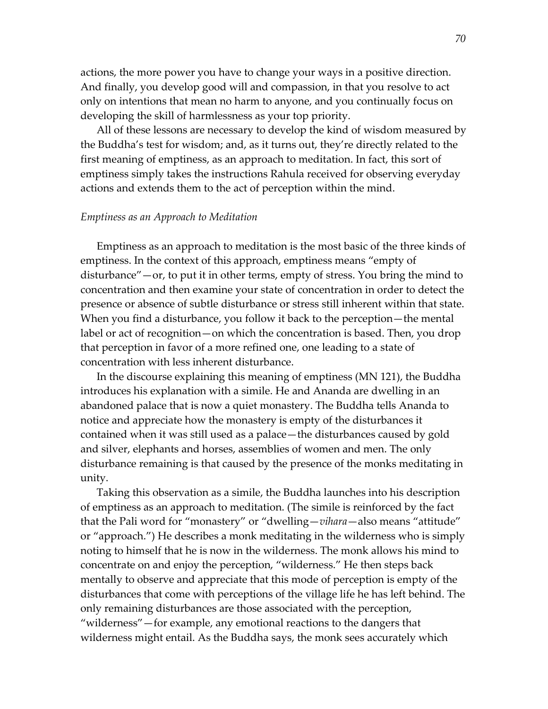actions, the more power you have to change your ways in a positive direction. And finally, you develop good will and compassion, in that you resolve to act only on intentions that mean no harm to anyone, and you continually focus on developing the skill of harmlessness as your top priority.

All of these lessons are necessary to develop the kind of wisdom measured by the Buddha's test for wisdom; and, as it turns out, they're directly related to the first meaning of emptiness, as an approach to meditation. In fact, this sort of emptiness simply takes the instructions Rahula received for observing everyday actions and extends them to the act of perception within the mind.

#### *Emptiness as an Approach to Meditation*

Emptiness as an approach to meditation is the most basic of the three kinds of emptiness. In the context of this approach, emptiness means "empty of disturbance"—or, to put it in other terms, empty of stress. You bring the mind to concentration and then examine your state of concentration in order to detect the presence or absence of subtle disturbance or stress still inherent within that state. When you find a disturbance, you follow it back to the perception—the mental label or act of recognition—on which the concentration is based. Then, you drop that perception in favor of a more refined one, one leading to a state of concentration with less inherent disturbance.

In the discourse explaining this meaning of emptiness (MN 121), the Buddha introduces his explanation with a simile. He and Ananda are dwelling in an abandoned palace that is now a quiet monastery. The Buddha tells Ananda to notice and appreciate how the monastery is empty of the disturbances it contained when it was still used as a palace—the disturbances caused by gold and silver, elephants and horses, assemblies of women and men. The only disturbance remaining is that caused by the presence of the monks meditating in unity.

Taking this observation as a simile, the Buddha launches into his description of emptiness as an approach to meditation. (The simile is reinforced by the fact that the Pali word for "monastery" or "dwelling—*vihara*—also means "attitude" or "approach.") He describes a monk meditating in the wilderness who is simply noting to himself that he is now in the wilderness. The monk allows his mind to concentrate on and enjoy the perception, "wilderness." He then steps back mentally to observe and appreciate that this mode of perception is empty of the disturbances that come with perceptions of the village life he has left behind. The only remaining disturbances are those associated with the perception, "wilderness"—for example, any emotional reactions to the dangers that wilderness might entail. As the Buddha says, the monk sees accurately which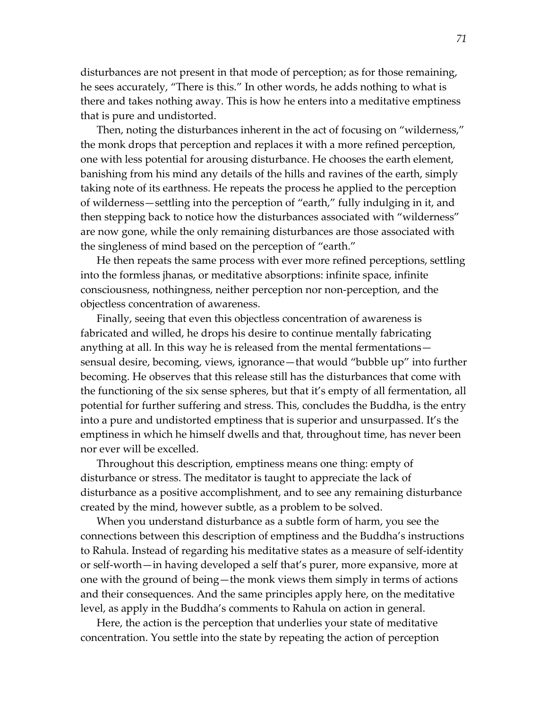disturbances are not present in that mode of perception; as for those remaining, he sees accurately, "There is this." In other words, he adds nothing to what is there and takes nothing away. This is how he enters into a meditative emptiness that is pure and undistorted.

Then, noting the disturbances inherent in the act of focusing on "wilderness," the monk drops that perception and replaces it with a more refined perception, one with less potential for arousing disturbance. He chooses the earth element, banishing from his mind any details of the hills and ravines of the earth, simply taking note of its earthness. He repeats the process he applied to the perception of wilderness—settling into the perception of "earth," fully indulging in it, and then stepping back to notice how the disturbances associated with "wilderness" are now gone, while the only remaining disturbances are those associated with the singleness of mind based on the perception of "earth."

He then repeats the same process with ever more refined perceptions, settling into the formless jhanas, or meditative absorptions: infinite space, infinite consciousness, nothingness, neither perception nor non‐perception, and the objectless concentration of awareness.

Finally, seeing that even this objectless concentration of awareness is fabricated and willed, he drops his desire to continue mentally fabricating anything at all. In this way he is released from the mental fermentations sensual desire, becoming, views, ignorance—that would "bubble up" into further becoming. He observes that this release still has the disturbances that come with the functioning of the six sense spheres, but that it's empty of all fermentation, all potential for further suffering and stress. This, concludes the Buddha, is the entry into a pure and undistorted emptiness that is superior and unsurpassed. It's the emptiness in which he himself dwells and that, throughout time, has never been nor ever will be excelled.

Throughout this description, emptiness means one thing: empty of disturbance or stress. The meditator is taught to appreciate the lack of disturbance as a positive accomplishment, and to see any remaining disturbance created by the mind, however subtle, as a problem to be solved.

When you understand disturbance as a subtle form of harm, you see the connections between this description of emptiness and the Buddha's instructions to Rahula. Instead of regarding his meditative states as a measure of self‐identity or self‐worth—in having developed a self that's purer, more expansive, more at one with the ground of being—the monk views them simply in terms of actions and their consequences. And the same principles apply here, on the meditative level, as apply in the Buddha's comments to Rahula on action in general.

Here, the action is the perception that underlies your state of meditative concentration. You settle into the state by repeating the action of perception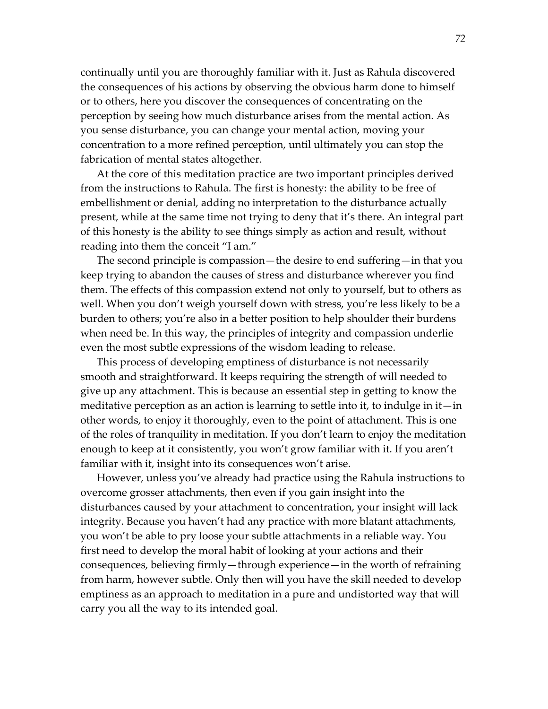continually until you are thoroughly familiar with it. Just as Rahula discovered the consequences of his actions by observing the obvious harm done to himself or to others, here you discover the consequences of concentrating on the perception by seeing how much disturbance arises from the mental action. As you sense disturbance, you can change your mental action, moving your concentration to a more refined perception, until ultimately you can stop the fabrication of mental states altogether.

At the core of this meditation practice are two important principles derived from the instructions to Rahula. The first is honesty: the ability to be free of embellishment or denial, adding no interpretation to the disturbance actually present, while at the same time not trying to deny that it's there. An integral part of this honesty is the ability to see things simply as action and result, without reading into them the conceit "I am."

The second principle is compassion—the desire to end suffering—in that you keep trying to abandon the causes of stress and disturbance wherever you find them. The effects of this compassion extend not only to yourself, but to others as well. When you don't weigh yourself down with stress, you're less likely to be a burden to others; you're also in a better position to help shoulder their burdens when need be. In this way, the principles of integrity and compassion underlie even the most subtle expressions of the wisdom leading to release.

This process of developing emptiness of disturbance is not necessarily smooth and straightforward. It keeps requiring the strength of will needed to give up any attachment. This is because an essential step in getting to know the meditative perception as an action is learning to settle into it, to indulge in it—in other words, to enjoy it thoroughly, even to the point of attachment. This is one of the roles of tranquility in meditation. If you don't learn to enjoy the meditation enough to keep at it consistently, you won't grow familiar with it. If you aren't familiar with it, insight into its consequences won't arise.

However, unless you've already had practice using the Rahula instructions to overcome grosser attachments, then even if you gain insight into the disturbances caused by your attachment to concentration, your insight will lack integrity. Because you haven't had any practice with more blatant attachments, you won't be able to pry loose your subtle attachments in a reliable way. You first need to develop the moral habit of looking at your actions and their consequences, believing firmly—through experience—in the worth of refraining from harm, however subtle. Only then will you have the skill needed to develop emptiness as an approach to meditation in a pure and undistorted way that will carry you all the way to its intended goal.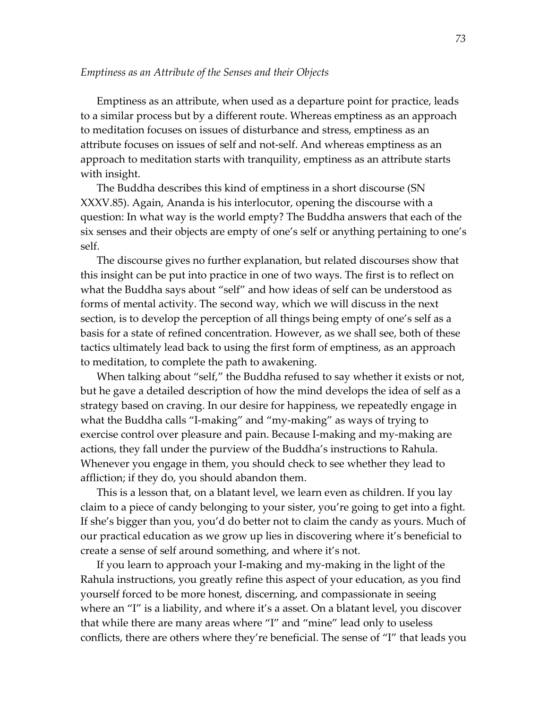#### *Emptiness as an Attribute of the Senses and their Objects*

Emptiness as an attribute, when used as a departure point for practice, leads to a similar process but by a different route. Whereas emptiness as an approach to meditation focuses on issues of disturbance and stress, emptiness as an attribute focuses on issues of self and not‐self. And whereas emptiness as an approach to meditation starts with tranquility, emptiness as an attribute starts with insight.

The Buddha describes this kind of emptiness in a short discourse (SN XXXV.85). Again, Ananda is his interlocutor, opening the discourse with a question: In what way is the world empty? The Buddha answers that each of the six senses and their objects are empty of one's self or anything pertaining to one's self.

The discourse gives no further explanation, but related discourses show that this insight can be put into practice in one of two ways. The first is to reflect on what the Buddha says about "self" and how ideas of self can be understood as forms of mental activity. The second way, which we will discuss in the next section, is to develop the perception of all things being empty of one's self as a basis for a state of refined concentration. However, as we shall see, both of these tactics ultimately lead back to using the first form of emptiness, as an approach to meditation, to complete the path to awakening.

When talking about "self," the Buddha refused to say whether it exists or not, but he gave a detailed description of how the mind develops the idea of self as a strategy based on craving. In our desire for happiness, we repeatedly engage in what the Buddha calls "I‐making" and "my‐making" as ways of trying to exercise control over pleasure and pain. Because I‐making and my‐making are actions, they fall under the purview of the Buddha's instructions to Rahula. Whenever you engage in them, you should check to see whether they lead to affliction; if they do, you should abandon them.

This is a lesson that, on a blatant level, we learn even as children. If you lay claim to a piece of candy belonging to your sister, you're going to get into a fight. If she's bigger than you, you'd do better not to claim the candy as yours. Much of our practical education as we grow up lies in discovering where it's beneficial to create a sense of self around something, and where it's not.

If you learn to approach your I‐making and my‐making in the light of the Rahula instructions, you greatly refine this aspect of your education, as you find yourself forced to be more honest, discerning, and compassionate in seeing where an "I" is a liability, and where it's a asset. On a blatant level, you discover that while there are many areas where "I" and "mine" lead only to useless conflicts, there are others where they're beneficial. The sense of "I" that leads you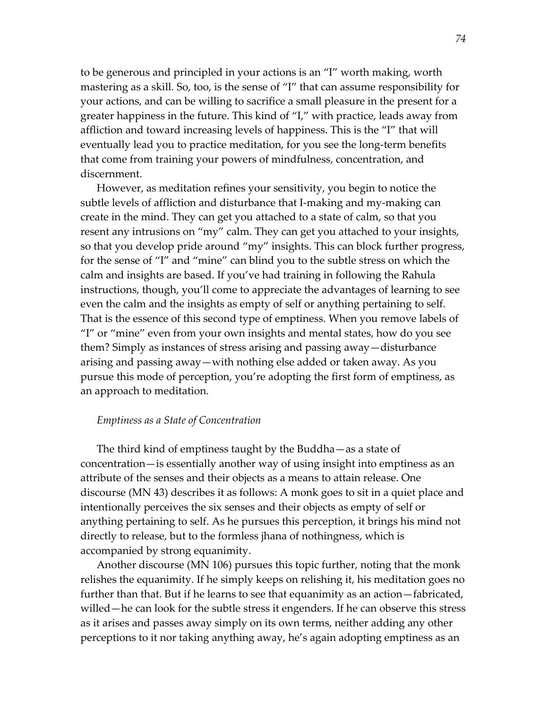to be generous and principled in your actions is an "I" worth making, worth mastering as a skill. So, too, is the sense of "I" that can assume responsibility for your actions, and can be willing to sacrifice a small pleasure in the present for a greater happiness in the future. This kind of "I," with practice, leads away from affliction and toward increasing levels of happiness. This is the "I" that will eventually lead you to practice meditation, for you see the long‐term benefits that come from training your powers of mindfulness, concentration, and discernment.

However, as meditation refines your sensitivity, you begin to notice the subtle levels of affliction and disturbance that I‐making and my‐making can create in the mind. They can get you attached to a state of calm, so that you resent any intrusions on "my" calm. They can get you attached to your insights, so that you develop pride around "my" insights. This can block further progress, for the sense of "I" and "mine" can blind you to the subtle stress on which the calm and insights are based. If you've had training in following the Rahula instructions, though, you'll come to appreciate the advantages of learning to see even the calm and the insights as empty of self or anything pertaining to self. That is the essence of this second type of emptiness. When you remove labels of "I" or "mine" even from your own insights and mental states, how do you see them? Simply as instances of stress arising and passing away—disturbance arising and passing away—with nothing else added or taken away. As you pursue this mode of perception, you're adopting the first form of emptiness, as an approach to meditation.

#### *Emptiness as a State of Concentration*

The third kind of emptiness taught by the Buddha—as a state of concentration—is essentially another way of using insight into emptiness as an attribute of the senses and their objects as a means to attain release. One discourse (MN 43) describes it as follows: A monk goes to sit in a quiet place and intentionally perceives the six senses and their objects as empty of self or anything pertaining to self. As he pursues this perception, it brings his mind not directly to release, but to the formless jhana of nothingness, which is accompanied by strong equanimity.

Another discourse (MN 106) pursues this topic further, noting that the monk relishes the equanimity. If he simply keeps on relishing it, his meditation goes no further than that. But if he learns to see that equanimity as an action—fabricated, willed—he can look for the subtle stress it engenders. If he can observe this stress as it arises and passes away simply on its own terms, neither adding any other perceptions to it nor taking anything away, he's again adopting emptiness as an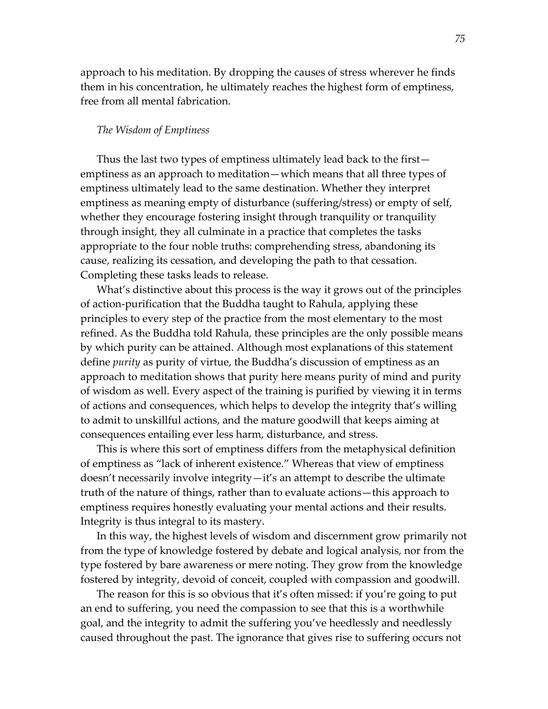approach to his meditation. By dropping the causes of stress wherever he finds them in his concentration, he ultimately reaches the highest form of emptiness, free from all mental fabrication.

### *The Wisdom of Emptiness*

Thus the last two types of emptiness ultimately lead back to the first emptiness as an approach to meditation—which means that all three types of emptiness ultimately lead to the same destination. Whether they interpret emptiness as meaning empty of disturbance (suffering/stress) or empty of self, whether they encourage fostering insight through tranquility or tranquility through insight, they all culminate in a practice that completes the tasks appropriate to the four noble truths: comprehending stress, abandoning its cause, realizing its cessation, and developing the path to that cessation. Completing these tasks leads to release.

What's distinctive about this process is the way it grows out of the principles of action‐purification that the Buddha taught to Rahula, applying these principles to every step of the practice from the most elementary to the most refined. As the Buddha told Rahula, these principles are the only possible means by which purity can be attained. Although most explanations of this statement define *purity* as purity of virtue, the Buddha's discussion of emptiness as an approach to meditation shows that purity here means purity of mind and purity of wisdom as well. Every aspect of the training is purified by viewing it in terms of actions and consequences, which helps to develop the integrity that's willing to admit to unskillful actions, and the mature goodwill that keeps aiming at consequences entailing ever less harm, disturbance, and stress.

This is where this sort of emptiness differs from the metaphysical definition of emptiness as "lack of inherent existence." Whereas that view of emptiness doesn't necessarily involve integrity—it's an attempt to describe the ultimate truth of the nature of things, rather than to evaluate actions—this approach to emptiness requires honestly evaluating your mental actions and their results. Integrity is thus integral to its mastery.

In this way, the highest levels of wisdom and discernment grow primarily not from the type of knowledge fostered by debate and logical analysis, nor from the type fostered by bare awareness or mere noting. They grow from the knowledge fostered by integrity, devoid of conceit, coupled with compassion and goodwill.

The reason for this is so obvious that it's often missed: if you're going to put an end to suffering, you need the compassion to see that this is a worthwhile goal, and the integrity to admit the suffering you've heedlessly and needlessly caused throughout the past. The ignorance that gives rise to suffering occurs not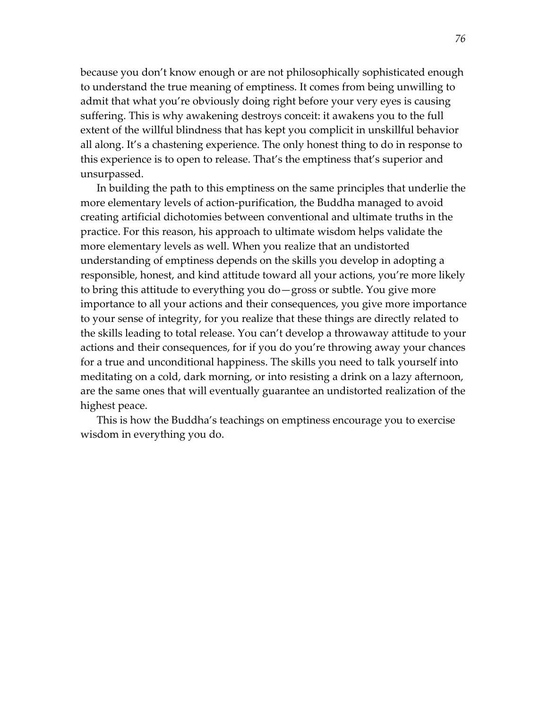because you don't know enough or are not philosophically sophisticated enough to understand the true meaning of emptiness. It comes from being unwilling to admit that what you're obviously doing right before your very eyes is causing suffering. This is why awakening destroys conceit: it awakens you to the full extent of the willful blindness that has kept you complicit in unskillful behavior all along. It's a chastening experience. The only honest thing to do in response to this experience is to open to release. That's the emptiness that's superior and unsurpassed.

In building the path to this emptiness on the same principles that underlie the more elementary levels of action‐purification, the Buddha managed to avoid creating artificial dichotomies between conventional and ultimate truths in the practice. For this reason, his approach to ultimate wisdom helps validate the more elementary levels as well. When you realize that an undistorted understanding of emptiness depends on the skills you develop in adopting a responsible, honest, and kind attitude toward all your actions, you're more likely to bring this attitude to everything you do—gross or subtle. You give more importance to all your actions and their consequences, you give more importance to your sense of integrity, for you realize that these things are directly related to the skills leading to total release. You can't develop a throwaway attitude to your actions and their consequences, for if you do you're throwing away your chances for a true and unconditional happiness. The skills you need to talk yourself into meditating on a cold, dark morning, or into resisting a drink on a lazy afternoon, are the same ones that will eventually guarantee an undistorted realization of the highest peace.

This is how the Buddha's teachings on emptiness encourage you to exercise wisdom in everything you do.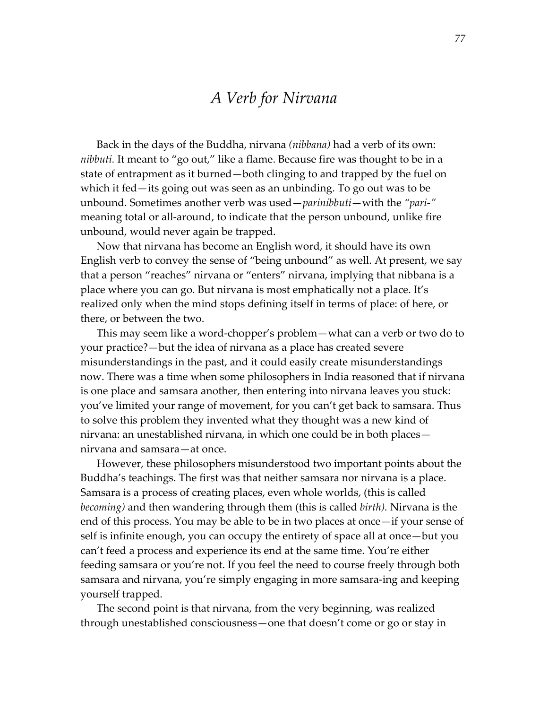# *A Verb for Nirvana*

Back in the days of the Buddha, nirvana *(nibbana)* had a verb of its own: *nibbuti.* It meant to "go out," like a flame. Because fire was thought to be in a state of entrapment as it burned—both clinging to and trapped by the fuel on which it fed—its going out was seen as an unbinding. To go out was to be unbound. Sometimes another verb was used—*parinibbuti*—with the *"pari‐"* meaning total or all‐around, to indicate that the person unbound, unlike fire unbound, would never again be trapped.

Now that nirvana has become an English word, it should have its own English verb to convey the sense of "being unbound" as well. At present, we say that a person "reaches" nirvana or "enters" nirvana, implying that nibbana is a place where you can go. But nirvana is most emphatically not a place. It's realized only when the mind stops defining itself in terms of place: of here, or there, or between the two.

This may seem like a word‐chopper's problem—what can a verb or two do to your practice?—but the idea of nirvana as a place has created severe misunderstandings in the past, and it could easily create misunderstandings now. There was a time when some philosophers in India reasoned that if nirvana is one place and samsara another, then entering into nirvana leaves you stuck: you've limited your range of movement, for you can't get back to samsara. Thus to solve this problem they invented what they thought was a new kind of nirvana: an unestablished nirvana, in which one could be in both places nirvana and samsara—at once.

However, these philosophers misunderstood two important points about the Buddha's teachings. The first was that neither samsara nor nirvana is a place. Samsara is a process of creating places, even whole worlds, (this is called *becoming)* and then wandering through them (this is called *birth).* Nirvana is the end of this process. You may be able to be in two places at once—if your sense of self is infinite enough, you can occupy the entirety of space all at once—but you can't feed a process and experience its end at the same time. You're either feeding samsara or you're not. If you feel the need to course freely through both samsara and nirvana, you're simply engaging in more samsara‐ing and keeping yourself trapped.

The second point is that nirvana, from the very beginning, was realized through unestablished consciousness—one that doesn't come or go or stay in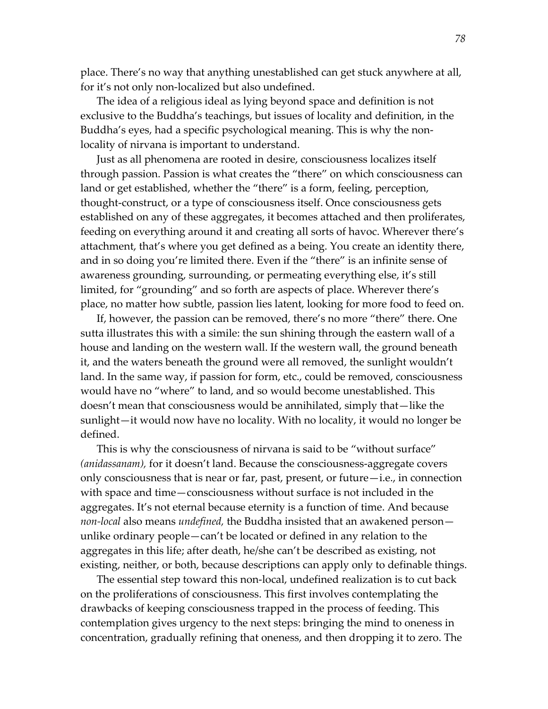place. There's no way that anything unestablished can get stuck anywhere at all, for it's not only non‐localized but also undefined.

The idea of a religious ideal as lying beyond space and definition is not exclusive to the Buddha's teachings, but issues of locality and definition, in the Buddha's eyes, had a specific psychological meaning. This is why the non‐ locality of nirvana is important to understand.

Just as all phenomena are rooted in desire, consciousness localizes itself through passion. Passion is what creates the "there" on which consciousness can land or get established, whether the "there" is a form, feeling, perception, thought‐construct, or a type of consciousness itself. Once consciousness gets established on any of these aggregates, it becomes attached and then proliferates, feeding on everything around it and creating all sorts of havoc. Wherever there's attachment, that's where you get defined as a being. You create an identity there, and in so doing you're limited there. Even if the "there" is an infinite sense of awareness grounding, surrounding, or permeating everything else, it's still limited, for "grounding" and so forth are aspects of place. Wherever there's place, no matter how subtle, passion lies latent, looking for more food to feed on.

If, however, the passion can be removed, there's no more "there" there. One sutta illustrates this with a simile: the sun shining through the eastern wall of a house and landing on the western wall. If the western wall, the ground beneath it, and the waters beneath the ground were all removed, the sunlight wouldn't land. In the same way, if passion for form, etc., could be removed, consciousness would have no "where" to land, and so would become unestablished. This doesn't mean that consciousness would be annihilated, simply that—like the sunlight—it would now have no locality. With no locality, it would no longer be defined.

This is why the consciousness of nirvana is said to be "without surface" *(anidassanam),* for it doesn't land. Because the consciousness‐aggregate covers only consciousness that is near or far, past, present, or future—i.e., in connection with space and time—consciousness without surface is not included in the aggregates. It's not eternal because eternity is a function of time. And because *non‐local* also means *undefined,* the Buddha insisted that an awakened person unlike ordinary people—can't be located or defined in any relation to the aggregates in this life; after death, he/she can't be described as existing, not existing, neither, or both, because descriptions can apply only to definable things.

The essential step toward this non‐local, undefined realization is to cut back on the proliferations of consciousness. This first involves contemplating the drawbacks of keeping consciousness trapped in the process of feeding. This contemplation gives urgency to the next steps: bringing the mind to oneness in concentration, gradually refining that oneness, and then dropping it to zero. The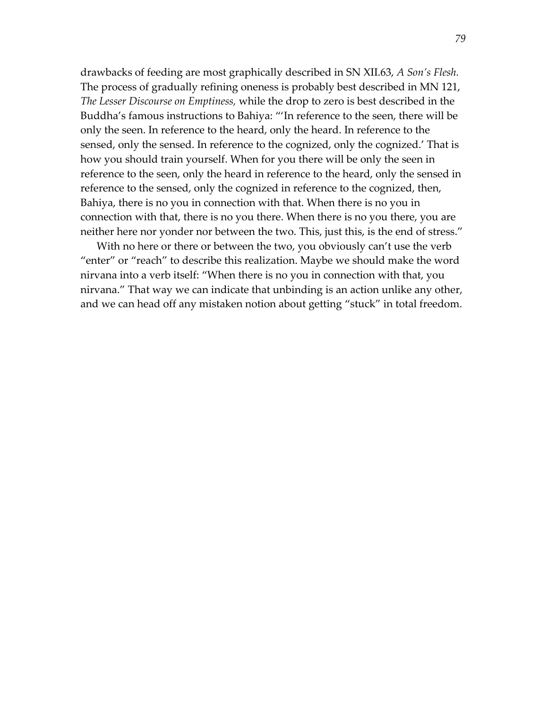drawbacks of feeding are most graphically described in SN XII.63, *A Son's Flesh.* The process of gradually refining oneness is probably best described in MN 121, *The Lesser Discourse on Emptiness,* while the drop to zero is best described in the Buddha's famous instructions to Bahiya: "'In reference to the seen, there will be only the seen. In reference to the heard, only the heard. In reference to the sensed, only the sensed. In reference to the cognized, only the cognized.' That is how you should train yourself. When for you there will be only the seen in reference to the seen, only the heard in reference to the heard, only the sensed in reference to the sensed, only the cognized in reference to the cognized, then, Bahiya, there is no you in connection with that. When there is no you in connection with that, there is no you there. When there is no you there, you are neither here nor yonder nor between the two. This, just this, is the end of stress."

With no here or there or between the two, you obviously can't use the verb "enter" or "reach" to describe this realization. Maybe we should make the word nirvana into a verb itself: "When there is no you in connection with that, you nirvana." That way we can indicate that unbinding is an action unlike any other, and we can head off any mistaken notion about getting "stuck" in total freedom.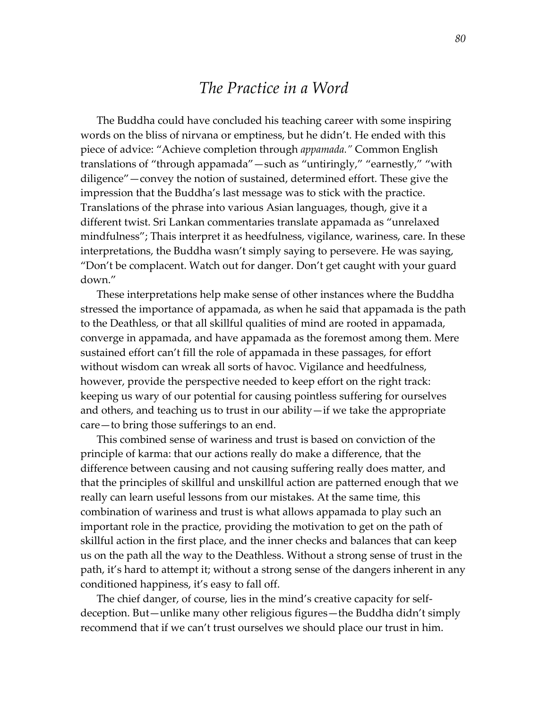## *The Practice in a Word*

The Buddha could have concluded his teaching career with some inspiring words on the bliss of nirvana or emptiness, but he didn't. He ended with this piece of advice: "Achieve completion through *appamada."* Common English translations of "through appamada"—such as "untiringly," "earnestly," "with diligence"—convey the notion of sustained, determined effort. These give the impression that the Buddha's last message was to stick with the practice. Translations of the phrase into various Asian languages, though, give it a different twist. Sri Lankan commentaries translate appamada as "unrelaxed mindfulness"; Thais interpret it as heedfulness, vigilance, wariness, care. In these interpretations, the Buddha wasn't simply saying to persevere. He was saying, "Don't be complacent. Watch out for danger. Don't get caught with your guard down."

These interpretations help make sense of other instances where the Buddha stressed the importance of appamada, as when he said that appamada is the path to the Deathless, or that all skillful qualities of mind are rooted in appamada, converge in appamada, and have appamada as the foremost among them. Mere sustained effort can't fill the role of appamada in these passages, for effort without wisdom can wreak all sorts of havoc. Vigilance and heedfulness, however, provide the perspective needed to keep effort on the right track: keeping us wary of our potential for causing pointless suffering for ourselves and others, and teaching us to trust in our ability—if we take the appropriate care—to bring those sufferings to an end.

This combined sense of wariness and trust is based on conviction of the principle of karma: that our actions really do make a difference, that the difference between causing and not causing suffering really does matter, and that the principles of skillful and unskillful action are patterned enough that we really can learn useful lessons from our mistakes. At the same time, this combination of wariness and trust is what allows appamada to play such an important role in the practice, providing the motivation to get on the path of skillful action in the first place, and the inner checks and balances that can keep us on the path all the way to the Deathless. Without a strong sense of trust in the path, it's hard to attempt it; without a strong sense of the dangers inherent in any conditioned happiness, it's easy to fall off.

The chief danger, of course, lies in the mind's creative capacity for self‐ deception. But—unlike many other religious figures—the Buddha didn't simply recommend that if we can't trust ourselves we should place our trust in him.